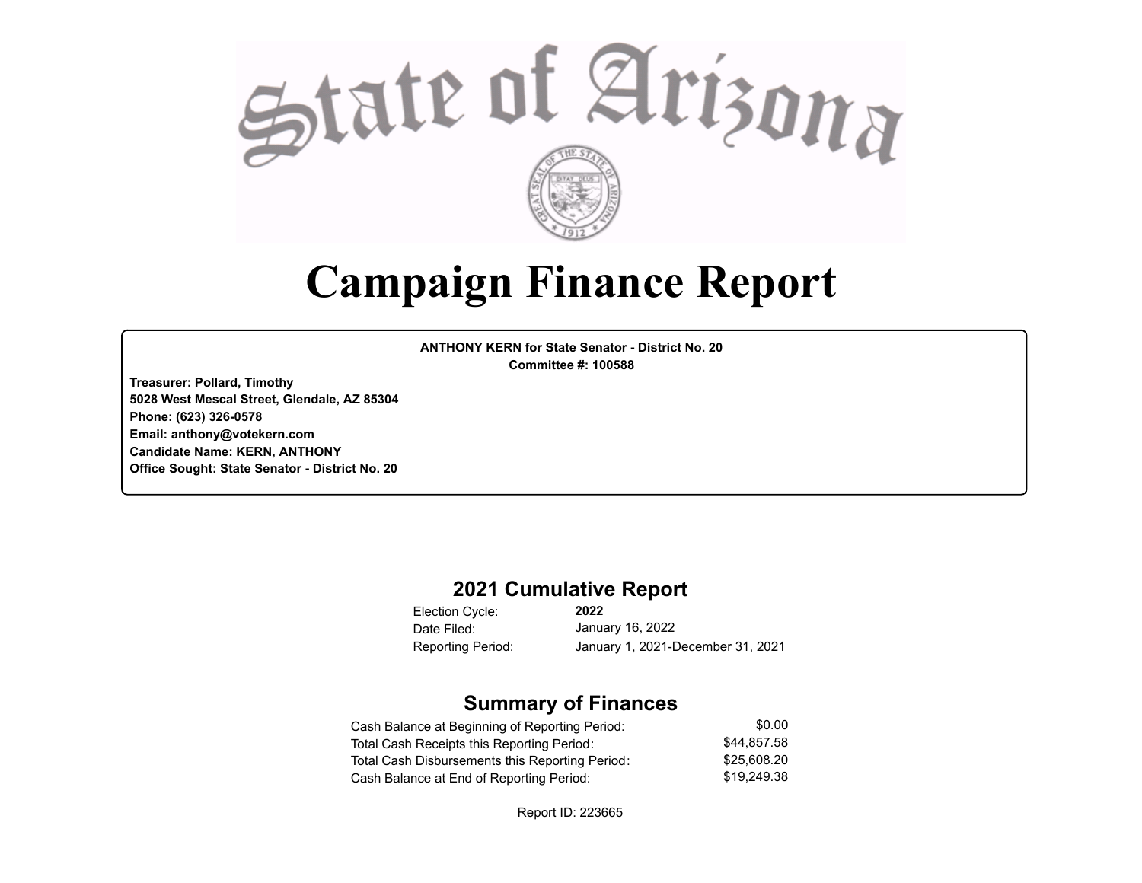

## **Campaign Finance Report**

**ANTHONY KERN for State Senator - District No. 20 Committee #: 100588**

**Treasurer: Pollard, Timothy 5028 West Mescal Street, Glendale, AZ 85304 Phone: (623) 326-0578 Email: anthony@votekern.com Candidate Name: KERN, ANTHONY Office Sought: State Senator - District No. 20**

#### **2021 Cumulative Report**

Election Cycle: Date Filed:

**2022** January 16, 2022 Reporting Period: January 1, 2021-December 31, 2021

#### **Summary of Finances**

| Cash Balance at Beginning of Reporting Period:  | \$0.00      |
|-------------------------------------------------|-------------|
| Total Cash Receipts this Reporting Period:      | \$44.857.58 |
| Total Cash Disbursements this Reporting Period: | \$25.608.20 |
| Cash Balance at End of Reporting Period:        | \$19,249.38 |

Report ID: 223665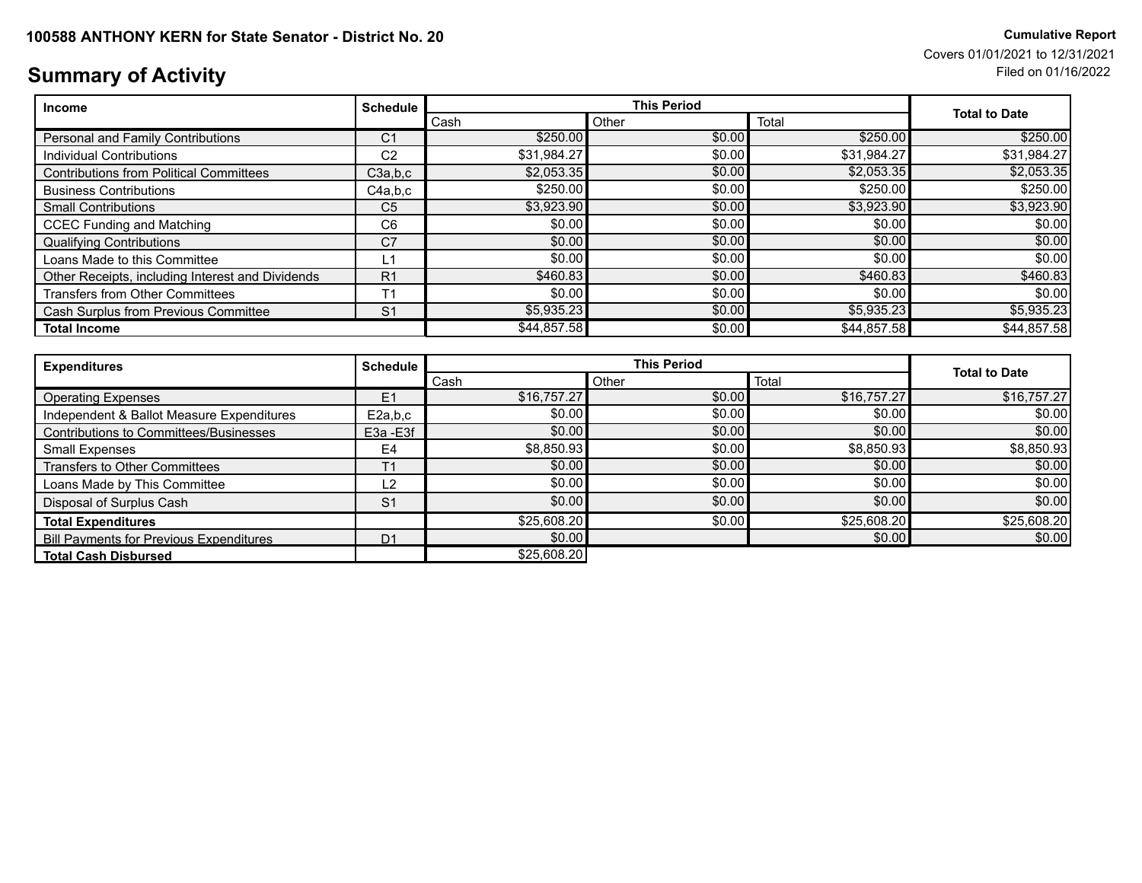### **Summary of Activity** Filed on 01/16/2022

| Income                                           | <b>Schedule</b> |             |        | <b>Total to Date</b> |             |
|--------------------------------------------------|-----------------|-------------|--------|----------------------|-------------|
|                                                  |                 | Cash        | Other  | Total                |             |
| Personal and Family Contributions                | C <sub>1</sub>  | \$250.00    | \$0.00 | \$250.00             | \$250.00    |
| Individual Contributions                         | C <sub>2</sub>  | \$31,984.27 | \$0.00 | \$31,984.27          | \$31,984.27 |
| <b>Contributions from Political Committees</b>   | C3a.b.c         | \$2,053.35  | \$0.00 | \$2,053.35           | \$2,053.35  |
| <b>Business Contributions</b>                    | C4a.b.c         | \$250.00    | \$0.00 | \$250.00             | \$250.00    |
| <b>Small Contributions</b>                       | C <sub>5</sub>  | \$3,923.90  | \$0.00 | \$3,923.90           | \$3,923.90  |
| <b>CCEC Funding and Matching</b>                 | C <sub>6</sub>  | \$0.00      | \$0.00 | \$0.00               | \$0.00      |
| <b>Qualifying Contributions</b>                  | C <sub>7</sub>  | \$0.00      | \$0.00 | \$0.00               | \$0.00      |
| Loans Made to this Committee                     | L1              | \$0.00      | \$0.00 | \$0.00               | \$0.00      |
| Other Receipts, including Interest and Dividends | R <sub>1</sub>  | \$460.83    | \$0.00 | \$460.83             | \$460.83    |
| <b>Transfers from Other Committees</b>           | T <sub>1</sub>  | \$0.00      | \$0.00 | \$0.00               | \$0.00      |
| Cash Surplus from Previous Committee             | S <sub>1</sub>  | \$5,935.23  | \$0.00 | \$5,935.23           | \$5,935.23  |
| <b>Total Income</b>                              |                 | \$44,857.58 | \$0.00 | \$44,857.58          | \$44,857.58 |

| <b>Expenditures</b>                            | Schedule <sup>1</sup> |             | <b>This Period</b> |             |                      |
|------------------------------------------------|-----------------------|-------------|--------------------|-------------|----------------------|
|                                                |                       | Cash        | Other              | Total       | <b>Total to Date</b> |
| <b>Operating Expenses</b>                      | E <sub>1</sub>        | \$16,757.27 | \$0.00             | \$16,757.27 | \$16,757.27          |
| Independent & Ballot Measure Expenditures      | E2a,b,c               | \$0.00      | \$0.00             | \$0.00      | \$0.00               |
| Contributions to Committees/Businesses         | E3a - E3f             | \$0.00      | \$0.00             | \$0.00      | \$0.00               |
| Small Expenses                                 | E4                    | \$8,850.93  | \$0.00             | \$8,850.93  | \$8,850.93           |
| Transfers to Other Committees                  | T <sub>1</sub>        | \$0.00      | \$0.00             | \$0.00      | \$0.00]              |
| Loans Made by This Committee                   | L2                    | \$0.00      | \$0.00             | \$0.00      | \$0.00               |
| Disposal of Surplus Cash                       | S <sub>1</sub>        | \$0.00      | \$0.00             | \$0.00      | \$0.00               |
| <b>Total Expenditures</b>                      |                       | \$25,608.20 | \$0.00             | \$25,608.20 | \$25,608.20          |
| <b>Bill Payments for Previous Expenditures</b> | D <sub>1</sub>        | \$0.00      |                    | \$0.00      | \$0.00               |
| <b>Total Cash Disbursed</b>                    |                       | \$25,608.20 |                    |             |                      |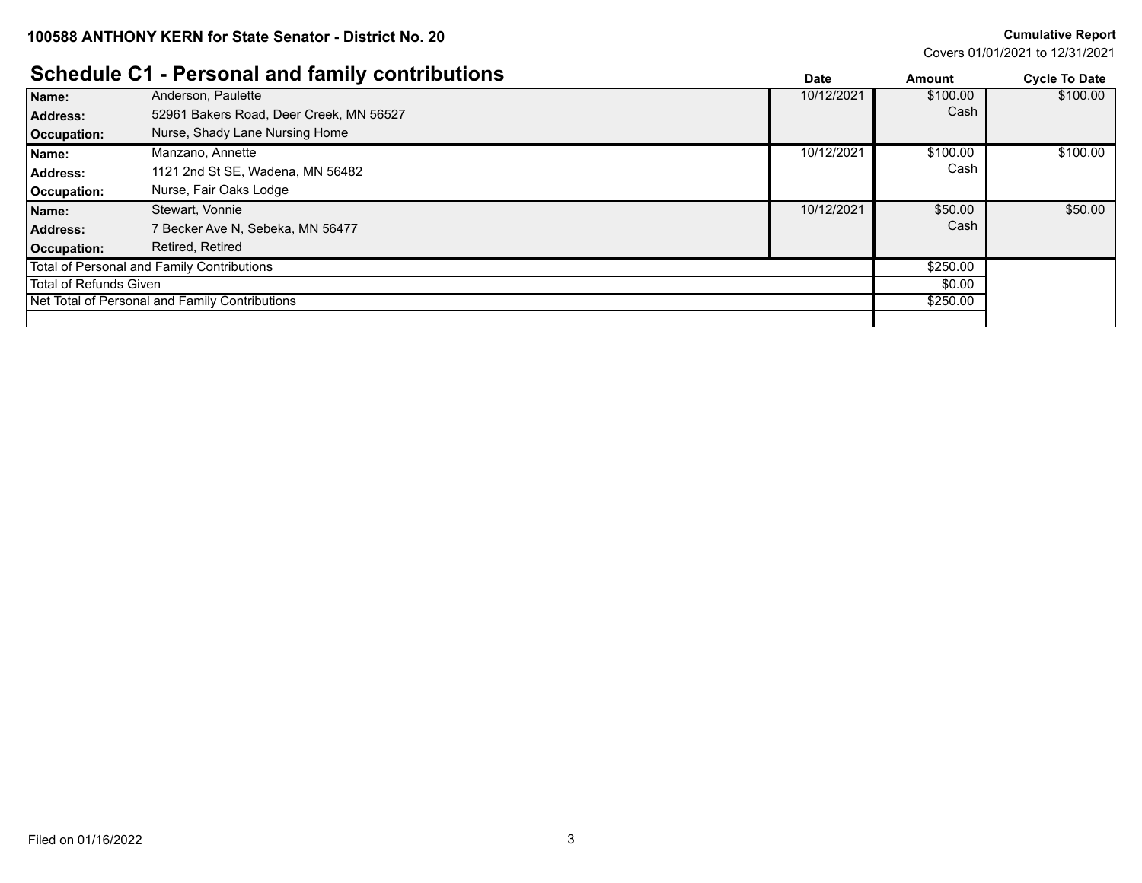Covers 01/01/2021 to 12/31/2021

#### **Schedule C1 - Personal and family contributions Both Contributions Cycle To Date** *Cycle To Date*

|                        | <b>OCHEQUIE OT - I GISONAL AND TANNIV CONTINUIDITIS</b> | <b>Date</b> | Amount   | <b>Cycle To Date</b> |
|------------------------|---------------------------------------------------------|-------------|----------|----------------------|
| Name:                  | Anderson, Paulette                                      | 10/12/2021  | \$100.00 | \$100.00             |
| <b>Address:</b>        | 52961 Bakers Road, Deer Creek, MN 56527                 |             | Cash     |                      |
| Occupation:            | Nurse, Shady Lane Nursing Home                          |             |          |                      |
| Name:                  | Manzano, Annette                                        | 10/12/2021  | \$100.00 | \$100.00             |
| Address:               | 1121 2nd St SE, Wadena, MN 56482                        |             | Cash     |                      |
| Occupation:            | Nurse, Fair Oaks Lodge                                  |             |          |                      |
| Name:                  | Stewart, Vonnie                                         | 10/12/2021  | \$50.00  | \$50.00              |
| Address:               | 7 Becker Ave N, Sebeka, MN 56477                        |             | Cash     |                      |
| Occupation:            | Retired, Retired                                        |             |          |                      |
|                        | Total of Personal and Family Contributions              |             | \$250.00 |                      |
| Total of Refunds Given |                                                         | \$0.00      |          |                      |
|                        | Net Total of Personal and Family Contributions          |             | \$250.00 |                      |
|                        |                                                         |             |          |                      |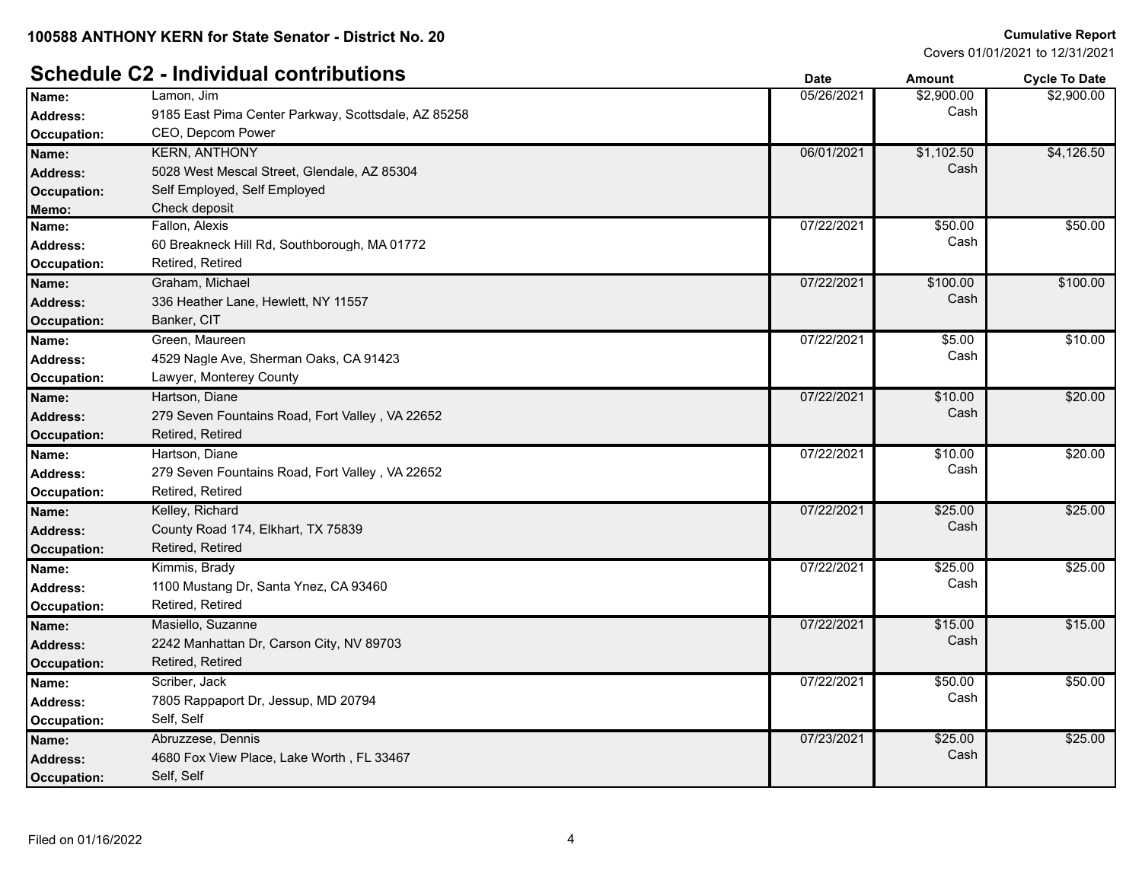#### **Schedule C2 - Individual contributions Date Date Cycle To Date Amount Cycle To Date**

|                    |                                                     |            |            | -,         |
|--------------------|-----------------------------------------------------|------------|------------|------------|
| Name:              | Lamon, Jim                                          | 05/26/2021 | \$2,900.00 | \$2,900.00 |
| <b>Address:</b>    | 9185 East Pima Center Parkway, Scottsdale, AZ 85258 |            | Cash       |            |
| Occupation:        | CEO, Depcom Power                                   |            |            |            |
| Name:              | <b>KERN, ANTHONY</b>                                | 06/01/2021 | \$1,102.50 | \$4,126.50 |
| Address:           | 5028 West Mescal Street, Glendale, AZ 85304         |            | Cash       |            |
| Occupation:        | Self Employed, Self Employed                        |            |            |            |
| Memo:              | Check deposit                                       |            |            |            |
| Name:              | Fallon, Alexis                                      | 07/22/2021 | \$50.00    | \$50.00    |
| <b>Address:</b>    | 60 Breakneck Hill Rd, Southborough, MA 01772        |            | Cash       |            |
| Occupation:        | Retired, Retired                                    |            |            |            |
| Name:              | Graham, Michael                                     | 07/22/2021 | \$100.00   | \$100.00   |
| <b>Address:</b>    | 336 Heather Lane, Hewlett, NY 11557                 |            | Cash       |            |
| <b>Occupation:</b> | Banker, CIT                                         |            |            |            |
| Name:              | Green, Maureen                                      | 07/22/2021 | \$5.00     | \$10.00    |
| <b>Address:</b>    | 4529 Nagle Ave, Sherman Oaks, CA 91423              |            | Cash       |            |
| Occupation:        | Lawyer, Monterey County                             |            |            |            |
| Name:              | Hartson, Diane                                      | 07/22/2021 | \$10.00    | \$20.00    |
| <b>Address:</b>    | 279 Seven Fountains Road, Fort Valley, VA 22652     |            | Cash       |            |
| <b>Occupation:</b> | Retired, Retired                                    |            |            |            |
| Name:              | Hartson, Diane                                      | 07/22/2021 | \$10.00    | \$20.00    |
| <b>Address:</b>    | 279 Seven Fountains Road, Fort Valley, VA 22652     |            | Cash       |            |
| Occupation:        | Retired, Retired                                    |            |            |            |
| Name:              | Kelley, Richard                                     | 07/22/2021 | \$25.00    | \$25.00    |
| Address:           | County Road 174, Elkhart, TX 75839                  |            | Cash       |            |
| <b>Occupation:</b> | Retired, Retired                                    |            |            |            |
| Name:              | Kimmis, Brady                                       | 07/22/2021 | \$25.00    | \$25.00    |
| Address:           | 1100 Mustang Dr, Santa Ynez, CA 93460               |            | Cash       |            |
| Occupation:        | Retired, Retired                                    |            |            |            |
| Name:              | Masiello, Suzanne                                   | 07/22/2021 | \$15.00    | \$15.00    |
| Address:           | 2242 Manhattan Dr, Carson City, NV 89703            |            | Cash       |            |
| <b>Occupation:</b> | Retired, Retired                                    |            |            |            |
| Name:              | Scriber, Jack                                       | 07/22/2021 | \$50.00    | \$50.00    |
| <b>Address:</b>    | 7805 Rappaport Dr, Jessup, MD 20794                 |            | Cash       |            |
| Occupation:        | Self, Self                                          |            |            |            |
| Name:              | Abruzzese, Dennis                                   | 07/23/2021 | \$25.00    | \$25.00    |
| <b>Address:</b>    | 4680 Fox View Place, Lake Worth, FL 33467           |            | Cash       |            |
| Occupation:        | Self, Self                                          |            |            |            |
|                    |                                                     |            |            |            |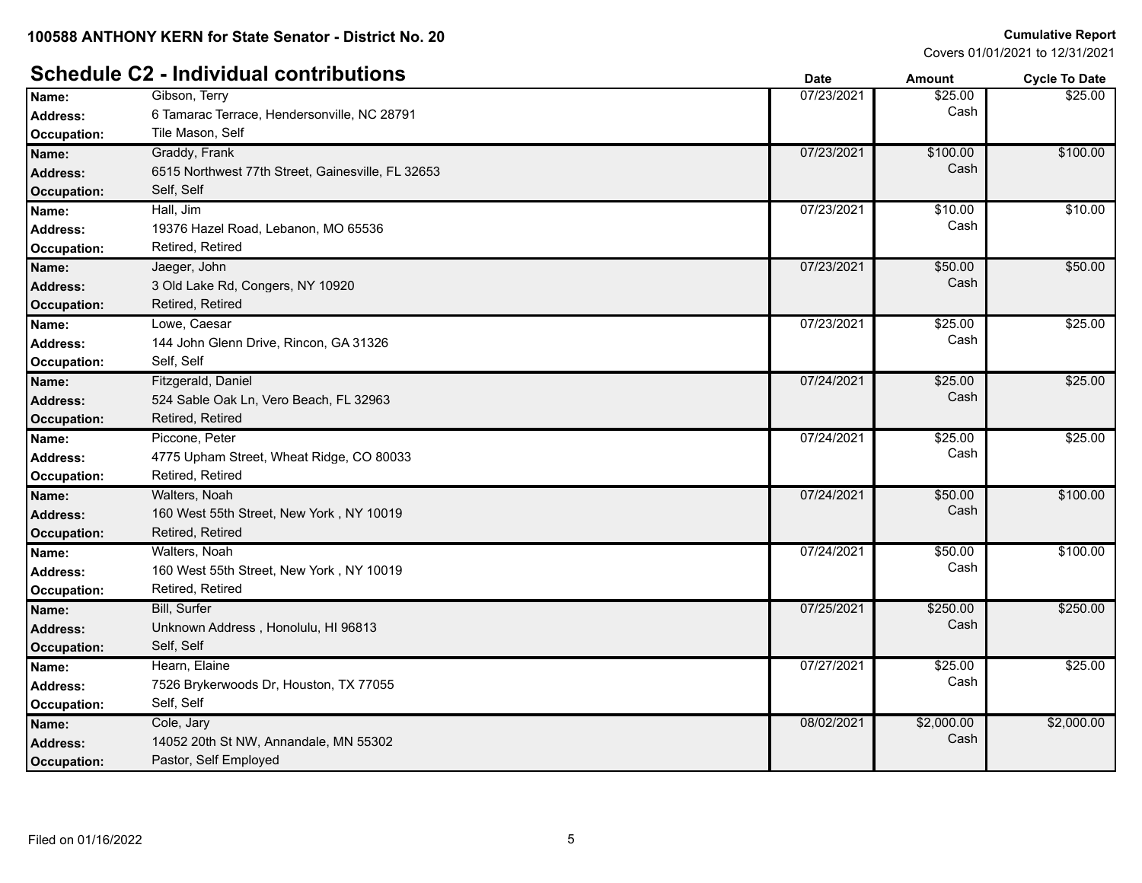#### **Schedule C2 - Individual contributions Date Date Cycle To Date Amount Cycle To Date**

|                    |                                                   | puw        | мночн      | oyuu iy batu |
|--------------------|---------------------------------------------------|------------|------------|--------------|
| Name:              | Gibson, Terry                                     | 07/23/2021 | \$25.00    | \$25.00      |
| <b>Address:</b>    | 6 Tamarac Terrace, Hendersonville, NC 28791       |            | Cash       |              |
| Occupation:        | Tile Mason, Self                                  |            |            |              |
| Name:              | Graddy, Frank                                     | 07/23/2021 | \$100.00   | \$100.00     |
| <b>Address:</b>    | 6515 Northwest 77th Street, Gainesville, FL 32653 |            | Cash       |              |
| <b>Occupation:</b> | Self, Self                                        |            |            |              |
| Name:              | Hall, Jim                                         | 07/23/2021 | \$10.00    | \$10.00      |
| <b>Address:</b>    | 19376 Hazel Road, Lebanon, MO 65536               |            | Cash       |              |
| Occupation:        | Retired, Retired                                  |            |            |              |
| Name:              | Jaeger, John                                      | 07/23/2021 | \$50.00    | \$50.00      |
| <b>Address:</b>    | 3 Old Lake Rd, Congers, NY 10920                  |            | Cash       |              |
| <b>Occupation:</b> | Retired, Retired                                  |            |            |              |
| Name:              | Lowe, Caesar                                      | 07/23/2021 | \$25.00    | \$25.00      |
| <b>Address:</b>    | 144 John Glenn Drive, Rincon, GA 31326            |            | Cash       |              |
| Occupation:        | Self, Self                                        |            |            |              |
| Name:              | Fitzgerald, Daniel                                | 07/24/2021 | \$25.00    | \$25.00      |
| <b>Address:</b>    | 524 Sable Oak Ln, Vero Beach, FL 32963            |            | Cash       |              |
| <b>Occupation:</b> | Retired, Retired                                  |            |            |              |
| Name:              | Piccone, Peter                                    | 07/24/2021 | \$25.00    | \$25.00      |
| <b>Address:</b>    | 4775 Upham Street, Wheat Ridge, CO 80033          |            | Cash       |              |
| Occupation:        | Retired, Retired                                  |            |            |              |
| Name:              | Walters, Noah                                     | 07/24/2021 | \$50.00    | \$100.00     |
| <b>Address:</b>    | 160 West 55th Street, New York, NY 10019          |            | Cash       |              |
| <b>Occupation:</b> | Retired, Retired                                  |            |            |              |
| Name:              | Walters, Noah                                     | 07/24/2021 | \$50.00    | \$100.00     |
| <b>Address:</b>    | 160 West 55th Street, New York, NY 10019          |            | Cash       |              |
| Occupation:        | Retired, Retired                                  |            |            |              |
| Name:              | <b>Bill, Surfer</b>                               | 07/25/2021 | \$250.00   | \$250.00     |
| <b>Address:</b>    | Unknown Address, Honolulu, HI 96813               |            | Cash       |              |
| <b>Occupation:</b> | Self, Self                                        |            |            |              |
| Name:              | Hearn, Elaine                                     | 07/27/2021 | \$25.00    | \$25.00      |
| <b>Address:</b>    | 7526 Brykerwoods Dr, Houston, TX 77055            |            | Cash       |              |
| Occupation:        | Self, Self                                        |            |            |              |
| Name:              | Cole, Jary                                        | 08/02/2021 | \$2,000.00 | \$2,000.00   |
| <b>Address:</b>    | 14052 20th St NW, Annandale, MN 55302             |            | Cash       |              |
| Occupation:        | Pastor, Self Employed                             |            |            |              |
|                    |                                                   |            |            |              |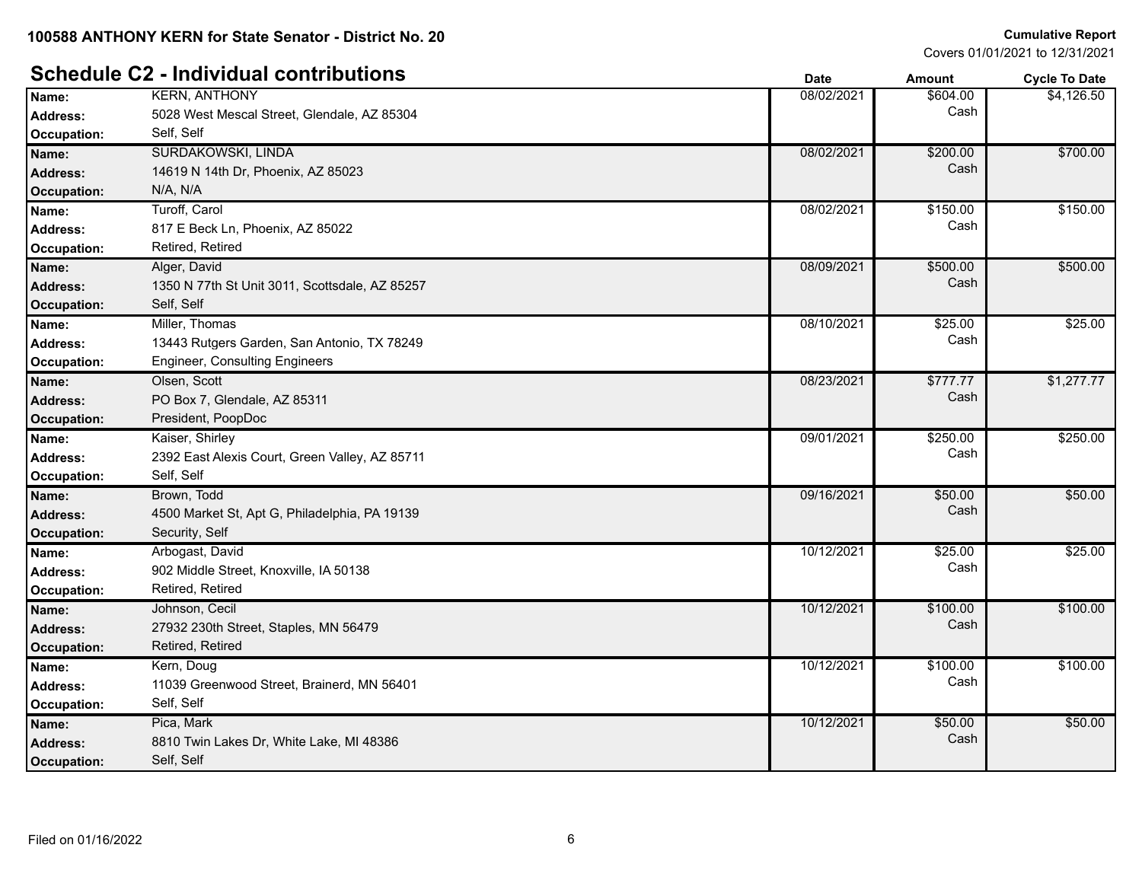### **Schedule C2 - Individual contributions Date Date Amount Cycle To Date Amount Cycle To Date**

|                    |                                                | υαισ       | anvun    | <b>OVUE TO DATE</b> |
|--------------------|------------------------------------------------|------------|----------|---------------------|
| Name:              | <b>KERN, ANTHONY</b>                           | 08/02/2021 | \$604.00 | \$4,126.50          |
| <b>Address:</b>    | 5028 West Mescal Street, Glendale, AZ 85304    |            | Cash     |                     |
| Occupation:        | Self, Self                                     |            |          |                     |
| Name:              | SURDAKOWSKI, LINDA                             | 08/02/2021 | \$200.00 | \$700.00            |
| <b>Address:</b>    | 14619 N 14th Dr, Phoenix, AZ 85023             |            | Cash     |                     |
| <b>Occupation:</b> | N/A, N/A                                       |            |          |                     |
| Name:              | Turoff, Carol                                  | 08/02/2021 | \$150.00 | \$150.00            |
| <b>Address:</b>    | 817 E Beck Ln, Phoenix, AZ 85022               |            | Cash     |                     |
| Occupation:        | Retired, Retired                               |            |          |                     |
| Name:              | Alger, David                                   | 08/09/2021 | \$500.00 | \$500.00            |
| <b>Address:</b>    | 1350 N 77th St Unit 3011, Scottsdale, AZ 85257 |            | Cash     |                     |
| <b>Occupation:</b> | Self, Self                                     |            |          |                     |
| Name:              | Miller, Thomas                                 | 08/10/2021 | \$25.00  | \$25.00             |
| <b>Address:</b>    | 13443 Rutgers Garden, San Antonio, TX 78249    |            | Cash     |                     |
| Occupation:        | <b>Engineer, Consulting Engineers</b>          |            |          |                     |
| Name:              | Olsen, Scott                                   | 08/23/2021 | \$777.77 | \$1,277.77          |
| <b>Address:</b>    | PO Box 7, Glendale, AZ 85311                   |            | Cash     |                     |
| Occupation:        | President, PoopDoc                             |            |          |                     |
| Name:              | Kaiser, Shirley                                | 09/01/2021 | \$250.00 | \$250.00            |
| <b>Address:</b>    | 2392 East Alexis Court, Green Valley, AZ 85711 |            | Cash     |                     |
| Occupation:        | Self, Self                                     |            |          |                     |
| Name:              | Brown, Todd                                    | 09/16/2021 | \$50.00  | \$50.00             |
| <b>Address:</b>    | 4500 Market St, Apt G, Philadelphia, PA 19139  |            | Cash     |                     |
| <b>Occupation:</b> | Security, Self                                 |            |          |                     |
| Name:              | Arbogast, David                                | 10/12/2021 | \$25.00  | \$25.00             |
| Address:           | 902 Middle Street, Knoxville, IA 50138         |            | Cash     |                     |
| Occupation:        | Retired, Retired                               |            |          |                     |
| Name:              | Johnson, Cecil                                 | 10/12/2021 | \$100.00 | \$100.00            |
| <b>Address:</b>    | 27932 230th Street, Staples, MN 56479          |            | Cash     |                     |
| <b>Occupation:</b> | Retired, Retired                               |            |          |                     |
| Name:              | Kern, Doug                                     | 10/12/2021 | \$100.00 | \$100.00            |
| <b>Address:</b>    | 11039 Greenwood Street, Brainerd, MN 56401     |            | Cash     |                     |
| Occupation:        | Self, Self                                     |            |          |                     |
| Name:              | Pica, Mark                                     | 10/12/2021 | \$50.00  | \$50.00             |
| <b>Address:</b>    | 8810 Twin Lakes Dr, White Lake, MI 48386       |            | Cash     |                     |
| Occupation:        | Self, Self                                     |            |          |                     |
|                    |                                                |            |          |                     |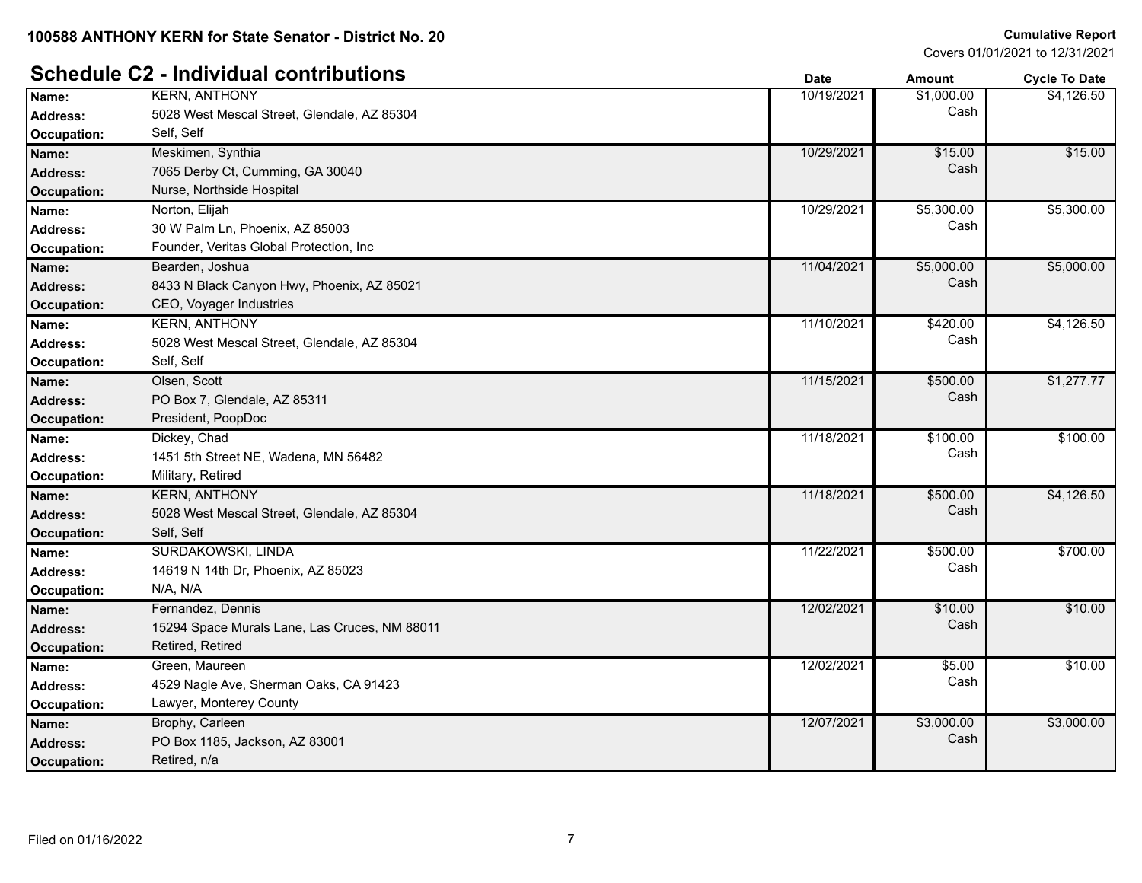### **Schedule C2 - Individual contributions Date Date Amount Amount Cycle To Date**

|                    |                                               | υαισ       | anvun      | <b>OVUE TO DATE</b> |
|--------------------|-----------------------------------------------|------------|------------|---------------------|
| Name:              | <b>KERN, ANTHONY</b>                          | 10/19/2021 | \$1,000.00 | \$4,126.50          |
| Address:           | 5028 West Mescal Street, Glendale, AZ 85304   |            | Cash       |                     |
| Occupation:        | Self, Self                                    |            |            |                     |
| Name:              | Meskimen, Synthia                             | 10/29/2021 | \$15.00    | \$15.00             |
| <b>Address:</b>    | 7065 Derby Ct, Cumming, GA 30040              |            | Cash       |                     |
| <b>Occupation:</b> | Nurse, Northside Hospital                     |            |            |                     |
| Name:              | Norton, Elijah                                | 10/29/2021 | \$5,300.00 | \$5,300.00          |
| <b>Address:</b>    | 30 W Palm Ln, Phoenix, AZ 85003               |            | Cash       |                     |
| Occupation:        | Founder, Veritas Global Protection, Inc       |            |            |                     |
| Name:              | Bearden, Joshua                               | 11/04/2021 | \$5,000.00 | \$5,000.00          |
| <b>Address:</b>    | 8433 N Black Canyon Hwy, Phoenix, AZ 85021    |            | Cash       |                     |
| Occupation:        | CEO, Voyager Industries                       |            |            |                     |
| Name:              | <b>KERN, ANTHONY</b>                          | 11/10/2021 | \$420.00   | \$4,126.50          |
| Address:           | 5028 West Mescal Street, Glendale, AZ 85304   |            | Cash       |                     |
| Occupation:        | Self, Self                                    |            |            |                     |
| Name:              | Olsen, Scott                                  | 11/15/2021 | \$500.00   | \$1,277.77          |
| <b>Address:</b>    | PO Box 7, Glendale, AZ 85311                  |            | Cash       |                     |
| Occupation:        | President, PoopDoc                            |            |            |                     |
| Name:              | Dickey, Chad                                  | 11/18/2021 | \$100.00   | \$100.00            |
| <b>Address:</b>    | 1451 5th Street NE, Wadena, MN 56482          |            | Cash       |                     |
| Occupation:        | Military, Retired                             |            |            |                     |
| Name:              | <b>KERN, ANTHONY</b>                          | 11/18/2021 | \$500.00   | \$4,126.50          |
| <b>Address:</b>    | 5028 West Mescal Street, Glendale, AZ 85304   |            | Cash       |                     |
| Occupation:        | Self, Self                                    |            |            |                     |
| Name:              | SURDAKOWSKI, LINDA                            | 11/22/2021 | \$500.00   | \$700.00            |
| Address:           | 14619 N 14th Dr, Phoenix, AZ 85023            |            | Cash       |                     |
| Occupation:        | N/A, N/A                                      |            |            |                     |
| Name:              | Fernandez, Dennis                             | 12/02/2021 | \$10.00    | \$10.00             |
| Address:           | 15294 Space Murals Lane, Las Cruces, NM 88011 |            | Cash       |                     |
| Occupation:        | Retired, Retired                              |            |            |                     |
| Name:              | Green, Maureen                                | 12/02/2021 | \$5.00     | \$10.00             |
| <b>Address:</b>    | 4529 Nagle Ave, Sherman Oaks, CA 91423        |            | Cash       |                     |
| Occupation:        | Lawyer, Monterey County                       |            |            |                     |
| Name:              | Brophy, Carleen                               | 12/07/2021 | \$3,000.00 | \$3,000.00          |
| <b>Address:</b>    | PO Box 1185, Jackson, AZ 83001                |            | Cash       |                     |
| Occupation:        | Retired, n/a                                  |            |            |                     |
|                    |                                               |            |            |                     |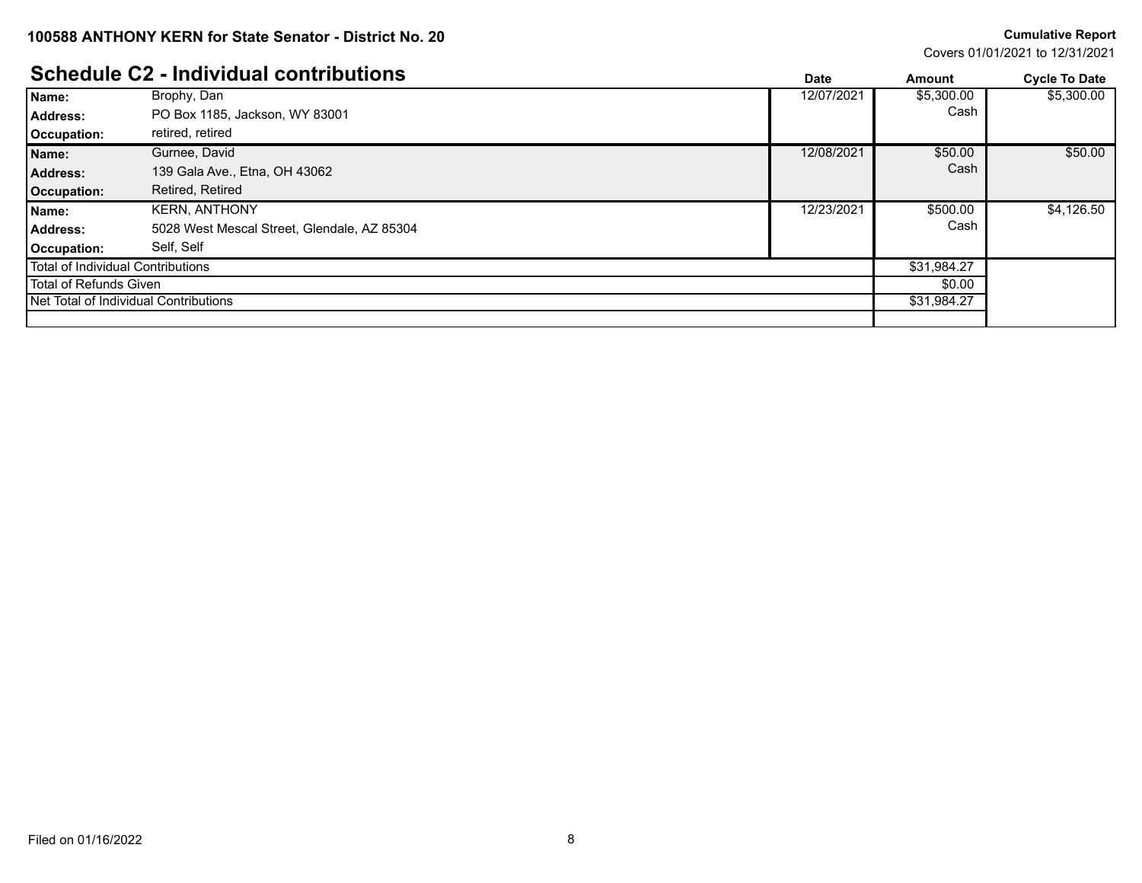Covers 01/01/2021 to 12/31/2021

### **Schedule C2 - Individual contributions**

|                                              | <u> OCHEUDIE OZ - MUNIVIUU CUITU IDULIUM</u> | Date       | Amount      | <b>Cycle To Date</b> |
|----------------------------------------------|----------------------------------------------|------------|-------------|----------------------|
| Name:                                        | Brophy, Dan                                  | 12/07/2021 | \$5,300.00  | \$5,300.00           |
| Address:                                     | PO Box 1185, Jackson, WY 83001               |            | Cash        |                      |
| Occupation:                                  | retired, retired                             |            |             |                      |
| Name:                                        | Gurnee, David                                | 12/08/2021 | \$50.00     | \$50.00              |
| <b>Address:</b>                              | 139 Gala Ave., Etna, OH 43062                |            | Cash        |                      |
| Occupation:                                  | Retired, Retired                             |            |             |                      |
| Name:                                        | <b>KERN, ANTHONY</b>                         | 12/23/2021 | \$500.00    | \$4,126.50           |
| Address:                                     | 5028 West Mescal Street, Glendale, AZ 85304  |            | Cash        |                      |
| Occupation:                                  | Self, Self                                   |            |             |                      |
| Total of Individual Contributions            |                                              |            | \$31,984.27 |                      |
| Total of Refunds Given                       |                                              | \$0.00     |             |                      |
| <b>Net Total of Individual Contributions</b> |                                              |            | \$31,984.27 |                      |
|                                              |                                              |            |             |                      |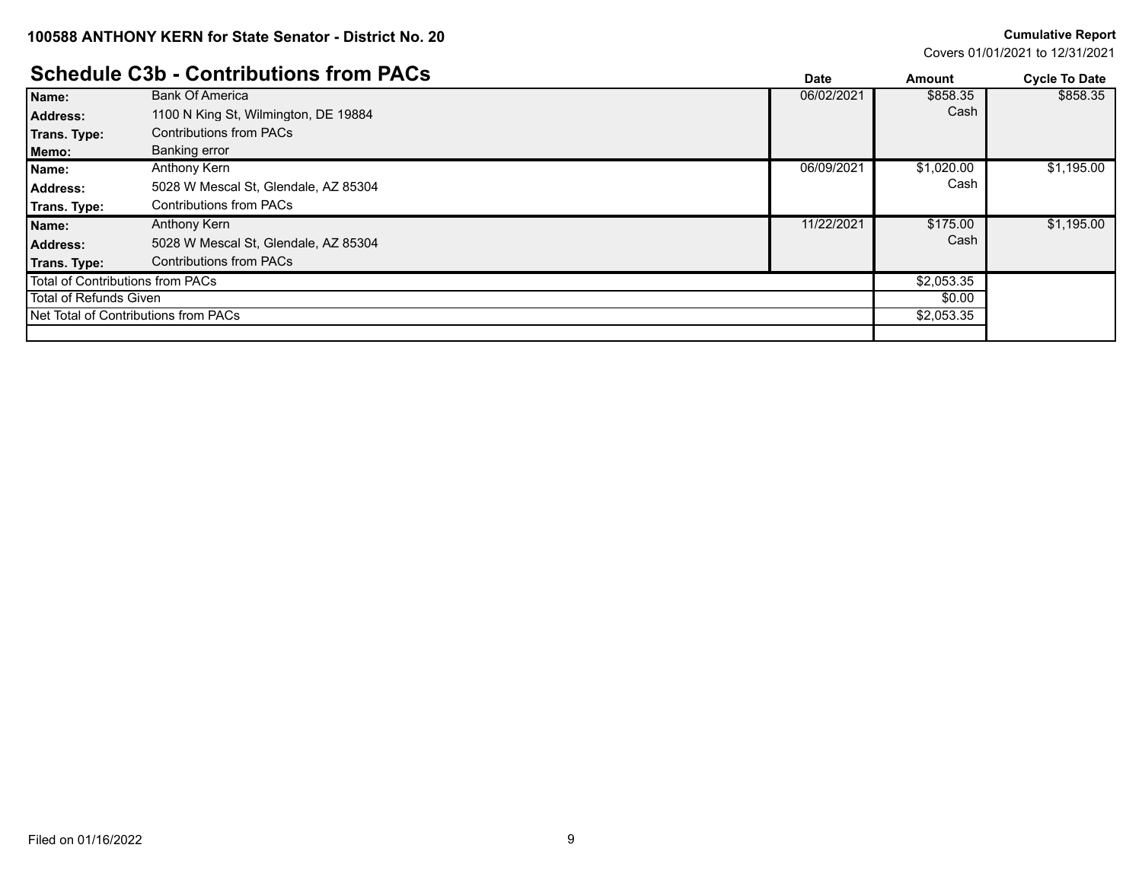Covers 01/01/2021 to 12/31/2021

### $\mathbf{Schendula}$  C3h - Contributions from PACs

|                                               | <u> SCIIEUUIE COD - CONTINUUDIIS IIUNII FACS</u> | <b>Date</b> | Amount     | <b>Cycle To Date</b> |
|-----------------------------------------------|--------------------------------------------------|-------------|------------|----------------------|
| Name:                                         | <b>Bank Of America</b>                           | 06/02/2021  | \$858.35   | \$858.35             |
| <b>Address:</b>                               | 1100 N King St. Wilmington, DE 19884             |             | Cash       |                      |
| Trans. Type:                                  | <b>Contributions from PACs</b>                   |             |            |                      |
| Memo:                                         | Banking error                                    |             |            |                      |
| Name:                                         | Anthony Kern                                     | 06/09/2021  | \$1,020.00 | \$1,195.00           |
| Address:                                      | 5028 W Mescal St, Glendale, AZ 85304             |             | Cash       |                      |
| Trans. Type:                                  | <b>Contributions from PACs</b>                   |             |            |                      |
| Name:                                         | Anthony Kern                                     | 11/22/2021  | \$175.00   | \$1,195.00           |
| <b>Address:</b>                               | 5028 W Mescal St, Glendale, AZ 85304             |             | Cash       |                      |
| Trans. Type:                                  | <b>Contributions from PACs</b>                   |             |            |                      |
| Total of Contributions from PACs              |                                                  |             | \$2,053.35 |                      |
| Total of Refunds Given                        |                                                  |             | \$0.00     |                      |
| <b>I Net Total of Contributions from PACs</b> |                                                  |             | \$2,053.35 |                      |
|                                               |                                                  |             |            |                      |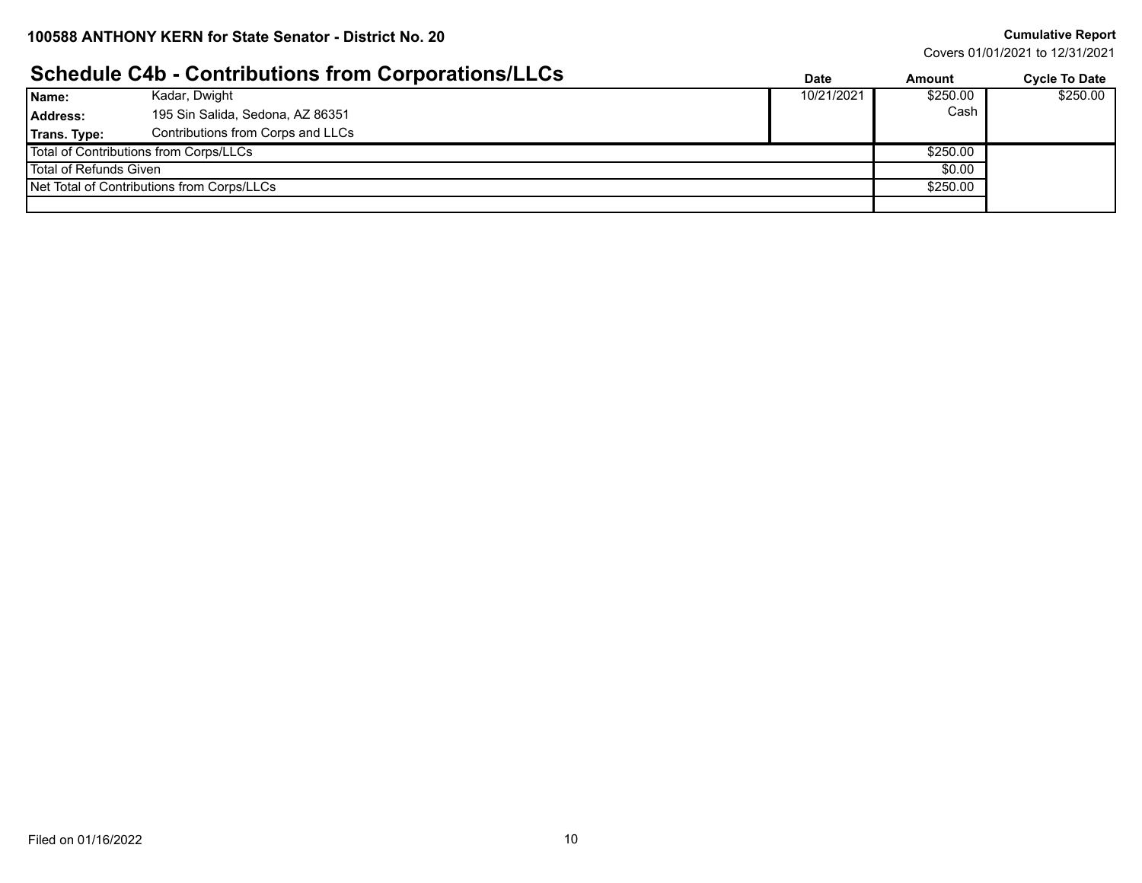Covers 01/01/2021 to 12/31/2021

### **Schedule C4b - Contributions from Corporations/LLCs Date Date Amount Cycle To Date**

|                                            |                                        | Pulv       | лшчин    | <b>OVUU IU DULU</b> |
|--------------------------------------------|----------------------------------------|------------|----------|---------------------|
| Name:                                      | Kadar, Dwight                          | 10/21/2021 | \$250.00 | \$250.00            |
| Address:                                   | 195 Sin Salida, Sedona, AZ 86351       |            | Cash     |                     |
| Trans. Type:                               | Contributions from Corps and LLCs      |            |          |                     |
|                                            | Total of Contributions from Corps/LLCs |            | \$250.00 |                     |
| Total of Refunds Given                     |                                        |            | \$0.00   |                     |
| Net Total of Contributions from Corps/LLCs |                                        |            | \$250.00 |                     |
|                                            |                                        |            |          |                     |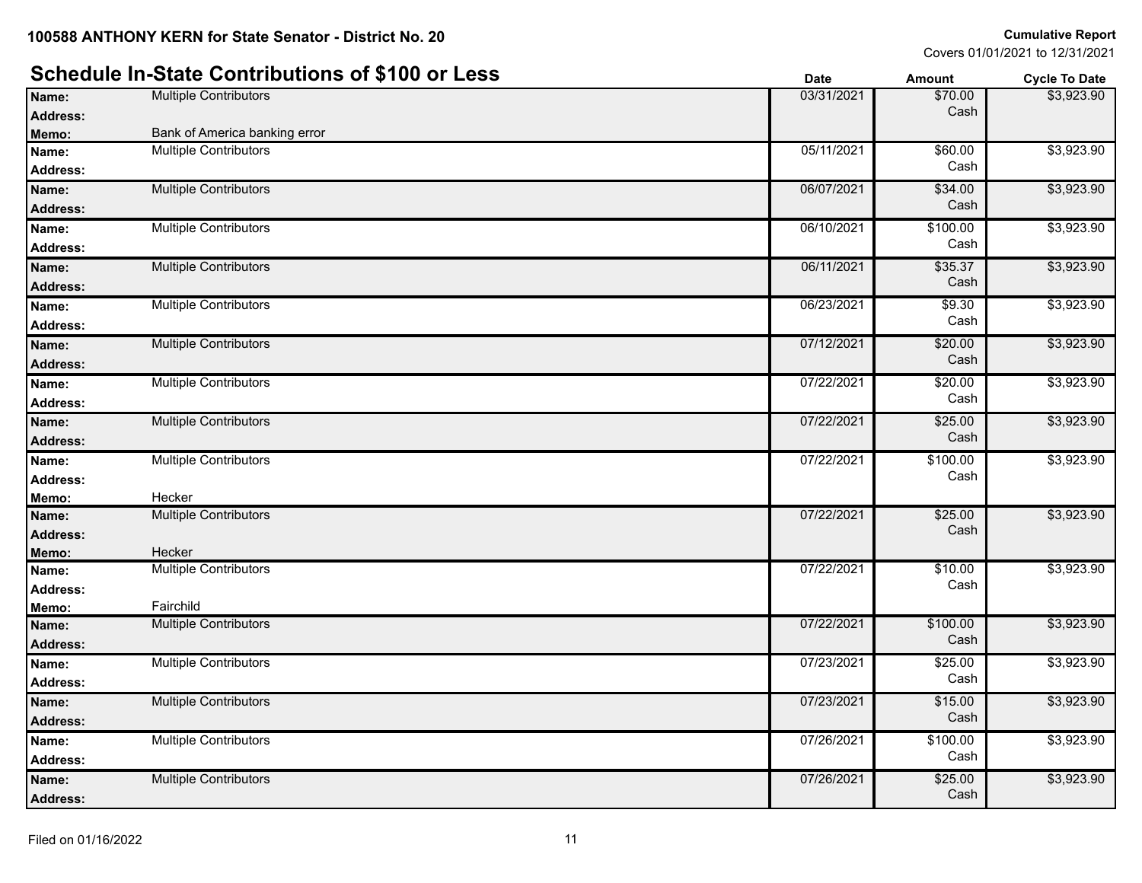### **Schedule In-State Contributions of \$100 or Less Date Date Date Amount Cycle To Date**

|                 |                               | puw        | <u>Allouit</u>   | OYUIV IV DULU |
|-----------------|-------------------------------|------------|------------------|---------------|
| Name:           | <b>Multiple Contributors</b>  | 03/31/2021 | \$70.00          | \$3,923.90    |
| <b>Address:</b> |                               |            | Cash             |               |
| Memo:           | Bank of America banking error |            |                  |               |
| Name:           | <b>Multiple Contributors</b>  | 05/11/2021 | \$60.00          | \$3,923.90    |
| <b>Address:</b> |                               |            | Cash             |               |
| Name:           | <b>Multiple Contributors</b>  | 06/07/2021 | \$34.00          | \$3,923.90    |
| <b>Address:</b> |                               |            | Cash             |               |
| Name:           | <b>Multiple Contributors</b>  | 06/10/2021 | \$100.00         | \$3,923.90    |
| <b>Address:</b> |                               |            | Cash             |               |
| Name:           | <b>Multiple Contributors</b>  | 06/11/2021 | \$35.37          | \$3,923.90    |
| <b>Address:</b> |                               |            | Cash             |               |
| Name:           | <b>Multiple Contributors</b>  | 06/23/2021 | \$9.30           | \$3,923.90    |
| <b>Address:</b> |                               |            | Cash             |               |
| Name:           | <b>Multiple Contributors</b>  | 07/12/2021 | \$20.00          | \$3,923.90    |
| <b>Address:</b> |                               |            | Cash             |               |
| Name:           | <b>Multiple Contributors</b>  | 07/22/2021 | \$20.00          | \$3,923.90    |
| Address:        |                               |            | Cash             |               |
| Name:           | <b>Multiple Contributors</b>  | 07/22/2021 | \$25.00          | \$3,923.90    |
| Address:        |                               |            | Cash             |               |
| Name:           | <b>Multiple Contributors</b>  | 07/22/2021 | \$100.00         | \$3,923.90    |
| <b>Address:</b> |                               |            | Cash             |               |
| Memo:           | Hecker                        |            |                  |               |
| Name:           | <b>Multiple Contributors</b>  | 07/22/2021 | \$25.00          | \$3,923.90    |
| <b>Address:</b> |                               |            | Cash             |               |
| Memo:           | Hecker                        |            |                  |               |
| Name:           | <b>Multiple Contributors</b>  | 07/22/2021 | \$10.00          | \$3,923.90    |
| <b>Address:</b> |                               |            | Cash             |               |
| Memo:           | Fairchild                     |            |                  |               |
| Name:           | <b>Multiple Contributors</b>  | 07/22/2021 | \$100.00<br>Cash | \$3,923.90    |
| Address:        |                               |            |                  |               |
| Name:           | <b>Multiple Contributors</b>  | 07/23/2021 | \$25.00<br>Cash  | \$3,923.90    |
| <b>Address:</b> |                               |            |                  |               |
| Name:           | <b>Multiple Contributors</b>  | 07/23/2021 | \$15.00          | \$3,923.90    |
| <b>Address:</b> |                               |            | Cash             |               |
| Name:           | <b>Multiple Contributors</b>  | 07/26/2021 | \$100.00         | \$3,923.90    |
| <b>Address:</b> |                               |            | Cash             |               |
| Name:           | <b>Multiple Contributors</b>  | 07/26/2021 | \$25.00          | \$3,923.90    |
| <b>Address:</b> |                               |            | Cash             |               |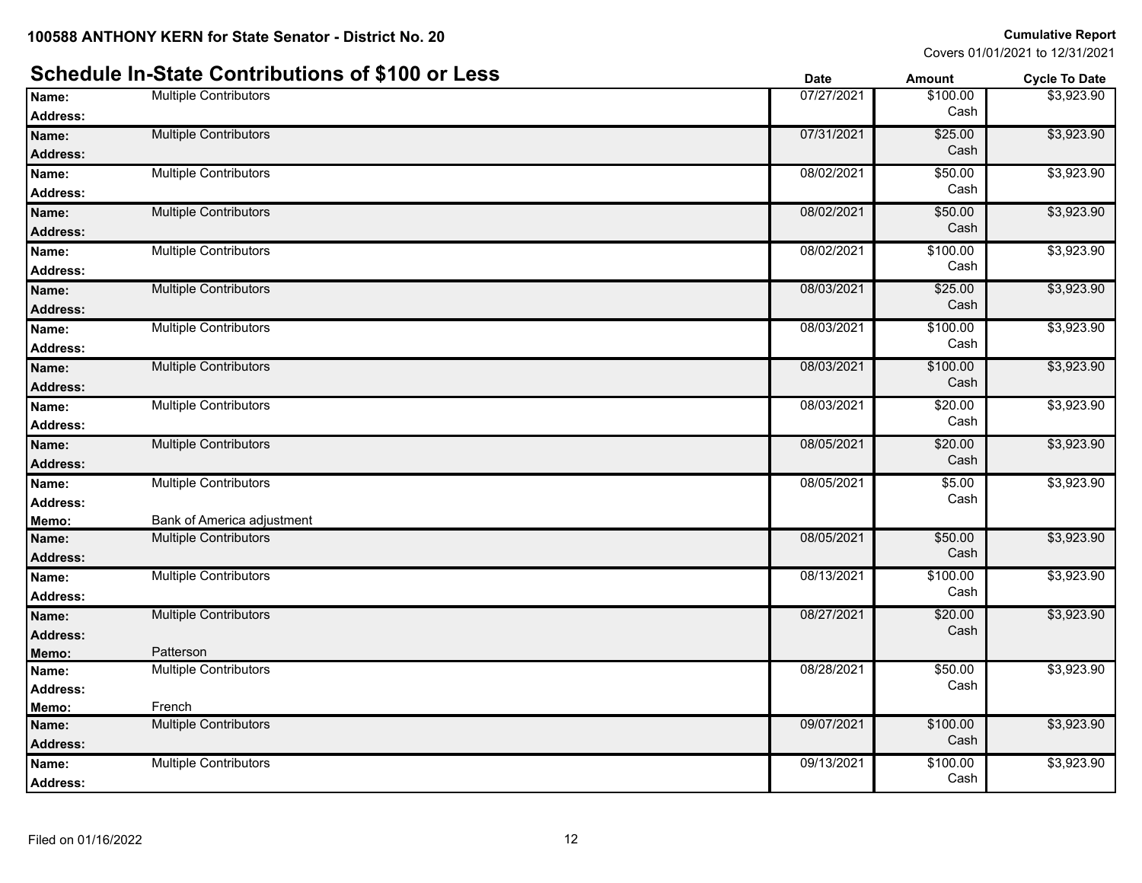|                 | Scriedule III-State Contributions of \$100 or Less | <b>Date</b> | Amount           | <b>Cycle To Date</b> |
|-----------------|----------------------------------------------------|-------------|------------------|----------------------|
| Name:           | <b>Multiple Contributors</b>                       | 07/27/2021  | \$100.00         | \$3,923.90           |
| <b>Address:</b> |                                                    |             | Cash             |                      |
| Name:           | <b>Multiple Contributors</b>                       | 07/31/2021  | \$25.00          | \$3,923.90           |
| <b>Address:</b> |                                                    |             | Cash             |                      |
| Name:           | <b>Multiple Contributors</b>                       | 08/02/2021  | \$50.00          | \$3,923.90           |
| Address:        |                                                    |             | Cash             |                      |
| Name:           | <b>Multiple Contributors</b>                       | 08/02/2021  | \$50.00          | \$3,923.90           |
| Address:        |                                                    |             | Cash             |                      |
| Name:           | <b>Multiple Contributors</b>                       | 08/02/2021  | \$100.00         | \$3,923.90           |
| Address:        |                                                    |             | Cash             |                      |
| Name:           | <b>Multiple Contributors</b>                       | 08/03/2021  | \$25.00          | \$3,923.90           |
| Address:        |                                                    |             | Cash             |                      |
| Name:           | <b>Multiple Contributors</b>                       | 08/03/2021  | \$100.00         | \$3,923.90           |
| Address:        |                                                    |             | Cash             |                      |
| Name:           | <b>Multiple Contributors</b>                       | 08/03/2021  | \$100.00         | \$3,923.90           |
| <b>Address:</b> |                                                    |             | Cash             |                      |
| Name:           | <b>Multiple Contributors</b>                       | 08/03/2021  | \$20.00          | \$3,923.90           |
| <b>Address:</b> |                                                    |             | Cash             |                      |
| Name:           | <b>Multiple Contributors</b>                       | 08/05/2021  | \$20.00          | \$3,923.90           |
| Address:        |                                                    |             | Cash             |                      |
| Name:           | <b>Multiple Contributors</b>                       | 08/05/2021  | \$5.00           | \$3,923.90           |
| Address:        |                                                    |             | Cash             |                      |
| Memo:           | Bank of America adjustment                         |             |                  |                      |
| Name:           | <b>Multiple Contributors</b>                       | 08/05/2021  | \$50.00          | \$3,923.90           |
| Address:        |                                                    |             | Cash             |                      |
| Name:           | <b>Multiple Contributors</b>                       | 08/13/2021  | \$100.00         | \$3,923.90           |
| Address:        |                                                    |             | Cash             |                      |
| Name:           | <b>Multiple Contributors</b>                       | 08/27/2021  | \$20.00          | \$3,923.90           |
| Address:        |                                                    |             | Cash             |                      |
| Memo:           | Patterson                                          |             |                  |                      |
| Name:           | <b>Multiple Contributors</b>                       | 08/28/2021  | \$50.00<br>Cash  | \$3,923.90           |
| Address:        |                                                    |             |                  |                      |
| Memo:           | French                                             |             |                  |                      |
| Name:           | <b>Multiple Contributors</b>                       | 09/07/2021  | \$100.00<br>Cash | \$3,923.90           |
| Address:        |                                                    |             |                  |                      |
| Name:           | <b>Multiple Contributors</b>                       | 09/13/2021  | \$100.00<br>Cash | \$3,923.90           |
| Address:        |                                                    |             |                  |                      |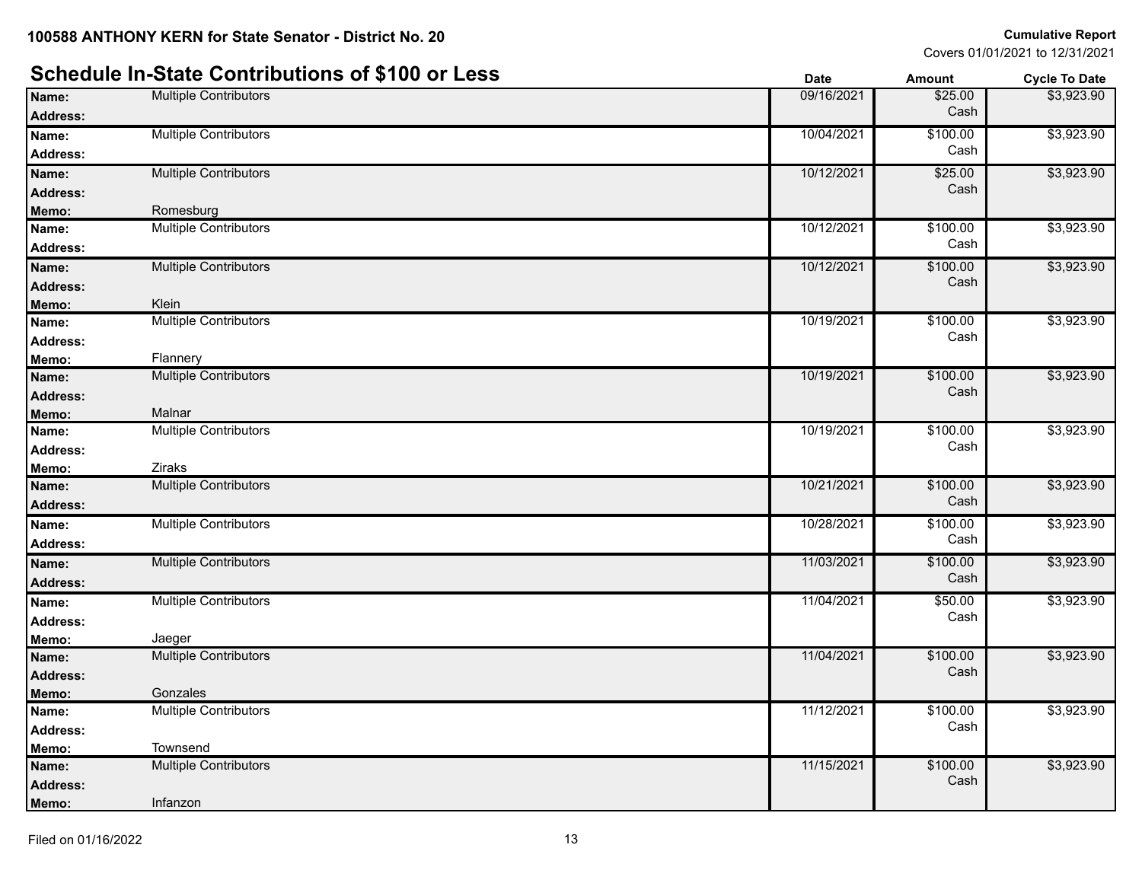#### **Schedule In-State Contributions of \$100 or Less Date Date Date Amount Cycle To Date Name:** Multiple Contributors **Multiple Contributors Contributors Contributors Contributors Contributors Contributors Contributors Contributors Contributors Contributors Contributors Contributors Co Address:** Cash \$3,923.90 **Name:** Multiple Contributors **10/04/2021** \$100.00 **Address:** Cash \$3,923.90 **Name:** Multiple Contributors **10/12/2021** \$25.00 **Address:** Cash \$3,923.90 **Memo:** Romesburg **Name:** Multiple Contributors **10/12/2021** \$100.00 **Address:** Cash \$3,923.90 **Name:** Multiple Contributors **10/12/2021** \$100.00 **Address:** Cash \$3,923.90 **Memo:** Klein **Name:** Multiple Contributors **10/19/2021** \$100.00 **Address:** Cash \$3,923.90 **Memo:** Flannery **Name:** Multiple Contributors **10/19/2021** \$100.00 **Address:** Cash \$3,923.90 **Memo:** Malnar **Name:** Multiple Contributors **10/19/2021** \$100.00 **Address:** Cash \$3,923.90 **Memo:** Ziraks **Name:** Multiple Contributors **10/21/2021** \$100.00 **Address:** Cash \$3,923.90 **Name:** Multiple Contributors **10/28/2021** \$100.00 **Address:** Cash \$3,923.90 **Name:** Multiple Contributors **11/03/2021** \$100.00 **Address:** Cash \$3,923.90 **Name:** Multiple Contributors **11/04/2021 550.00 11/04/2021 550.00 Address:** Cash \$3,923.90 **Memo:** Jaeger **Name:** Multiple Contributors **11/04/2021** \$100.00<br> **Address:** 11/04/2021 \$100.00 **Address:** Cash \$3,923.90 **Memo:** Gonzales **Name:** Multiple Contributors **11/12/2021** \$100.00 **Address:** Cash \$3,923.90 **Memo:** Townsend **Name:** Multiple Contributors **11/15/2021** \$100.00<br> **Address:** 11/15/2021 \$100.00 **Address:** Cash \$3,923.90 **Memo:** Infanzon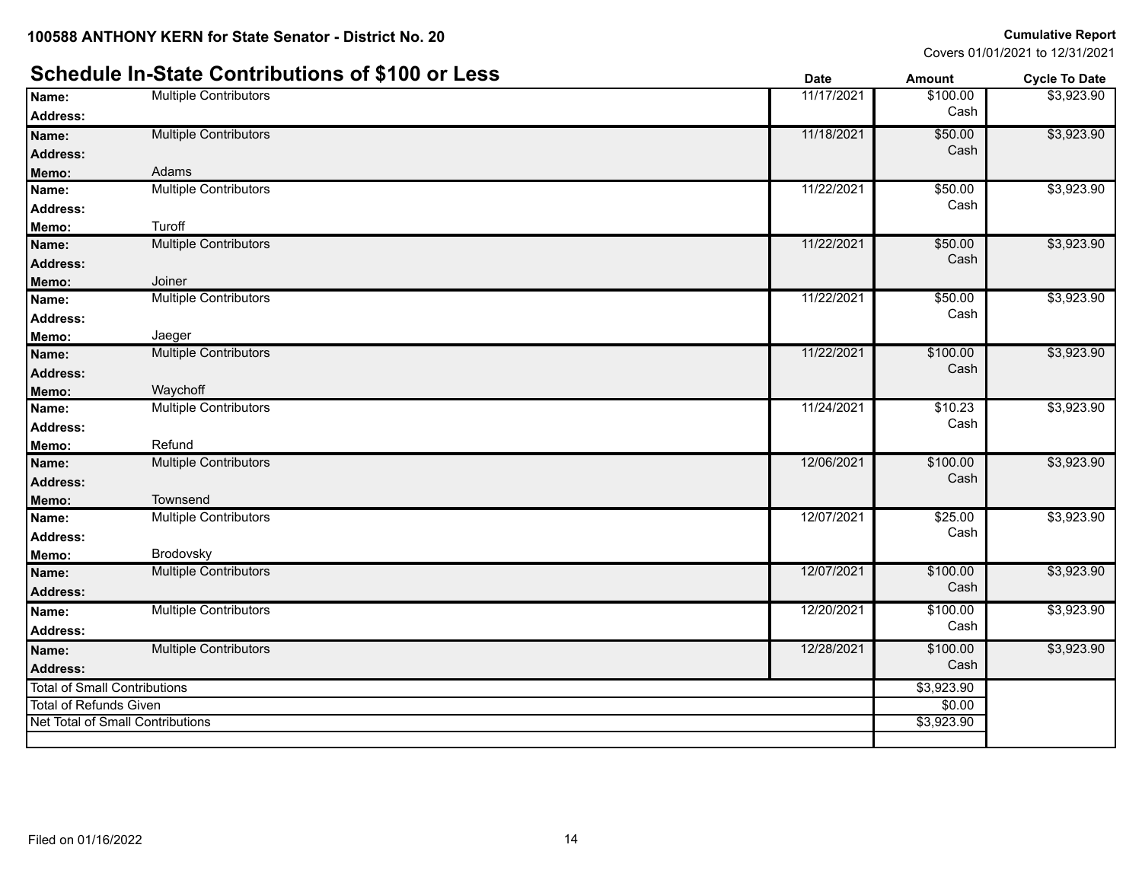### **Schedule In-State Contributions of \$100 or Less Date Date Amount Amount Cycle To Date**

|                                     |                                         | υαισ       | AIIIvuii   | <b>OVUE TO DATE</b> |
|-------------------------------------|-----------------------------------------|------------|------------|---------------------|
| Name:                               | <b>Multiple Contributors</b>            | 11/17/2021 | \$100.00   | \$3,923.90          |
| Address:                            |                                         |            | Cash       |                     |
| Name:                               | <b>Multiple Contributors</b>            | 11/18/2021 | \$50.00    | \$3,923.90          |
| <b>Address:</b>                     |                                         |            | Cash       |                     |
| Memo:                               | Adams                                   |            |            |                     |
| Name:                               | <b>Multiple Contributors</b>            | 11/22/2021 | \$50.00    | \$3,923.90          |
| <b>Address:</b>                     |                                         |            | Cash       |                     |
| Memo:                               | Turoff                                  |            |            |                     |
| Name:                               | <b>Multiple Contributors</b>            | 11/22/2021 | \$50.00    | \$3,923.90          |
| <b>Address:</b>                     |                                         |            | Cash       |                     |
| Memo:                               | Joiner                                  |            |            |                     |
| Name:                               | <b>Multiple Contributors</b>            | 11/22/2021 | \$50.00    | \$3,923.90          |
| <b>Address:</b>                     |                                         |            | Cash       |                     |
| Memo:                               | Jaeger                                  |            |            |                     |
| Name:                               | <b>Multiple Contributors</b>            | 11/22/2021 | \$100.00   | \$3,923.90          |
| <b>Address:</b>                     |                                         |            | Cash       |                     |
| Memo:                               | Waychoff                                |            |            |                     |
| Name:                               | <b>Multiple Contributors</b>            | 11/24/2021 | \$10.23    | \$3,923.90          |
| <b>Address:</b>                     |                                         |            | Cash       |                     |
| Memo:                               | Refund                                  |            |            |                     |
| Name:                               | <b>Multiple Contributors</b>            | 12/06/2021 | \$100.00   | \$3,923.90          |
| <b>Address:</b>                     |                                         |            | Cash       |                     |
| Memo:                               | Townsend                                |            |            |                     |
| Name:                               | <b>Multiple Contributors</b>            | 12/07/2021 | \$25.00    | \$3,923.90          |
| <b>Address:</b>                     |                                         |            | Cash       |                     |
| Memo:                               | Brodovsky                               |            |            |                     |
| Name:                               | <b>Multiple Contributors</b>            | 12/07/2021 | \$100.00   | \$3,923.90          |
| <b>Address:</b>                     |                                         |            | Cash       |                     |
| Name:                               | <b>Multiple Contributors</b>            | 12/20/2021 | \$100.00   | \$3,923.90          |
| Address:                            |                                         |            | Cash       |                     |
| Name:                               | <b>Multiple Contributors</b>            | 12/28/2021 | \$100.00   | \$3,923.90          |
| <b>Address:</b>                     |                                         |            | Cash       |                     |
| <b>Total of Small Contributions</b> |                                         | \$3,923.90 |            |                     |
| <b>Total of Refunds Given</b>       |                                         |            | \$0.00     |                     |
|                                     | <b>Net Total of Small Contributions</b> |            | \$3,923.90 |                     |
|                                     |                                         |            |            |                     |
|                                     |                                         |            |            |                     |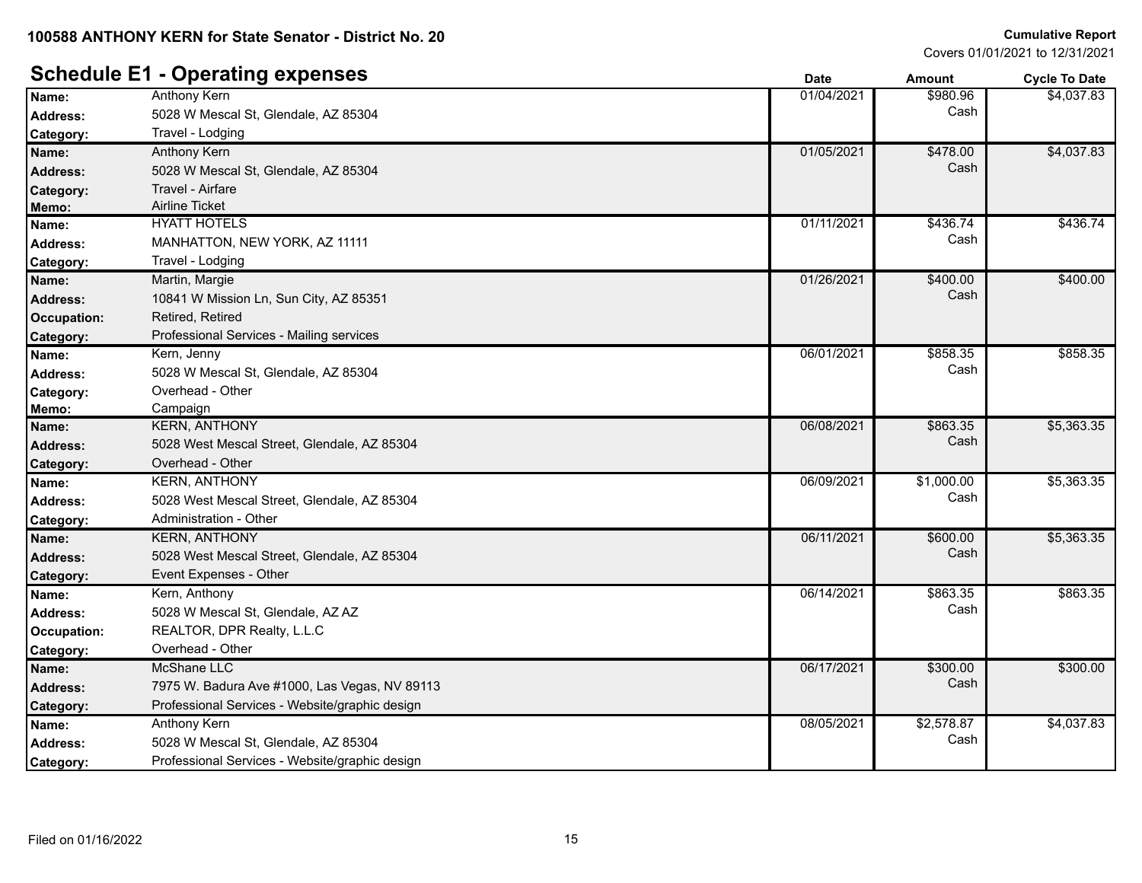### **Schedule E1 - Operating expenses**

|                 | - - -- - - ອ                                   | Pale       | Allivulit  | Oyult To Date |
|-----------------|------------------------------------------------|------------|------------|---------------|
| Name:           | <b>Anthony Kern</b>                            | 01/04/2021 | \$980.96   | \$4,037.83    |
| <b>Address:</b> | 5028 W Mescal St, Glendale, AZ 85304           |            | Cash       |               |
| Category:       | Travel - Lodging                               |            |            |               |
| Name:           | Anthony Kern                                   | 01/05/2021 | \$478.00   | \$4,037.83    |
| <b>Address:</b> | 5028 W Mescal St, Glendale, AZ 85304           |            | Cash       |               |
| Category:       | Travel - Airfare                               |            |            |               |
| Memo:           | <b>Airline Ticket</b>                          |            |            |               |
| Name:           | <b>HYATT HOTELS</b>                            | 01/11/2021 | \$436.74   | \$436.74      |
| <b>Address:</b> | MANHATTON, NEW YORK, AZ 11111                  |            | Cash       |               |
| Category:       | Travel - Lodging                               |            |            |               |
| Name:           | Martin, Margie                                 | 01/26/2021 | \$400.00   | \$400.00      |
| Address:        | 10841 W Mission Ln, Sun City, AZ 85351         |            | Cash       |               |
| Occupation:     | Retired, Retired                               |            |            |               |
| Category:       | Professional Services - Mailing services       |            |            |               |
| Name:           | Kern, Jenny                                    | 06/01/2021 | \$858.35   | \$858.35      |
| <b>Address:</b> | 5028 W Mescal St, Glendale, AZ 85304           |            | Cash       |               |
| Category:       | Overhead - Other                               |            |            |               |
| Memo:           | Campaign                                       |            |            |               |
| Name:           | <b>KERN, ANTHONY</b>                           | 06/08/2021 | \$863.35   | \$5,363.35    |
| <b>Address:</b> | 5028 West Mescal Street, Glendale, AZ 85304    |            | Cash       |               |
| Category:       | Overhead - Other                               |            |            |               |
| Name:           | <b>KERN, ANTHONY</b>                           | 06/09/2021 | \$1,000.00 | \$5,363.35    |
| <b>Address:</b> | 5028 West Mescal Street, Glendale, AZ 85304    |            | Cash       |               |
| Category:       | Administration - Other                         |            |            |               |
| Name:           | <b>KERN, ANTHONY</b>                           | 06/11/2021 | \$600.00   | \$5,363.35    |
| <b>Address:</b> | 5028 West Mescal Street, Glendale, AZ 85304    |            | Cash       |               |
| Category:       | Event Expenses - Other                         |            |            |               |
| Name:           | Kern, Anthony                                  | 06/14/2021 | \$863.35   | \$863.35      |
| <b>Address:</b> | 5028 W Mescal St, Glendale, AZ AZ              |            | Cash       |               |
| Occupation:     | REALTOR, DPR Realty, L.L.C                     |            |            |               |
| Category:       | Overhead - Other                               |            |            |               |
| Name:           | <b>McShane LLC</b>                             | 06/17/2021 | \$300.00   | \$300.00      |
| Address:        | 7975 W. Badura Ave #1000, Las Vegas, NV 89113  |            | Cash       |               |
| Category:       | Professional Services - Website/graphic design |            |            |               |
| Name:           | Anthony Kern                                   | 08/05/2021 | \$2,578.87 | \$4,037.83    |
| <b>Address:</b> | 5028 W Mescal St, Glendale, AZ 85304           |            | Cash       |               |
| Category:       | Professional Services - Website/graphic design |            |            |               |
|                 |                                                |            |            |               |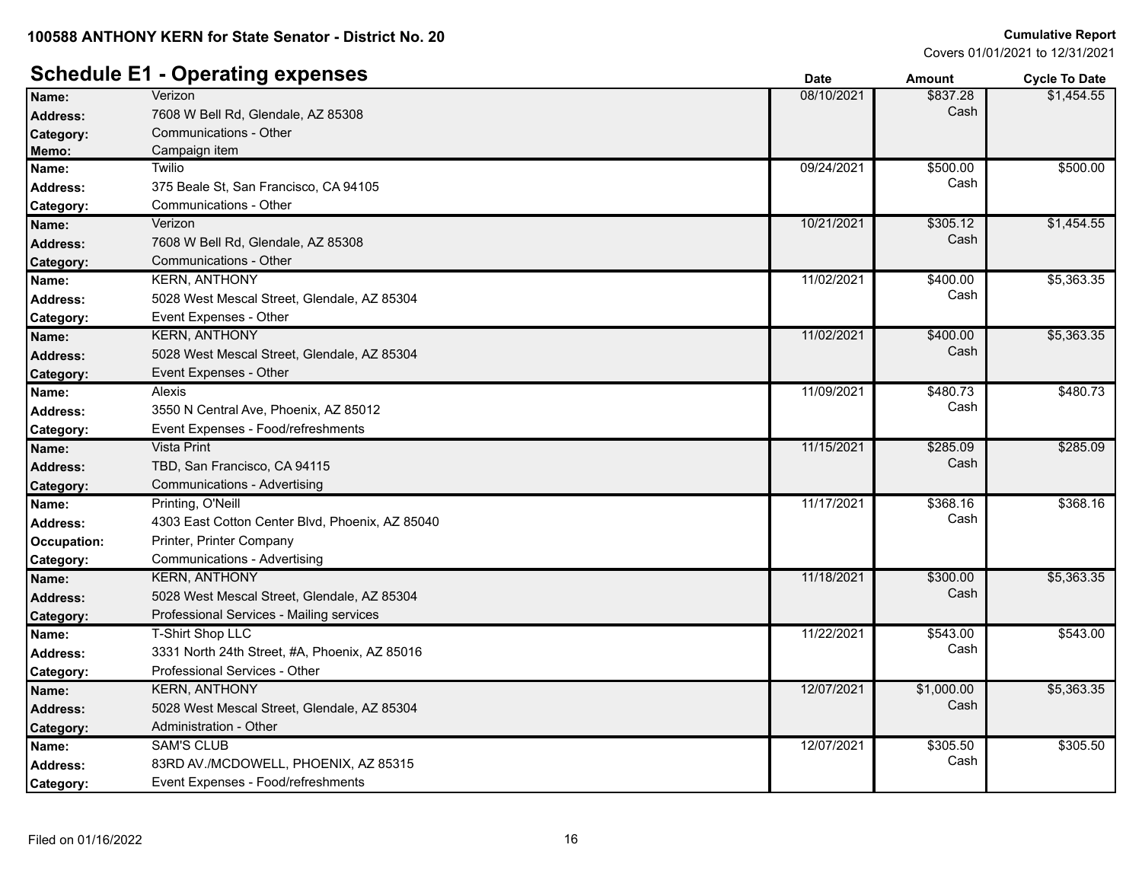#### **100588 ANTHONY KERN for State Senator - District No. 20**

#### **Cumulative Report**

Covers 01/01/2021 to 12/31/2021

#### **Schedule E1 - Operating expenses Date Date Date Amount Cycle To Date**

|                    | ີ                                               |            |            |            |
|--------------------|-------------------------------------------------|------------|------------|------------|
| Name:              | Verizon                                         | 08/10/2021 | \$837.28   | \$1,454.55 |
| <b>Address:</b>    | 7608 W Bell Rd, Glendale, AZ 85308              |            | Cash       |            |
| Category:          | Communications - Other                          |            |            |            |
| Memo:              | Campaign item                                   |            |            |            |
| Name:              | <b>Twilio</b>                                   | 09/24/2021 | \$500.00   | \$500.00   |
| <b>Address:</b>    | 375 Beale St, San Francisco, CA 94105           |            | Cash       |            |
| Category:          | Communications - Other                          |            |            |            |
| Name:              | Verizon                                         | 10/21/2021 | \$305.12   | \$1,454.55 |
| <b>Address:</b>    | 7608 W Bell Rd, Glendale, AZ 85308              |            | Cash       |            |
| Category:          | Communications - Other                          |            |            |            |
| Name:              | <b>KERN, ANTHONY</b>                            | 11/02/2021 | \$400.00   | \$5,363.35 |
| <b>Address:</b>    | 5028 West Mescal Street, Glendale, AZ 85304     |            | Cash       |            |
| Category:          | Event Expenses - Other                          |            |            |            |
| Name:              | <b>KERN, ANTHONY</b>                            | 11/02/2021 | \$400.00   | \$5,363.35 |
| <b>Address:</b>    | 5028 West Mescal Street, Glendale, AZ 85304     |            | Cash       |            |
| Category:          | Event Expenses - Other                          |            |            |            |
| Name:              | <b>Alexis</b>                                   | 11/09/2021 | \$480.73   | \$480.73   |
| <b>Address:</b>    | 3550 N Central Ave, Phoenix, AZ 85012           |            | Cash       |            |
| Category:          | Event Expenses - Food/refreshments              |            |            |            |
| Name:              | <b>Vista Print</b>                              | 11/15/2021 | \$285.09   | \$285.09   |
| <b>Address:</b>    | TBD, San Francisco, CA 94115                    |            | Cash       |            |
| Category:          | Communications - Advertising                    |            |            |            |
| Name:              | Printing, O'Neill                               | 11/17/2021 | \$368.16   | \$368.16   |
| Address:           | 4303 East Cotton Center Blvd, Phoenix, AZ 85040 |            | Cash       |            |
| <b>Occupation:</b> | Printer, Printer Company                        |            |            |            |
| Category:          | Communications - Advertising                    |            |            |            |
| Name:              | <b>KERN, ANTHONY</b>                            | 11/18/2021 | \$300.00   | \$5,363.35 |
| <b>Address:</b>    | 5028 West Mescal Street, Glendale, AZ 85304     |            | Cash       |            |
| Category:          | Professional Services - Mailing services        |            |            |            |
| Name:              | <b>T-Shirt Shop LLC</b>                         | 11/22/2021 | \$543.00   | \$543.00   |
| <b>Address:</b>    | 3331 North 24th Street, #A, Phoenix, AZ 85016   |            | Cash       |            |
| Category:          | Professional Services - Other                   |            |            |            |
| Name:              | <b>KERN, ANTHONY</b>                            | 12/07/2021 | \$1,000.00 | \$5,363.35 |
| <b>Address:</b>    | 5028 West Mescal Street, Glendale, AZ 85304     |            | Cash       |            |
| Category:          | Administration - Other                          |            |            |            |
| Name:              | <b>SAM'S CLUB</b>                               | 12/07/2021 | \$305.50   | \$305.50   |
| Address:           | 83RD AV./MCDOWELL, PHOENIX, AZ 85315            |            | Cash       |            |
| <b>Category:</b>   | Event Expenses - Food/refreshments              |            |            |            |
|                    |                                                 |            |            |            |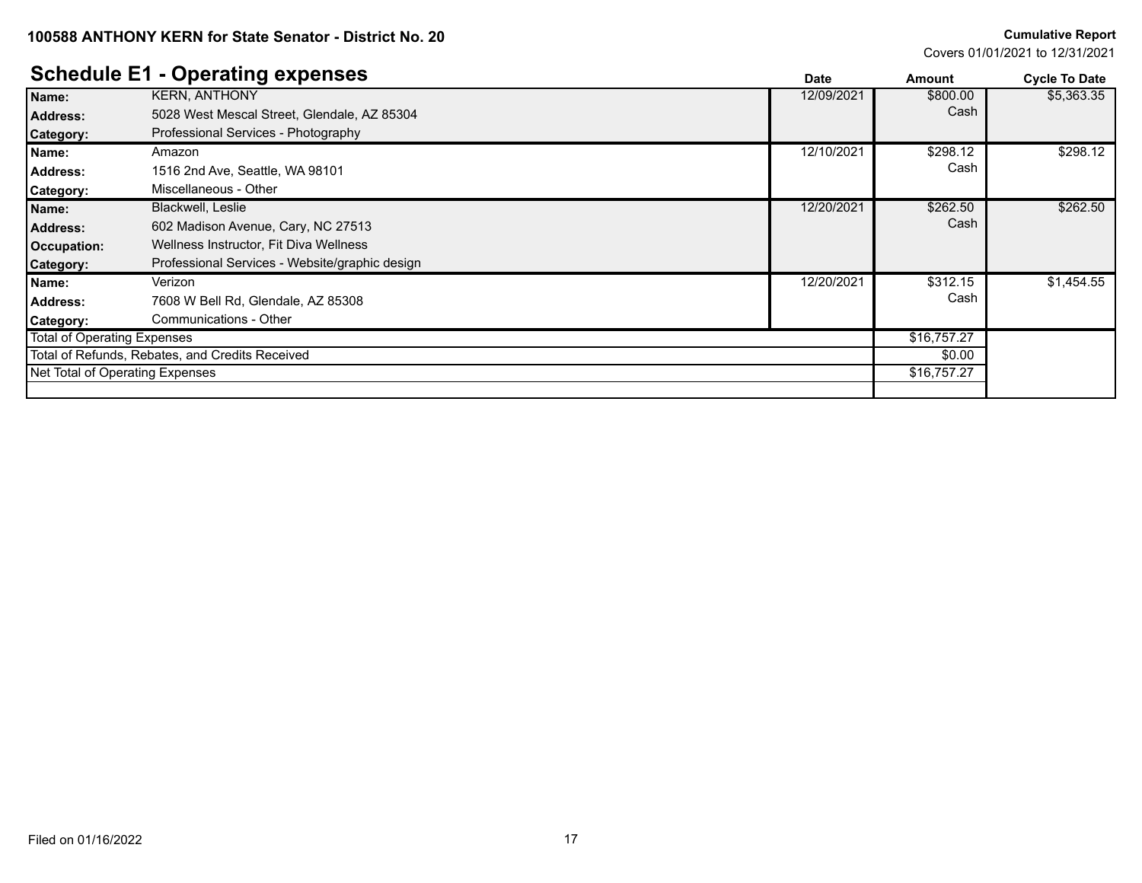#### **100588 ANTHONY KERN for State Senator - District No. 20**

#### **Cumulative Report**

Covers 01/01/2021 to 12/31/2021

### **Schedule E1 - Operating expenses**

|                                 | Scributive El - Operating experises             | <b>Date</b> | Amount      | <b>Cycle To Date</b> |
|---------------------------------|-------------------------------------------------|-------------|-------------|----------------------|
| Name:                           | <b>KERN, ANTHONY</b>                            | 12/09/2021  | \$800.00    | \$5,363.35           |
| <b>Address:</b>                 | 5028 West Mescal Street, Glendale, AZ 85304     |             | Cash        |                      |
| <b>Category:</b>                | Professional Services - Photography             |             |             |                      |
| Name:                           | Amazon                                          | 12/10/2021  | \$298.12    | \$298.12             |
| <b>Address:</b>                 | 1516 2nd Ave, Seattle, WA 98101                 |             | Cash        |                      |
| <b>Category:</b>                | Miscellaneous - Other                           |             |             |                      |
| Name:                           | Blackwell, Leslie                               | 12/20/2021  | \$262.50    | \$262.50             |
| <b>Address:</b>                 | 602 Madison Avenue, Cary, NC 27513              |             | Cash        |                      |
| Occupation:                     | Wellness Instructor, Fit Diva Wellness          |             |             |                      |
| Category:                       | Professional Services - Website/graphic design  |             |             |                      |
| Name:                           | Verizon                                         | 12/20/2021  | \$312.15    | \$1,454.55           |
| <b>Address:</b>                 | 7608 W Bell Rd, Glendale, AZ 85308              |             | Cash        |                      |
| <b>Category:</b>                | Communications - Other                          |             |             |                      |
| Total of Operating Expenses     |                                                 |             | \$16,757.27 |                      |
|                                 | Total of Refunds, Rebates, and Credits Received |             | \$0.00      |                      |
| Net Total of Operating Expenses |                                                 |             | \$16,757.27 |                      |
|                                 |                                                 |             |             |                      |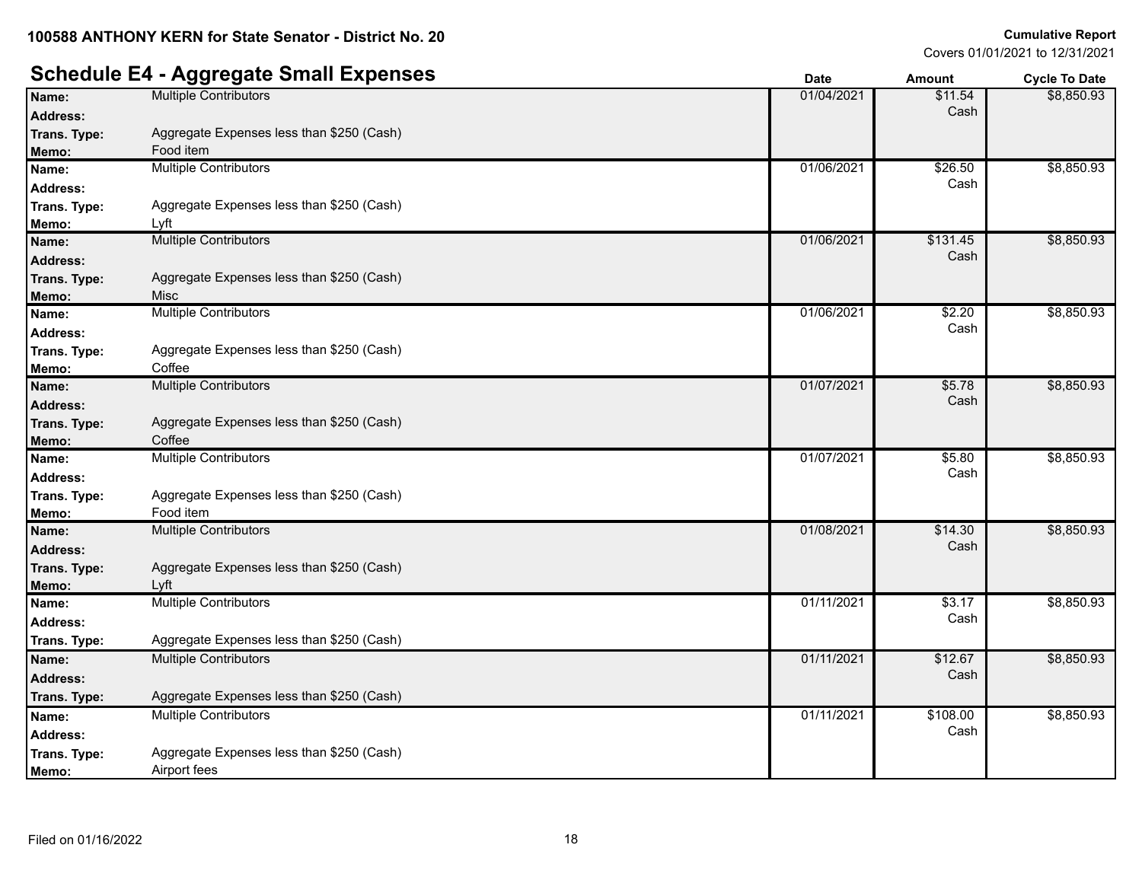### **Schedule E4 - Aggregate Small Expenses Date Date Date Amount Cycle To Date**

|                 | ສສ. - ສີ່                                 | puw        | мночн    | oyono to bato |
|-----------------|-------------------------------------------|------------|----------|---------------|
| Name:           | <b>Multiple Contributors</b>              | 01/04/2021 | \$11.54  | \$8,850.93    |
| Address:        |                                           |            | Cash     |               |
| Trans. Type:    | Aggregate Expenses less than \$250 (Cash) |            |          |               |
| Memo:           | Food item                                 |            |          |               |
| Name:           | <b>Multiple Contributors</b>              | 01/06/2021 | \$26.50  | \$8,850.93    |
| <b>Address:</b> |                                           |            | Cash     |               |
| Trans. Type:    | Aggregate Expenses less than \$250 (Cash) |            |          |               |
| Memo:           | Lyft                                      |            |          |               |
| Name:           | <b>Multiple Contributors</b>              | 01/06/2021 | \$131.45 | \$8,850.93    |
| <b>Address:</b> |                                           |            | Cash     |               |
| Trans. Type:    | Aggregate Expenses less than \$250 (Cash) |            |          |               |
| Memo:           | Misc                                      |            |          |               |
| Name:           | <b>Multiple Contributors</b>              | 01/06/2021 | \$2.20   | \$8,850.93    |
| <b>Address:</b> |                                           |            | Cash     |               |
| Trans. Type:    | Aggregate Expenses less than \$250 (Cash) |            |          |               |
| Memo:           | Coffee                                    |            |          |               |
| Name:           | <b>Multiple Contributors</b>              | 01/07/2021 | \$5.78   | \$8,850.93    |
| <b>Address:</b> |                                           |            | Cash     |               |
| Trans. Type:    | Aggregate Expenses less than \$250 (Cash) |            |          |               |
| Memo:           | Coffee                                    |            |          |               |
| Name:           | <b>Multiple Contributors</b>              | 01/07/2021 | \$5.80   | \$8,850.93    |
| <b>Address:</b> |                                           |            | Cash     |               |
| Trans. Type:    | Aggregate Expenses less than \$250 (Cash) |            |          |               |
| Memo:           | Food item                                 |            |          |               |
| Name:           | <b>Multiple Contributors</b>              | 01/08/2021 | \$14.30  | \$8,850.93    |
| <b>Address:</b> |                                           |            | Cash     |               |
| Trans. Type:    | Aggregate Expenses less than \$250 (Cash) |            |          |               |
| Memo:           | Lyft                                      |            |          |               |
| Name:           | <b>Multiple Contributors</b>              | 01/11/2021 | \$3.17   | \$8,850.93    |
| <b>Address:</b> |                                           |            | Cash     |               |
| Trans. Type:    | Aggregate Expenses less than \$250 (Cash) |            |          |               |
| Name:           | <b>Multiple Contributors</b>              | 01/11/2021 | \$12.67  | \$8,850.93    |
| <b>Address:</b> |                                           |            | Cash     |               |
| Trans. Type:    | Aggregate Expenses less than \$250 (Cash) |            |          |               |
| Name:           | <b>Multiple Contributors</b>              | 01/11/2021 | \$108.00 | \$8,850.93    |
| <b>Address:</b> |                                           |            | Cash     |               |
| Trans. Type:    | Aggregate Expenses less than \$250 (Cash) |            |          |               |
| Memo:           | Airport fees                              |            |          |               |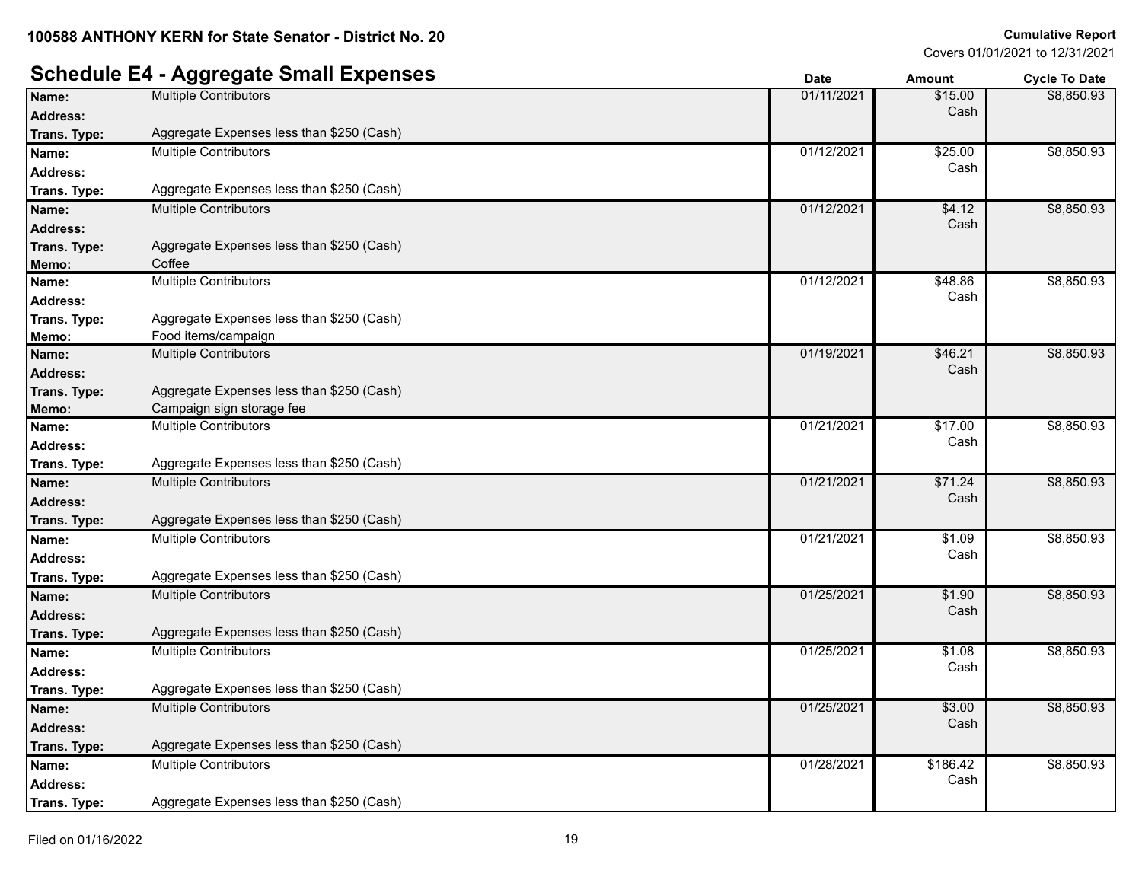### **Schedule E4 - Aggregate Small Expenses Burnet Computer and Cycle To Date** *Cycle To Date*

| UVIIVWIV LT     | Aggregate Oman Expenses                   | Date       | Amount   | Cycle to Date |
|-----------------|-------------------------------------------|------------|----------|---------------|
| Name:           | <b>Multiple Contributors</b>              | 01/11/2021 | \$15.00  | \$8,850.93    |
| <b>Address:</b> |                                           |            | Cash     |               |
| Trans. Type:    | Aggregate Expenses less than \$250 (Cash) |            |          |               |
| Name:           | <b>Multiple Contributors</b>              | 01/12/2021 | \$25.00  | \$8,850.93    |
| <b>Address:</b> |                                           |            | Cash     |               |
| Trans. Type:    | Aggregate Expenses less than \$250 (Cash) |            |          |               |
| Name:           | <b>Multiple Contributors</b>              | 01/12/2021 | \$4.12   | \$8,850.93    |
| <b>Address:</b> |                                           |            | Cash     |               |
| Trans. Type:    | Aggregate Expenses less than \$250 (Cash) |            |          |               |
| Memo:           | Coffee                                    |            |          |               |
| Name:           | <b>Multiple Contributors</b>              | 01/12/2021 | \$48.86  | \$8,850.93    |
| <b>Address:</b> |                                           |            | Cash     |               |
| Trans. Type:    | Aggregate Expenses less than \$250 (Cash) |            |          |               |
| Memo:           | Food items/campaign                       |            |          |               |
| Name:           | <b>Multiple Contributors</b>              | 01/19/2021 | \$46.21  | \$8,850.93    |
| <b>Address:</b> |                                           |            | Cash     |               |
| Trans. Type:    | Aggregate Expenses less than \$250 (Cash) |            |          |               |
| Memo:           | Campaign sign storage fee                 |            |          |               |
| Name:           | <b>Multiple Contributors</b>              | 01/21/2021 | \$17.00  | \$8,850.93    |
| <b>Address:</b> |                                           |            | Cash     |               |
| Trans. Type:    | Aggregate Expenses less than \$250 (Cash) |            |          |               |
| Name:           | <b>Multiple Contributors</b>              | 01/21/2021 | \$71.24  | \$8,850.93    |
| <b>Address:</b> |                                           |            | Cash     |               |
| Trans. Type:    | Aggregate Expenses less than \$250 (Cash) |            |          |               |
| Name:           | <b>Multiple Contributors</b>              | 01/21/2021 | \$1.09   | \$8,850.93    |
| Address:        |                                           |            | Cash     |               |
| Trans. Type:    | Aggregate Expenses less than \$250 (Cash) |            |          |               |
| Name:           | <b>Multiple Contributors</b>              | 01/25/2021 | \$1.90   | \$8,850.93    |
| <b>Address:</b> |                                           |            | Cash     |               |
| Trans. Type:    | Aggregate Expenses less than \$250 (Cash) |            |          |               |
| Name:           | <b>Multiple Contributors</b>              | 01/25/2021 | \$1.08   | \$8,850.93    |
| <b>Address:</b> |                                           |            | Cash     |               |
| Trans. Type:    | Aggregate Expenses less than \$250 (Cash) |            |          |               |
| Name:           | <b>Multiple Contributors</b>              | 01/25/2021 | \$3.00   | \$8,850.93    |
| <b>Address:</b> |                                           |            | Cash     |               |
| Trans. Type:    | Aggregate Expenses less than \$250 (Cash) |            |          |               |
| Name:           | <b>Multiple Contributors</b>              | 01/28/2021 | \$186.42 | \$8,850.93    |
| <b>Address:</b> |                                           |            | Cash     |               |
| Trans. Type:    | Aggregate Expenses less than \$250 (Cash) |            |          |               |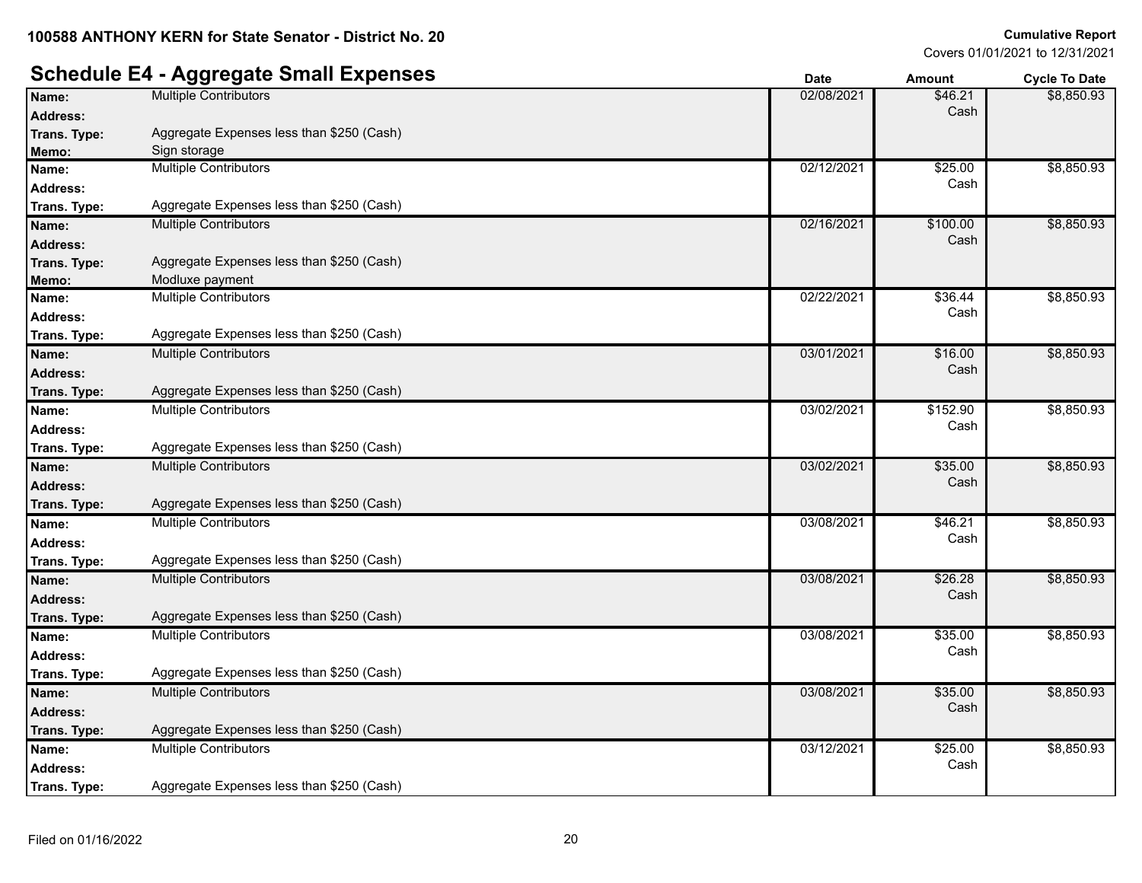#### **Schedule E4 - Aggregate Small Expenses Date Date Date Amount Cycle To Date Name:** Multiple Contributors **12/08/2021 \$46.21** \$46.21 **Address:** Cash \$8,850.93 **Trans. Type :** Aggregate Expenses less than \$250 (Cash) **Memo:** Sign storage **Name:** Multiple Contributors **625.00 12/12/2021 625.00 12/12/2021 625.00 12/12/2021 625.00 Address:** Cash \$8,850.93 **Trans. Type :** Aggregate Expenses less than \$250 (Cash) **Name:** Multiple Contributors **12/16/2021 62/16/2021 62/16/2021 63100.00 Address:** Cash \$8,850.93 **Trans. Type :** Aggregate Expenses less than \$250 (Cash) **Memo:** Modluxe payment **Name:** Multiple Contributors 636.44<br> **Address:** 02/22/2021 \$36.44<br> **Address:** Cash **Address:** Cash \$8,850.93 **Trans. Type :** Aggregate Expenses less than \$250 (Cash) **Name:** Multiple Contributors **16.00 16.00 16.00 16.00 17.100 17.100 17.100 18.00 17.100 18.00 18.00 18.00 18.00 18.00 18.00 18.00 18.00 18.00 18.00 18.00 18.00 18.00 18.00 18. Address:** Cash \$8,850.93 **Trans. Type :** Aggregate Expenses less than \$250 (Cash) **Name:** Multiple Contributors **12/03/02/2021 3152.90 63/02/2021 5152.90 Address:** Cash \$8,850.93 **Trans. Type :** Aggregate Expenses less than \$250 (Cash) **Name:** Multiple Contributors **635.00 Multiple Contributors 12.535.00 13.500 13.500 13.500 13.500 13.500 13.500 13.500 13.500 13.500 13.500 13.500 13.500 13.500 13.500 13.500 13.500 13 Address:** Cash \$8,850.93 **Trans. Type :** Aggregate Expenses less than \$250 (Cash) **Name:** Multiple Contributors **Multiple Contributors Contributors Contributors Contributors Contributors Contributors Contributors Contributors Contributors Contributors Contributors Contributors Co Address:** Cash \$8,850.93 **Trans. Type :** Aggregate Expenses less than \$250 (Cash) **Name:** Multiple Contributors 626.28<br> **Address:** 03/08/2021 \$26.28<br> **Address:** Cash **Address:** Cash \$8,850.93 **Trans. Type :** Aggregate Expenses less than \$250 (Cash) **Name:** Multiple Contributors **1998 Name:** 03/08/2021 **635.00 Address:** Cash \$8,850.93 **Trans. Type :** Aggregate Expenses less than \$250 (Cash) **Name:** Multiple Contributors **12.535.00 12.535.00 13.635.00 13.635.00 13.635.00 13.635.00 13.635.00 13.635.00 Address:** Cash \$8,850.93 **Trans. Type :** Aggregate Expenses less than \$250 (Cash) **Name:** Multiple Contributors **625.00 63/12/2021 63/12/2021 63/12/2021 63/12/2021 63/12/2021 63/12/2021 63/12/2021 63/12/2021 63/12/2021 63/12/2021 63/12/2021 63/12/2021 63/12/2021 63/12/2021 Address:** Cash \$8,850.93 **Trans. Type :** Aggregate Expenses less than \$250 (Cash)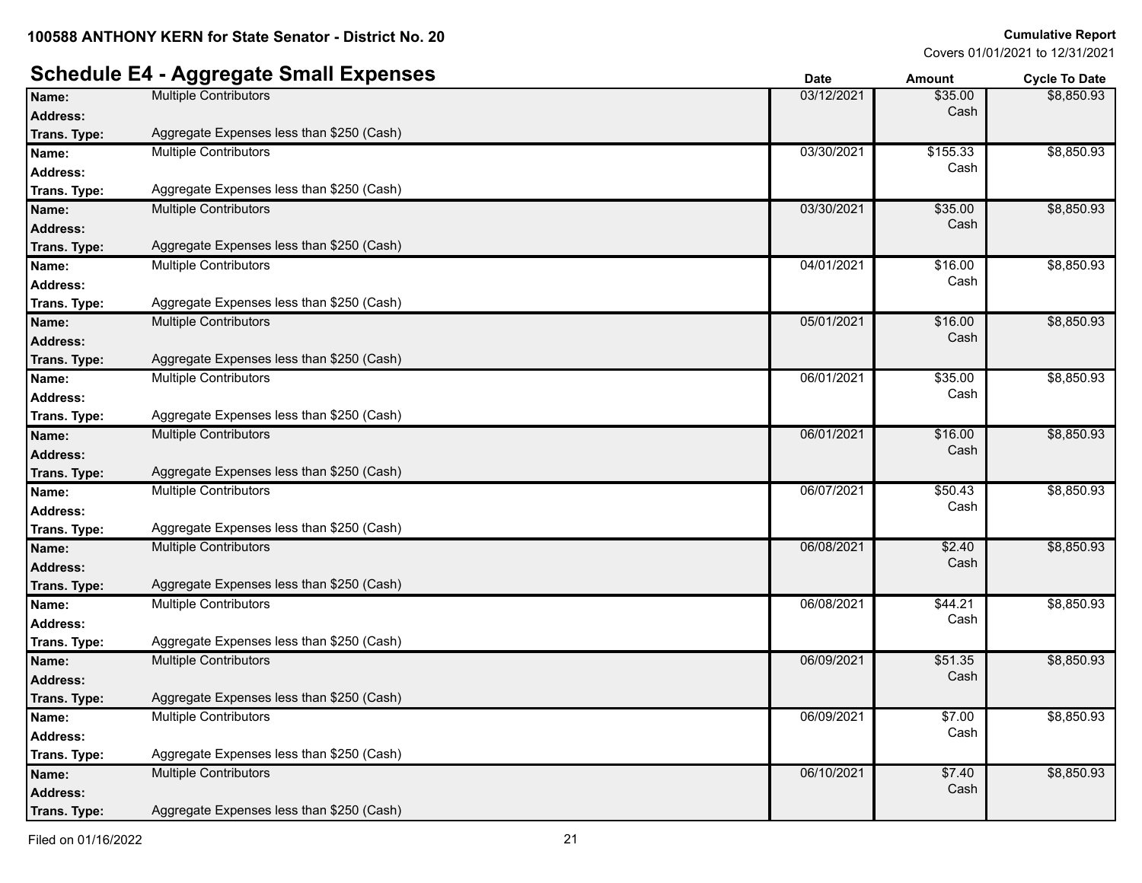### **Schedule E4 - Aggregate Small Expenses**

|                 |                                           | υαισ       | Allioulit | <b>OVUE TO DATE</b> |
|-----------------|-------------------------------------------|------------|-----------|---------------------|
| Name:           | <b>Multiple Contributors</b>              | 03/12/2021 | \$35.00   | \$8,850.93          |
| <b>Address:</b> |                                           |            | Cash      |                     |
| Trans. Type:    | Aggregate Expenses less than \$250 (Cash) |            |           |                     |
| Name:           | Multiple Contributors                     | 03/30/2021 | \$155.33  | \$8,850.93          |
| <b>Address:</b> |                                           |            | Cash      |                     |
| Trans. Type:    | Aggregate Expenses less than \$250 (Cash) |            |           |                     |
| Name:           | <b>Multiple Contributors</b>              | 03/30/2021 | \$35.00   | \$8,850.93          |
| <b>Address:</b> |                                           |            | Cash      |                     |
| Trans. Type:    | Aggregate Expenses less than \$250 (Cash) |            |           |                     |
| Name:           | <b>Multiple Contributors</b>              | 04/01/2021 | \$16.00   | \$8,850.93          |
| <b>Address:</b> |                                           |            | Cash      |                     |
| Trans. Type:    | Aggregate Expenses less than \$250 (Cash) |            |           |                     |
| Name:           | <b>Multiple Contributors</b>              | 05/01/2021 | \$16.00   | \$8,850.93          |
| <b>Address:</b> |                                           |            | Cash      |                     |
| Trans. Type:    | Aggregate Expenses less than \$250 (Cash) |            |           |                     |
| Name:           | <b>Multiple Contributors</b>              | 06/01/2021 | \$35.00   | \$8,850.93          |
| <b>Address:</b> |                                           |            | Cash      |                     |
| Trans. Type:    | Aggregate Expenses less than \$250 (Cash) |            |           |                     |
| Name:           | Multiple Contributors                     | 06/01/2021 | \$16.00   | \$8,850.93          |
| <b>Address:</b> |                                           |            | Cash      |                     |
| Trans. Type:    | Aggregate Expenses less than \$250 (Cash) |            |           |                     |
| Name:           | Multiple Contributors                     | 06/07/2021 | \$50.43   | \$8,850.93          |
| <b>Address:</b> |                                           |            | Cash      |                     |
| Trans. Type:    | Aggregate Expenses less than \$250 (Cash) |            |           |                     |
| Name:           | <b>Multiple Contributors</b>              | 06/08/2021 | \$2.40    | \$8,850.93          |
| <b>Address:</b> |                                           |            | Cash      |                     |
| Trans. Type:    | Aggregate Expenses less than \$250 (Cash) |            |           |                     |
| Name:           | <b>Multiple Contributors</b>              | 06/08/2021 | \$44.21   | \$8,850.93          |
| <b>Address:</b> |                                           |            | Cash      |                     |
| Trans. Type:    | Aggregate Expenses less than \$250 (Cash) |            |           |                     |
| Name:           | <b>Multiple Contributors</b>              | 06/09/2021 | \$51.35   | \$8,850.93          |
| <b>Address:</b> |                                           |            | Cash      |                     |
| Trans. Type:    | Aggregate Expenses less than \$250 (Cash) |            |           |                     |
| Name:           | <b>Multiple Contributors</b>              | 06/09/2021 | \$7.00    | \$8,850.93          |
| <b>Address:</b> |                                           |            | Cash      |                     |
| Trans. Type:    | Aggregate Expenses less than \$250 (Cash) |            |           |                     |
| Name:           | <b>Multiple Contributors</b>              | 06/10/2021 | \$7.40    | \$8,850.93          |
| <b>Address:</b> |                                           |            | Cash      |                     |
| Trans. Type:    | Aggregate Expenses less than \$250 (Cash) |            |           |                     |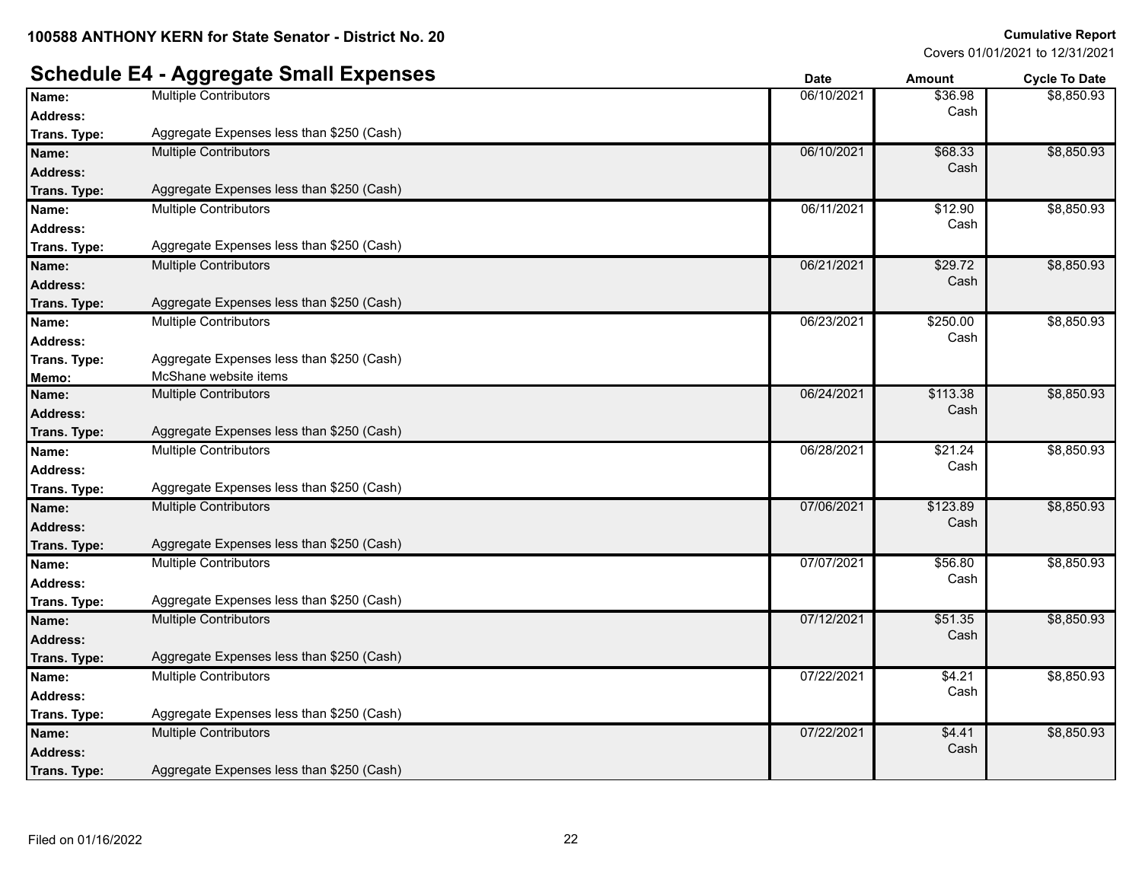|                 | <b>Schedule E4 - Aggregate Small Expenses</b> | <b>Date</b> | <b>Amount</b> | <b>Cycle To Date</b> |
|-----------------|-----------------------------------------------|-------------|---------------|----------------------|
| Name:           | <b>Multiple Contributors</b>                  | 06/10/2021  | \$36.98       | \$8,850.93           |
| <b>Address:</b> |                                               |             | Cash          |                      |
| Trans. Type:    | Aggregate Expenses less than \$250 (Cash)     |             |               |                      |
| Name:           | <b>Multiple Contributors</b>                  | 06/10/2021  | \$68.33       | \$8,850.93           |
| <b>Address:</b> |                                               |             | Cash          |                      |
| Trans. Type:    | Aggregate Expenses less than \$250 (Cash)     |             |               |                      |
| Name:           | <b>Multiple Contributors</b>                  | 06/11/2021  | \$12.90       | \$8,850.93           |
| <b>Address:</b> |                                               |             | Cash          |                      |
| Trans. Type:    | Aggregate Expenses less than \$250 (Cash)     |             |               |                      |
| Name:           | <b>Multiple Contributors</b>                  | 06/21/2021  | \$29.72       | \$8,850.93           |
| <b>Address:</b> |                                               |             | Cash          |                      |
| Trans. Type:    | Aggregate Expenses less than \$250 (Cash)     |             |               |                      |
| Name:           | <b>Multiple Contributors</b>                  | 06/23/2021  | \$250.00      | \$8,850.93           |
| <b>Address:</b> |                                               |             | Cash          |                      |
| Trans. Type:    | Aggregate Expenses less than \$250 (Cash)     |             |               |                      |
| Memo:           | McShane website items                         |             |               |                      |
| Name:           | <b>Multiple Contributors</b>                  | 06/24/2021  | \$113.38      | \$8,850.93           |
| <b>Address:</b> |                                               |             | Cash          |                      |
| Trans. Type:    | Aggregate Expenses less than \$250 (Cash)     |             |               |                      |
| Name:           | <b>Multiple Contributors</b>                  | 06/28/2021  | \$21.24       | \$8,850.93           |
| <b>Address:</b> |                                               |             | Cash          |                      |
| Trans. Type:    | Aggregate Expenses less than \$250 (Cash)     |             |               |                      |
| Name:           | <b>Multiple Contributors</b>                  | 07/06/2021  | \$123.89      | \$8,850.93           |
| Address:        |                                               |             | Cash          |                      |
| Trans. Type:    | Aggregate Expenses less than \$250 (Cash)     |             |               |                      |
| Name:           | <b>Multiple Contributors</b>                  | 07/07/2021  | \$56.80       | \$8,850.93           |
| <b>Address:</b> |                                               |             | Cash          |                      |
| Trans. Type:    | Aggregate Expenses less than \$250 (Cash)     |             |               |                      |
| Name:           | <b>Multiple Contributors</b>                  | 07/12/2021  | \$51.35       | \$8,850.93           |
| <b>Address:</b> |                                               |             | Cash          |                      |
| Trans. Type:    | Aggregate Expenses less than \$250 (Cash)     |             |               |                      |
| Name:           | <b>Multiple Contributors</b>                  | 07/22/2021  | \$4.21        | \$8,850.93           |
| <b>Address:</b> |                                               |             | Cash          |                      |
| Trans. Type:    | Aggregate Expenses less than \$250 (Cash)     |             |               |                      |
| Name:           | <b>Multiple Contributors</b>                  | 07/22/2021  | \$4.41        | \$8,850.93           |
| Address:        |                                               |             | Cash          |                      |
| Trans. Type:    | Aggregate Expenses less than \$250 (Cash)     |             |               |                      |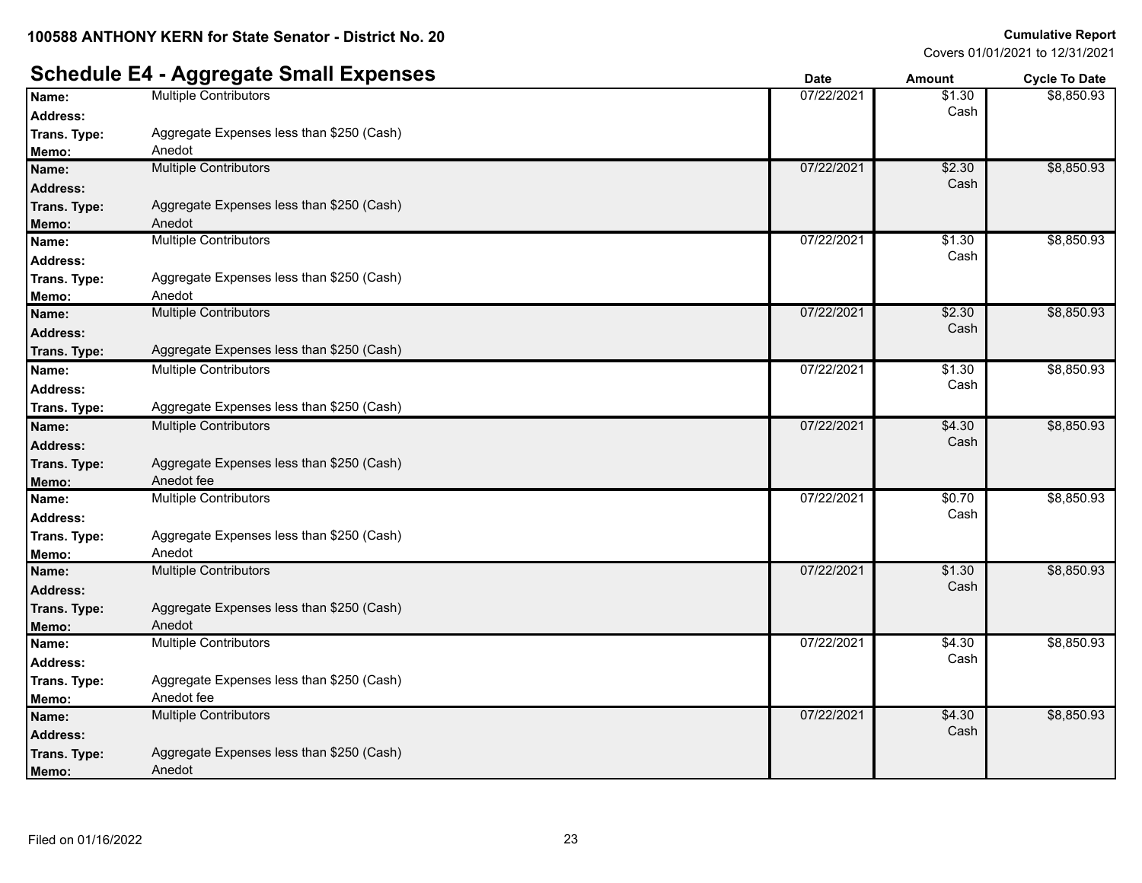## **Schedule E4 - Aggregate Small Expenses**<br> **Date Date Amount Cycle To Date**<br> **Date Date Amount Cycle To Date**<br> **Date Date Amount Cycle To Date**<br> **Date Date B1.30**

| Cash<br><b>Address:</b><br>Aggregate Expenses less than \$250 (Cash)<br>Trans. Type:<br>Anedot<br>Memo:<br>\$8,850.93<br>07/22/2021<br>\$2.30<br><b>Multiple Contributors</b><br>Name:<br>Cash<br><b>Address:</b><br>Aggregate Expenses less than \$250 (Cash)<br>Anedot<br>Memo:<br>07/22/2021<br>\$1.30<br><b>Multiple Contributors</b><br>Cash<br>Address:<br>Aggregate Expenses less than \$250 (Cash)<br>Trans. Type:<br>Anedot<br>Memo:<br>07/22/2021<br>\$2.30<br><b>Multiple Contributors</b><br>Name:<br>Cash<br><b>Address:</b><br>Aggregate Expenses less than \$250 (Cash)<br>Trans. Type:<br><b>Multiple Contributors</b><br>07/22/2021<br>\$1.30<br>Name:<br>Cash<br><b>Address:</b><br>Aggregate Expenses less than \$250 (Cash)<br>Trans. Type:<br>07/22/2021<br><b>Multiple Contributors</b><br>\$4.30<br>Name:<br>Cash<br><b>Address:</b><br>Aggregate Expenses less than \$250 (Cash)<br>Trans. Type:<br>Anedot fee<br>Memo:<br><b>Multiple Contributors</b><br>07/22/2021<br>\$0.70<br>Name:<br>Cash<br><b>Address:</b><br>Aggregate Expenses less than \$250 (Cash)<br>Trans. Type:<br>Anedot<br>Memo:<br><b>Multiple Contributors</b><br>07/22/2021<br>\$1.30<br>Name:<br>Cash<br><b>Address:</b><br>Aggregate Expenses less than \$250 (Cash)<br>Trans. Type:<br>Anedot<br>Memo:<br><b>Multiple Contributors</b><br>07/22/2021<br>\$4.30<br>Name:<br>Cash<br><b>Address:</b><br>Aggregate Expenses less than \$250 (Cash)<br>Trans. Type:<br>Anedot fee<br>Memo:<br><b>Multiple Contributors</b><br>07/22/2021<br>\$4.30<br>Name:<br>Cash<br><b>Address:</b><br>Aggregate Expenses less than \$250 (Cash)<br>Anedot | Name:        | <b>Multiple Contributors</b> | 07/22/2021 | \$1.30 | \$8,850.93 |
|--------------------------------------------------------------------------------------------------------------------------------------------------------------------------------------------------------------------------------------------------------------------------------------------------------------------------------------------------------------------------------------------------------------------------------------------------------------------------------------------------------------------------------------------------------------------------------------------------------------------------------------------------------------------------------------------------------------------------------------------------------------------------------------------------------------------------------------------------------------------------------------------------------------------------------------------------------------------------------------------------------------------------------------------------------------------------------------------------------------------------------------------------------------------------------------------------------------------------------------------------------------------------------------------------------------------------------------------------------------------------------------------------------------------------------------------------------------------------------------------------------------------------------------------------------------------------------------------------------------------------------------------|--------------|------------------------------|------------|--------|------------|
|                                                                                                                                                                                                                                                                                                                                                                                                                                                                                                                                                                                                                                                                                                                                                                                                                                                                                                                                                                                                                                                                                                                                                                                                                                                                                                                                                                                                                                                                                                                                                                                                                                            |              |                              |            |        |            |
|                                                                                                                                                                                                                                                                                                                                                                                                                                                                                                                                                                                                                                                                                                                                                                                                                                                                                                                                                                                                                                                                                                                                                                                                                                                                                                                                                                                                                                                                                                                                                                                                                                            |              |                              |            |        |            |
|                                                                                                                                                                                                                                                                                                                                                                                                                                                                                                                                                                                                                                                                                                                                                                                                                                                                                                                                                                                                                                                                                                                                                                                                                                                                                                                                                                                                                                                                                                                                                                                                                                            |              |                              |            |        |            |
|                                                                                                                                                                                                                                                                                                                                                                                                                                                                                                                                                                                                                                                                                                                                                                                                                                                                                                                                                                                                                                                                                                                                                                                                                                                                                                                                                                                                                                                                                                                                                                                                                                            |              |                              |            |        |            |
|                                                                                                                                                                                                                                                                                                                                                                                                                                                                                                                                                                                                                                                                                                                                                                                                                                                                                                                                                                                                                                                                                                                                                                                                                                                                                                                                                                                                                                                                                                                                                                                                                                            |              |                              |            |        |            |
|                                                                                                                                                                                                                                                                                                                                                                                                                                                                                                                                                                                                                                                                                                                                                                                                                                                                                                                                                                                                                                                                                                                                                                                                                                                                                                                                                                                                                                                                                                                                                                                                                                            | Trans. Type: |                              |            |        |            |
|                                                                                                                                                                                                                                                                                                                                                                                                                                                                                                                                                                                                                                                                                                                                                                                                                                                                                                                                                                                                                                                                                                                                                                                                                                                                                                                                                                                                                                                                                                                                                                                                                                            |              |                              |            |        |            |
|                                                                                                                                                                                                                                                                                                                                                                                                                                                                                                                                                                                                                                                                                                                                                                                                                                                                                                                                                                                                                                                                                                                                                                                                                                                                                                                                                                                                                                                                                                                                                                                                                                            | Name:        |                              |            |        | \$8,850.93 |
|                                                                                                                                                                                                                                                                                                                                                                                                                                                                                                                                                                                                                                                                                                                                                                                                                                                                                                                                                                                                                                                                                                                                                                                                                                                                                                                                                                                                                                                                                                                                                                                                                                            |              |                              |            |        |            |
|                                                                                                                                                                                                                                                                                                                                                                                                                                                                                                                                                                                                                                                                                                                                                                                                                                                                                                                                                                                                                                                                                                                                                                                                                                                                                                                                                                                                                                                                                                                                                                                                                                            |              |                              |            |        |            |
|                                                                                                                                                                                                                                                                                                                                                                                                                                                                                                                                                                                                                                                                                                                                                                                                                                                                                                                                                                                                                                                                                                                                                                                                                                                                                                                                                                                                                                                                                                                                                                                                                                            |              |                              |            |        |            |
|                                                                                                                                                                                                                                                                                                                                                                                                                                                                                                                                                                                                                                                                                                                                                                                                                                                                                                                                                                                                                                                                                                                                                                                                                                                                                                                                                                                                                                                                                                                                                                                                                                            |              |                              |            |        | \$8,850.93 |
|                                                                                                                                                                                                                                                                                                                                                                                                                                                                                                                                                                                                                                                                                                                                                                                                                                                                                                                                                                                                                                                                                                                                                                                                                                                                                                                                                                                                                                                                                                                                                                                                                                            |              |                              |            |        |            |
|                                                                                                                                                                                                                                                                                                                                                                                                                                                                                                                                                                                                                                                                                                                                                                                                                                                                                                                                                                                                                                                                                                                                                                                                                                                                                                                                                                                                                                                                                                                                                                                                                                            |              |                              |            |        |            |
|                                                                                                                                                                                                                                                                                                                                                                                                                                                                                                                                                                                                                                                                                                                                                                                                                                                                                                                                                                                                                                                                                                                                                                                                                                                                                                                                                                                                                                                                                                                                                                                                                                            |              |                              |            |        | \$8,850.93 |
|                                                                                                                                                                                                                                                                                                                                                                                                                                                                                                                                                                                                                                                                                                                                                                                                                                                                                                                                                                                                                                                                                                                                                                                                                                                                                                                                                                                                                                                                                                                                                                                                                                            |              |                              |            |        |            |
|                                                                                                                                                                                                                                                                                                                                                                                                                                                                                                                                                                                                                                                                                                                                                                                                                                                                                                                                                                                                                                                                                                                                                                                                                                                                                                                                                                                                                                                                                                                                                                                                                                            |              |                              |            |        |            |
|                                                                                                                                                                                                                                                                                                                                                                                                                                                                                                                                                                                                                                                                                                                                                                                                                                                                                                                                                                                                                                                                                                                                                                                                                                                                                                                                                                                                                                                                                                                                                                                                                                            |              |                              |            |        | \$8,850.93 |
|                                                                                                                                                                                                                                                                                                                                                                                                                                                                                                                                                                                                                                                                                                                                                                                                                                                                                                                                                                                                                                                                                                                                                                                                                                                                                                                                                                                                                                                                                                                                                                                                                                            |              |                              |            |        |            |
|                                                                                                                                                                                                                                                                                                                                                                                                                                                                                                                                                                                                                                                                                                                                                                                                                                                                                                                                                                                                                                                                                                                                                                                                                                                                                                                                                                                                                                                                                                                                                                                                                                            |              |                              |            |        |            |
|                                                                                                                                                                                                                                                                                                                                                                                                                                                                                                                                                                                                                                                                                                                                                                                                                                                                                                                                                                                                                                                                                                                                                                                                                                                                                                                                                                                                                                                                                                                                                                                                                                            |              |                              |            |        |            |
|                                                                                                                                                                                                                                                                                                                                                                                                                                                                                                                                                                                                                                                                                                                                                                                                                                                                                                                                                                                                                                                                                                                                                                                                                                                                                                                                                                                                                                                                                                                                                                                                                                            |              |                              |            |        | \$8,850.93 |
|                                                                                                                                                                                                                                                                                                                                                                                                                                                                                                                                                                                                                                                                                                                                                                                                                                                                                                                                                                                                                                                                                                                                                                                                                                                                                                                                                                                                                                                                                                                                                                                                                                            |              |                              |            |        |            |
|                                                                                                                                                                                                                                                                                                                                                                                                                                                                                                                                                                                                                                                                                                                                                                                                                                                                                                                                                                                                                                                                                                                                                                                                                                                                                                                                                                                                                                                                                                                                                                                                                                            |              |                              |            |        |            |
|                                                                                                                                                                                                                                                                                                                                                                                                                                                                                                                                                                                                                                                                                                                                                                                                                                                                                                                                                                                                                                                                                                                                                                                                                                                                                                                                                                                                                                                                                                                                                                                                                                            |              |                              |            |        |            |
|                                                                                                                                                                                                                                                                                                                                                                                                                                                                                                                                                                                                                                                                                                                                                                                                                                                                                                                                                                                                                                                                                                                                                                                                                                                                                                                                                                                                                                                                                                                                                                                                                                            |              |                              |            |        | \$8,850.93 |
|                                                                                                                                                                                                                                                                                                                                                                                                                                                                                                                                                                                                                                                                                                                                                                                                                                                                                                                                                                                                                                                                                                                                                                                                                                                                                                                                                                                                                                                                                                                                                                                                                                            |              |                              |            |        |            |
|                                                                                                                                                                                                                                                                                                                                                                                                                                                                                                                                                                                                                                                                                                                                                                                                                                                                                                                                                                                                                                                                                                                                                                                                                                                                                                                                                                                                                                                                                                                                                                                                                                            |              |                              |            |        |            |
|                                                                                                                                                                                                                                                                                                                                                                                                                                                                                                                                                                                                                                                                                                                                                                                                                                                                                                                                                                                                                                                                                                                                                                                                                                                                                                                                                                                                                                                                                                                                                                                                                                            |              |                              |            |        |            |
|                                                                                                                                                                                                                                                                                                                                                                                                                                                                                                                                                                                                                                                                                                                                                                                                                                                                                                                                                                                                                                                                                                                                                                                                                                                                                                                                                                                                                                                                                                                                                                                                                                            |              |                              |            |        | \$8,850.93 |
|                                                                                                                                                                                                                                                                                                                                                                                                                                                                                                                                                                                                                                                                                                                                                                                                                                                                                                                                                                                                                                                                                                                                                                                                                                                                                                                                                                                                                                                                                                                                                                                                                                            |              |                              |            |        |            |
|                                                                                                                                                                                                                                                                                                                                                                                                                                                                                                                                                                                                                                                                                                                                                                                                                                                                                                                                                                                                                                                                                                                                                                                                                                                                                                                                                                                                                                                                                                                                                                                                                                            |              |                              |            |        |            |
|                                                                                                                                                                                                                                                                                                                                                                                                                                                                                                                                                                                                                                                                                                                                                                                                                                                                                                                                                                                                                                                                                                                                                                                                                                                                                                                                                                                                                                                                                                                                                                                                                                            |              |                              |            |        |            |
|                                                                                                                                                                                                                                                                                                                                                                                                                                                                                                                                                                                                                                                                                                                                                                                                                                                                                                                                                                                                                                                                                                                                                                                                                                                                                                                                                                                                                                                                                                                                                                                                                                            |              |                              |            |        | \$8,850.93 |
|                                                                                                                                                                                                                                                                                                                                                                                                                                                                                                                                                                                                                                                                                                                                                                                                                                                                                                                                                                                                                                                                                                                                                                                                                                                                                                                                                                                                                                                                                                                                                                                                                                            |              |                              |            |        |            |
|                                                                                                                                                                                                                                                                                                                                                                                                                                                                                                                                                                                                                                                                                                                                                                                                                                                                                                                                                                                                                                                                                                                                                                                                                                                                                                                                                                                                                                                                                                                                                                                                                                            | Trans. Type: |                              |            |        |            |
|                                                                                                                                                                                                                                                                                                                                                                                                                                                                                                                                                                                                                                                                                                                                                                                                                                                                                                                                                                                                                                                                                                                                                                                                                                                                                                                                                                                                                                                                                                                                                                                                                                            | Memo:        |                              |            |        |            |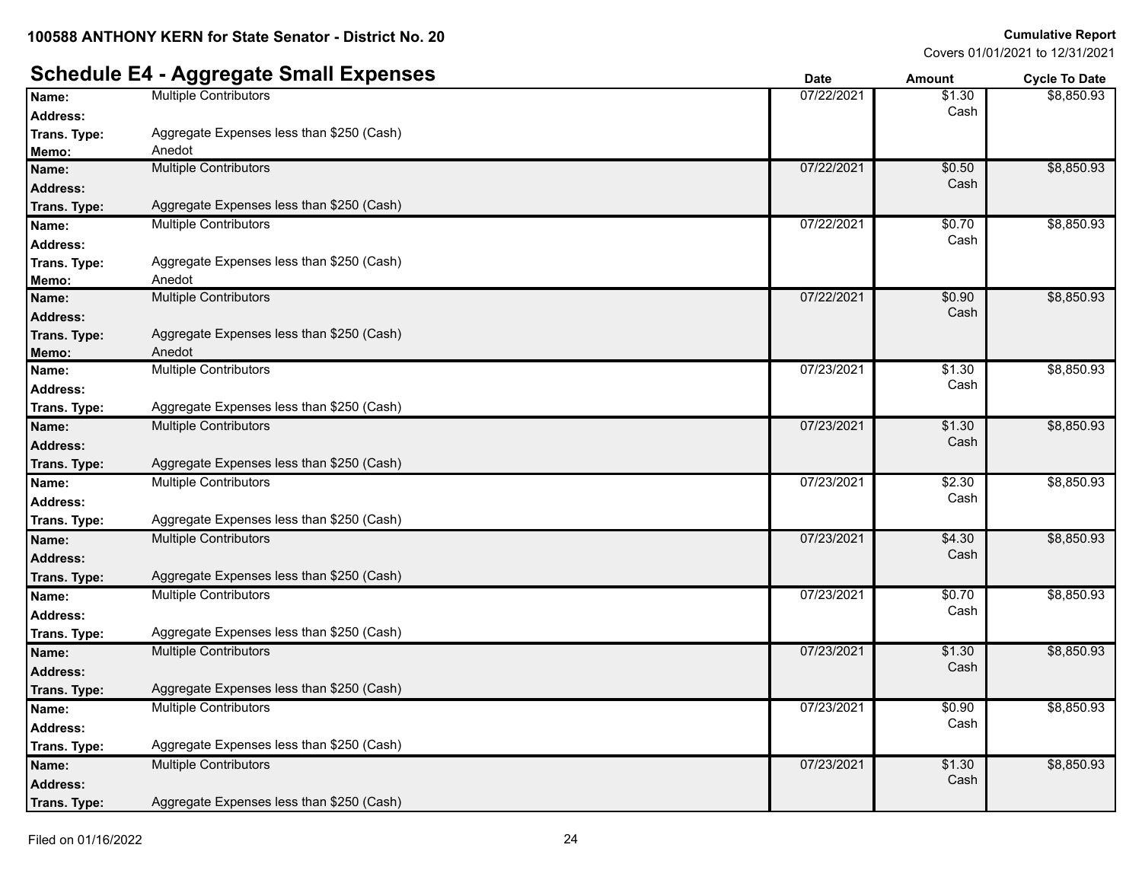#### **Schedule E4 - Aggregate Small Expenses Date Date Date Amount Cycle To Date Name:** Multiple Contributors **1.30 Contributors** 1.30 **Address:** Cash \$8,850.93 **Trans. Type :** Aggregate Expenses less than \$250 (Cash) **Memo:** Anedot **Name:** Multiple Contributors **1996 1997/22/2021 1998 1998 1998 1999 1999 1999 1999 1999 1999 1999 1999 1999 1999 1999 1999 1999 1999 1999 1999 1999 1999 1999 1999 1999 1 Address:** Cash \$8,850.93 **Trans. Type :** Aggregate Expenses less than \$250 (Cash) **Name:** Multiple Contributors **1996** Multiple Contributors **1997** 2021 **1997** 1998 1998 1998 1998 1999 1998 1999 1999 1999 1999 1999 1999 1999 1999 1999 1999 1999 1999 1999 1999 1999 1999 1999 1999 1999 1999 1999 1999 1999 **Address:** Cash \$8,850.93 **Trans. Type :** Aggregate Expenses less than \$250 (Cash) **Memo:** Anedot **Name:** Multiple Contributors **1996** Multiple Contributors **1996** Mannes 1997/22/2021 **1997** Multiple Contributors **1997 Address:** Cash \$8,850.93 **Trans. Type :** Aggregate Expenses less than \$250 (Cash) **Memo:** Anedot **Name:** Multiple Contributors **1.30** Multiple Contributors **1.30** Manne: 07/23/2021 \$1.30<br> **Address:** Cash **Address:** Cash \$8,850.93 **Trans. Type :** Aggregate Expenses less than \$250 (Cash) **Name:** Multiple Contributors **1996 1.30 1.30 1.30 1.30 1.30 1.30 1.30 1.30 1.30 1.30 1.30 1.30 1.30 1.30 1.30 1.30 1.30 1.30 1.30 1.30 1.30 1.30 1.30 1.30 1.30 1.30 1. Address:** Cash \$8,850.93 **Trans. Type :** Aggregate Expenses less than \$250 (Cash) **Name:** Multiple Contributors **1996 1997 1998 1998 1998 1998 1998 1998 1999 1998 1999 1999 1999 1999 1999 1999 1999 1999 1999 1999 1999 1999 1999 1999 1999 1999 1999 19 Address:** Cash \$8,850.93 **Trans. Type :** Aggregate Expenses less than \$250 (Cash) **Name:** Multiple Contributors **1996 1997 1998 1998 1998 1998 1998 1998 1999 1998 1999 1999 1999 1999 1999 1999 1999 1999 1999 1999 1999 1999 1999 1999 1999 1999 1999 19 Address:** Cash \$8,850.93 **Trans. Type :** Aggregate Expenses less than \$250 (Cash) **Name:** Multiple Contributors **1996** Multiple Contributors **1997** 2021 **1997** 1998 1998 1998 1998 1999 1998 1999 1999 1999 1999 1999 1999 1999 1999 1999 1999 1999 1999 1999 1999 1999 1999 1999 1999 1999 1999 1999 1999 1999 **Address:** Cash \$8,850.93 **Trans. Type :** Aggregate Expenses less than \$250 (Cash) **Name:** Multiple Contributors **1.30 1.30 1.30 1.30 1.30 1.30 1.30 1.30 1.30 1.30 1.30 1.30 1.30 1.30 1.30 1.30 1.30 1.30 1.30 1.30 1.30 1.30 1.30 1.30 1.30 1.30 1.30 1. Address:** Cash \$8,850.93 **Trans. Type :** Aggregate Expenses less than \$250 (Cash) **Name:** Multiple Contributors **1996** Multiple Contributors **1996** Manne: **1997** Manne: **1997** Multiple Contributors **1998** Multiple Contributors **1998** Multiple Contributors **1998** Multiple Contributors **1998** Multiple Con **Address:** Cash \$8,850.93 **Trans. Type :** Aggregate Expenses less than \$250 (Cash) **Name:** Multiple Contributors **1996 1.30 1.30 1.30 1.30 1.30 1.30 1.30 1.30 1.30 1.30 1.30 1.30 1.30 1.30 1.30 1.30 1.30 1.30 1.30 1.30 1.30 1.30 1.30 1.30 1.30 1.30 1. Address:** Cash \$8,850.93 **Trans. Type :** Aggregate Expenses less than \$250 (Cash)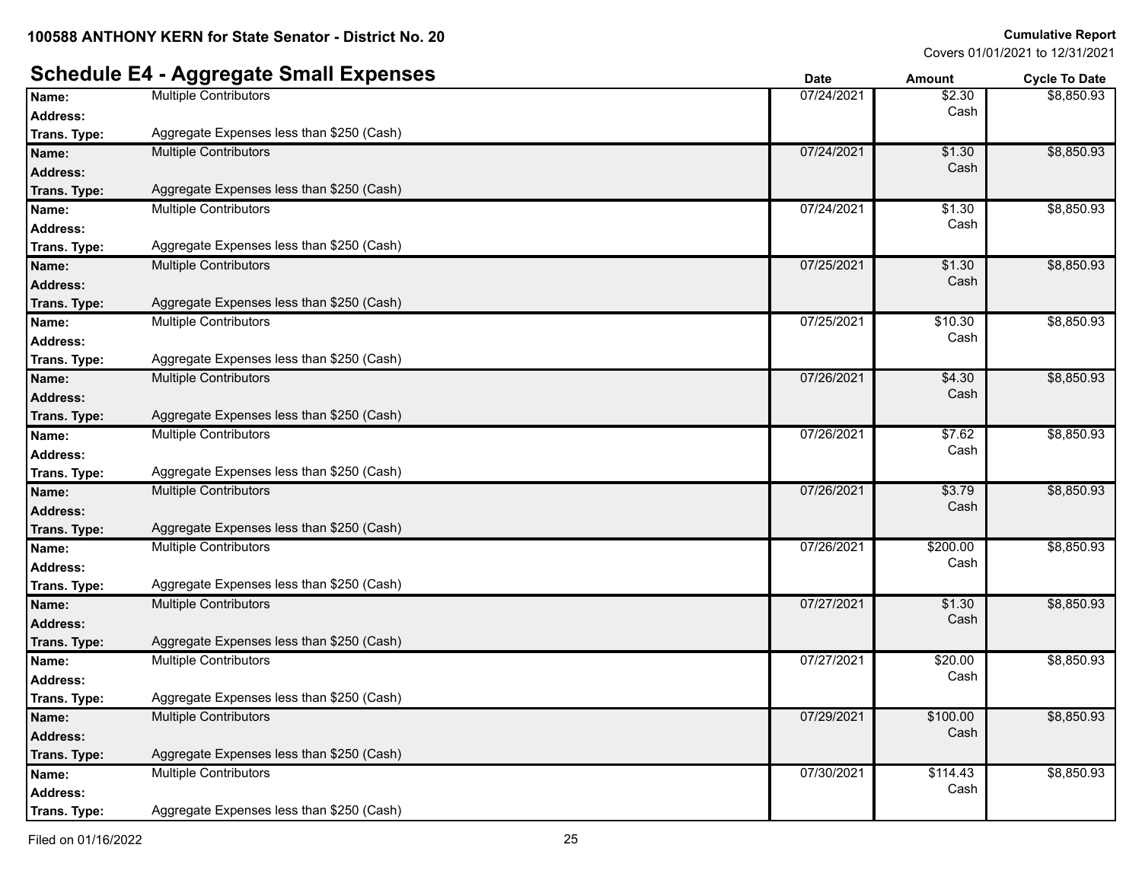#### **Schedule E4 - Aggregate Small Expenses Date Date Date Amount Cycle To Date Name:** Multiple Contributors **18.2.30 Nume:** 18.30 **Address:** Cash \$8,850.93 **Trans. Type :** Aggregate Expenses less than \$250 (Cash) **Name:** Multiple Contributors **1996 1.30 1.30 1.30 1.30 1.30 1.30 1.30 1.30 1.30 1.30 1.30 1.30 1.30 1.30 1.30 1.30 1.30 1.30 1.30 1.30 1.30 1.30 1.30 1.30 1.30 1.30 1. Address:** Cash \$8,850.93 **Trans. Type :** Aggregate Expenses less than \$250 (Cash) **Name:** Multiple Contributors **1.30 1.30 1.30 1.30 1.30 1.30 1.30 1.30 1.30 1.30 1.30 1.30 1.30 1.30 1.30 1.30 1.30 1.30 1.30 1.30 1.30 1.400 1.400 1.400 1.400 1.400 1.40 Address:** Cash \$8,850.93 **Trans. Type :** Aggregate Expenses less than \$250 (Cash) **Name:** Multiple Contributors **1996 1.30 1.30 1.30 1.30 1.30 1.30 1.30 1.30 1.30 1.30 1.30 1.30 1.30 1.30 1.30 1.30 1.30 1.30 1.30 1.30 1.30 1.30 1.30 1.30 1.30 1.30 1. Address:** Cash \$8,850.93 **Trans. Type :** Aggregate Expenses less than \$250 (Cash) **Name:** Multiple Contributors **10.30 Multiple Contributors 10.30 10.30 10.30 10.30 10.30 10.30 10.30 10.30 10.30 10.30 10.30 10.30 10.30 10.30 10.30 10.30 10.41 10.30 10.41 10.30 Address:** Cash \$8,850.93 **Trans. Type :** Aggregate Expenses less than \$250 (Cash) **Name:** Multiple Contributors 07/26/2021 \$4.30 **Address:** Cash \$8,850.93 **Trans. Type :** Aggregate Expenses less than \$250 (Cash) **Name:** Multiple Contributors **1996 1997/2021 1998 1997/26/2021 1998 1998 1998 1998 1999 1999 1999 1999 1999 1999 1999 1999 1999 1999 1999 1999 1999 1999 1999 1999 1999 199 Address:** Cash \$8,850.93 **Trans. Type :** Aggregate Expenses less than \$250 (Cash) **Name:** Multiple Contributors **17/26/2021 | 18:279** \$3.79 **Address:** Cash \$8,850.93 **Trans. Type :** Aggregate Expenses less than \$250 (Cash) **Name:** Multiple Contributors **1898** Multiple Contributors **1898** Manual 2009.00 **Address:** Cash \$8,850.93 **Trans. Type :** Aggregate Expenses less than \$250 (Cash) **Name:** Multiple Contributors **1.30** Multiple Contributors **1.49 Magnetic State of the Contributors 1.30** Multiple Contributors **1.30** Multiple Contributors **1.30** Multiple Contributors **1.30** Multiple Contributors **1.30 Address:** Cash \$8,850.93 **Trans. Type :** Aggregate Expenses less than \$250 (Cash) **Name:** Multiple Contributors **Multiple Contributors** 620.00<br> **Address:** 07/27/2021 \$20.00<br> **Address:** Cash **Address:** Cash \$8,850.93 **Trans. Type :** Aggregate Expenses less than \$250 (Cash) **Name:** Multiple Contributors **1996** Multiple Contributors **1996** Manual 2012 12:00:00 **Address:** Cash \$8,850.93 **Trans. Type :** Aggregate Expenses less than \$250 (Cash) **Name:** Multiple Contributors **1996** Multiple Contributors **1997** Mannes 1997/30/2021 \$114.43 **Address:** Cash \$8,850.93 **Trans. Type :** Aggregate Expenses less than \$250 (Cash)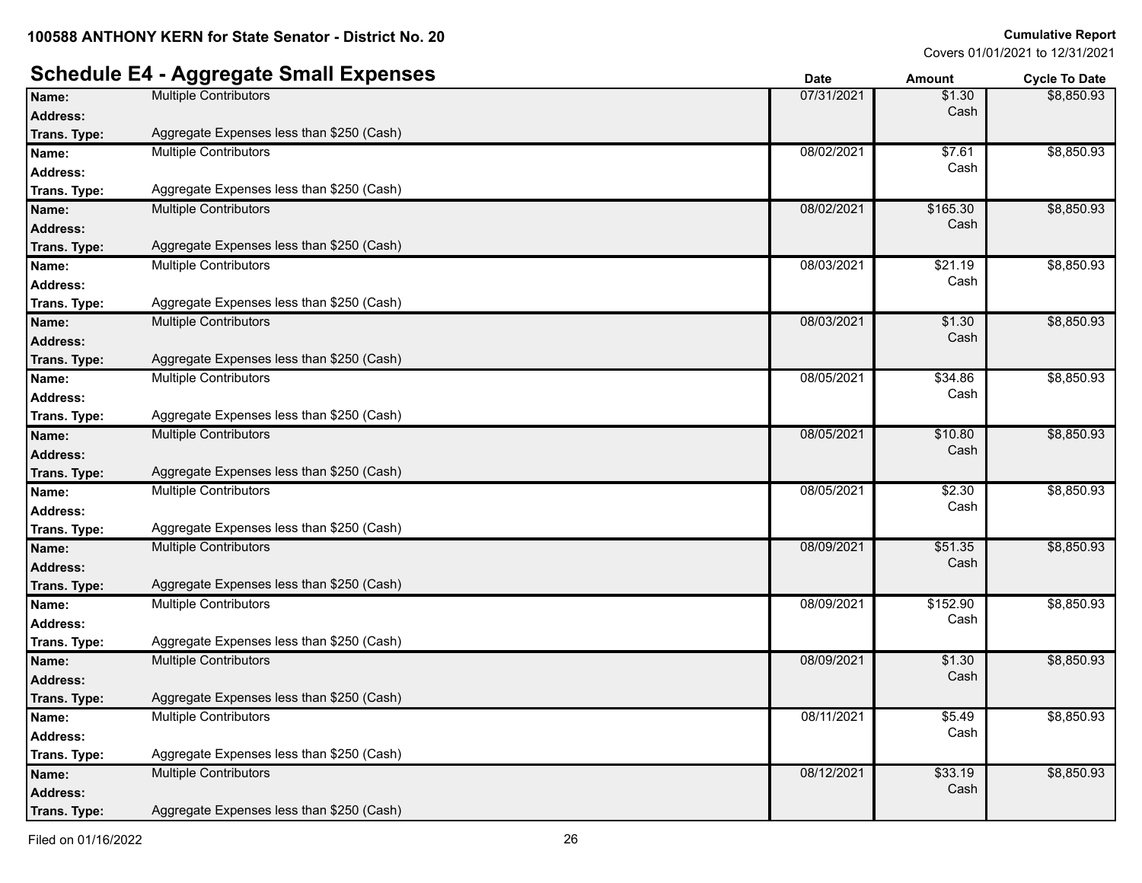### **Schedule E4 - Aggregate Small Expenses Date Date Date Amount Cycle To Date**

| Name:           | <b>Multiple Contributors</b>              | 07/31/2021 | \$1.30   | \$8,850.93 |
|-----------------|-------------------------------------------|------------|----------|------------|
| <b>Address:</b> |                                           |            | Cash     |            |
| Trans. Type:    | Aggregate Expenses less than \$250 (Cash) |            |          |            |
| Name:           | <b>Multiple Contributors</b>              | 08/02/2021 | \$7.61   | \$8,850.93 |
| <b>Address:</b> |                                           |            | Cash     |            |
| Trans. Type:    | Aggregate Expenses less than \$250 (Cash) |            |          |            |
| Name:           | <b>Multiple Contributors</b>              | 08/02/2021 | \$165.30 | \$8,850.93 |
| <b>Address:</b> |                                           |            | Cash     |            |
| Trans. Type:    | Aggregate Expenses less than \$250 (Cash) |            |          |            |
| Name:           | <b>Multiple Contributors</b>              | 08/03/2021 | \$21.19  | \$8,850.93 |
| <b>Address:</b> |                                           |            | Cash     |            |
| Trans. Type:    | Aggregate Expenses less than \$250 (Cash) |            |          |            |
| Name:           | <b>Multiple Contributors</b>              | 08/03/2021 | \$1.30   | \$8,850.93 |
| <b>Address:</b> |                                           |            | Cash     |            |
| Trans. Type:    | Aggregate Expenses less than \$250 (Cash) |            |          |            |
| Name:           | <b>Multiple Contributors</b>              | 08/05/2021 | \$34.86  | \$8,850.93 |
| <b>Address:</b> |                                           |            | Cash     |            |
| Trans. Type:    | Aggregate Expenses less than \$250 (Cash) |            |          |            |
| Name:           | <b>Multiple Contributors</b>              | 08/05/2021 | \$10.80  | \$8,850.93 |
| <b>Address:</b> |                                           |            | Cash     |            |
| Trans. Type:    | Aggregate Expenses less than \$250 (Cash) |            |          |            |
| Name:           | <b>Multiple Contributors</b>              | 08/05/2021 | \$2.30   | \$8,850.93 |
| Address:        |                                           |            | Cash     |            |
| Trans. Type:    | Aggregate Expenses less than \$250 (Cash) |            |          |            |
| Name:           | <b>Multiple Contributors</b>              | 08/09/2021 | \$51.35  | \$8,850.93 |
| <b>Address:</b> |                                           |            | Cash     |            |
| Trans. Type:    | Aggregate Expenses less than \$250 (Cash) |            |          |            |
| Name:           | <b>Multiple Contributors</b>              | 08/09/2021 | \$152.90 | \$8,850.93 |
| Address:        |                                           |            | Cash     |            |
| Trans. Type:    | Aggregate Expenses less than \$250 (Cash) |            |          |            |
| Name:           | <b>Multiple Contributors</b>              | 08/09/2021 | \$1.30   | \$8,850.93 |
| <b>Address:</b> |                                           |            | Cash     |            |
| Trans. Type:    | Aggregate Expenses less than \$250 (Cash) |            |          |            |
| Name:           | <b>Multiple Contributors</b>              | 08/11/2021 | \$5.49   | \$8,850.93 |
| <b>Address:</b> |                                           |            | Cash     |            |
| Trans. Type:    | Aggregate Expenses less than \$250 (Cash) |            |          |            |
| Name:           | <b>Multiple Contributors</b>              | 08/12/2021 | \$33.19  | \$8,850.93 |
| <b>Address:</b> |                                           |            | Cash     |            |
| Trans. Type:    | Aggregate Expenses less than \$250 (Cash) |            |          |            |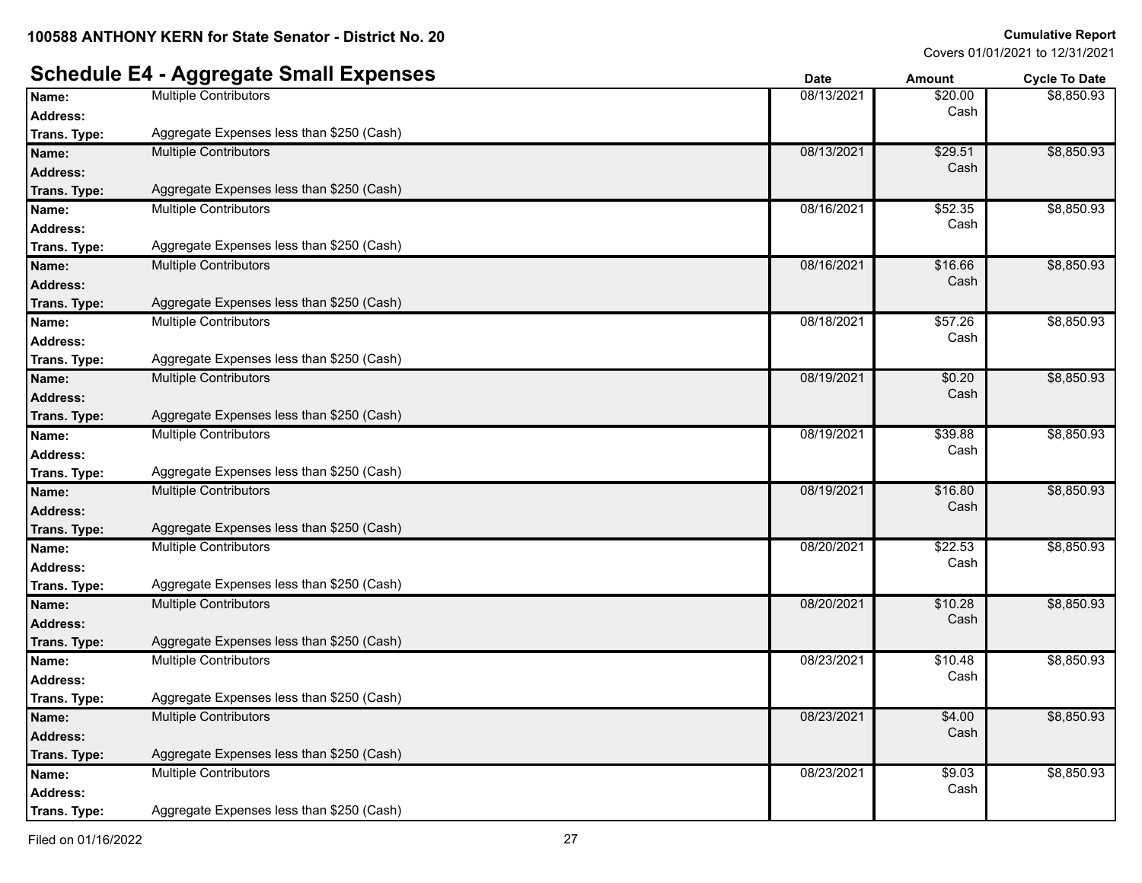\$8,850.93

\$8,850.93

\$8,850.93

\$8,850.93

\$8,850.93

\$8,850.93

\$8,850.93

\$8,850.93

\$8,850.93

\$8,850.93

\$8,850.93

Covers 01/01/2021 to 12/31/2021

#### **Schedule E4 - Aggregate Small Expenses Date Date Date Amount Cycle To Date Name:** Multiple Contributors **Multiple Contributors Contributors Contributors Contributors Contributors Contributors Contributors Contributors Contributors Contributors Contributors Contributors Co Address:** Cash **Trans. Type :** Aggregate Expenses less than \$250 (Cash) **Name:** Multiple Contributors **68/13/2021 68/13/2021 68/13/2021 68/13/2021 68/13/2021 68/13/2021 68/13/2021 69/13/2021 69/13/2021 69/13/2021 69/13/2021 69/13 Address:** Cash **Trans. Type :** Aggregate Expenses less than \$250 (Cash) **Name:** Multiple Contributors **Multiple Contributors Contributors Contributors Contributors Contributors Contributors Contributors Contributors Contributors Contributors Contributors Contributors Co Address:** Cash **Trans. Type :** Aggregate Expenses less than \$250 (Cash) **Name:** Multiple Contributors **16.66 16.66 16.66 16.66 16.66 16.66 16.66 16.66 16.66 16.66 16.66 16.66 16.66 16.66 16.66 16.66 16.66 16.66 16.66 16.66 16.66 16.17.17.17.17.17.17.17 Address:** Cash **Trans. Type :** Aggregate Expenses less than \$250 (Cash) **Name:** Multiple Contributors **1897.26** Multiple Contributors **1897.26** Manne: **1898.08/18/2021 | 1898.2021** \$57.26 **Address:** Cash **Trans. Type :** Aggregate Expenses less than \$250 (Cash) **Name:** Multiple Contributors **18/2021 18/2021 \$0.20 18/2021 18:00:00 18:00:00 18:00:00 18:00:00 18:00:00 18:00:00 18:00:00 18:00:00 18:00:00 18:00:00 18:00:00 18:00:00 18:00:00 18:00:00 18:00:00 18:00:00 18:00:00 18:0 Address:** Cash **Trans. Type :** Aggregate Expenses less than \$250 (Cash) **Name:** Multiple Contributors **189.88** Multiple Contributors **189.88** Manne: **189.88** Multiple Contributors **189.88 Address:** Cash **Trans. Type :** Aggregate Expenses less than \$250 (Cash) **Name:** Multiple Contributors **Contributors** 16.80 **Address:** Cash **Trans. Type :** Aggregate Expenses less than \$250 (Cash) **Name:** Multiple Contributors **1892** Multiple Contributors **1892** 1998/20/2021 **1892** 1998/20/2021 **1892** 1998/20 **Address:** Cash **Trans. Type :** Aggregate Expenses less than \$250 (Cash) **Name:** Multiple Contributors **18/20/2021** \$10.28 **Address:** Cash **Trans. Type :** Aggregate Expenses less than \$250 (Cash) **Name:** Multiple Contributors **1996** Multiple Contributors **1996** Multiple Contributors **1996** Multiple Contributors **1996** Multiple Contributors **1996** Multiple Contributors **1996** Multiple 2018 Multiple 2018 Multiple 201 **Address:** Cash **Trans. Type :** Aggregate Expenses less than \$250 (Cash)

**Name:** Multiple Contributors **64.00 CONTENTS** 108/23/2021 **64.00 68/23/2021 64.00 Address:** Cash \$8,850.93 **Trans. Type :** Aggregate Expenses less than \$250 (Cash) **Name:** Multiple Contributors **189.03** Multiple Contributors **189.03 189.03 189.03 189.03 189.03 189.03 189.03 Address:** Cash \$8,850.93 **Trans. Type :** Aggregate Expenses less than \$250 (Cash)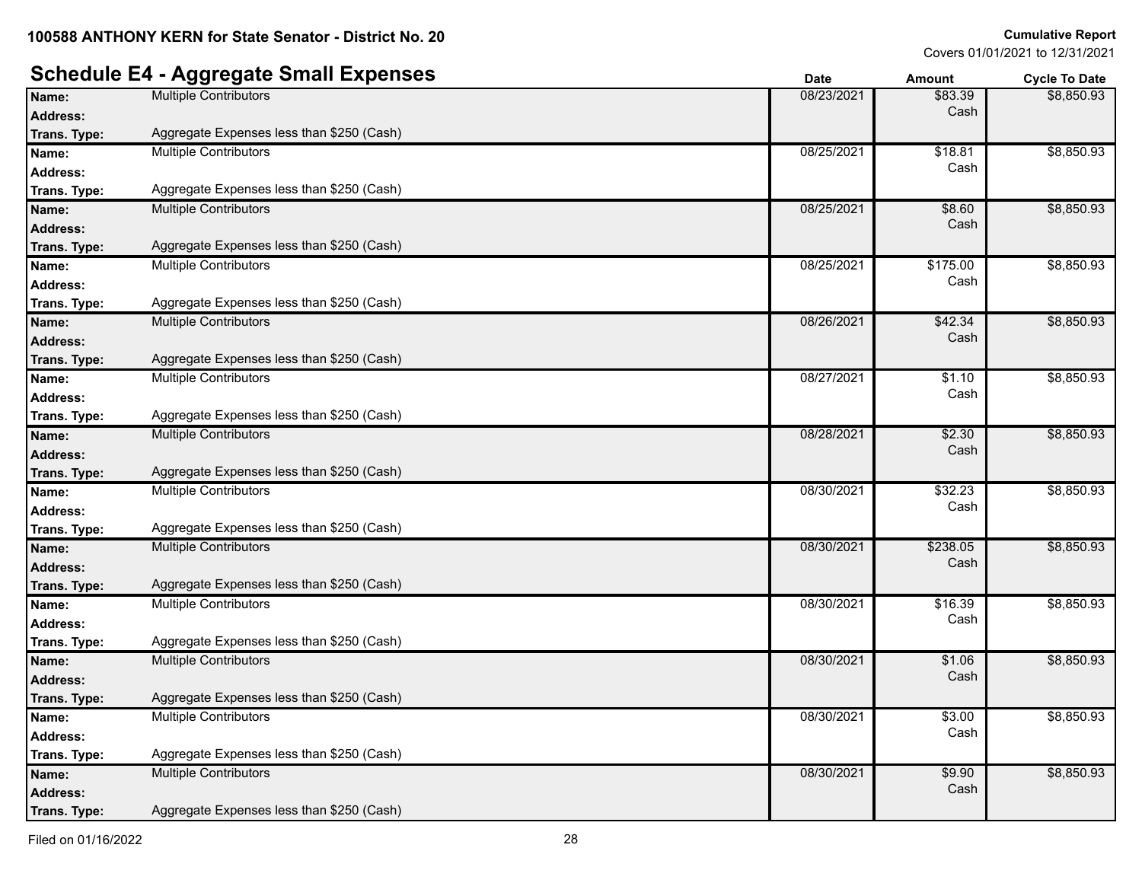### **Schedule E4 - Aggregate Small Expenses**

|                 | $\sim$                                    | Date       | <b>AIIIOUIIL</b> | <b>Oycle To Date</b> |
|-----------------|-------------------------------------------|------------|------------------|----------------------|
| Name:           | <b>Multiple Contributors</b>              | 08/23/2021 | \$83.39          | \$8,850.93           |
| <b>Address:</b> |                                           |            | Cash             |                      |
| Trans. Type:    | Aggregate Expenses less than \$250 (Cash) |            |                  |                      |
| Name:           | <b>Multiple Contributors</b>              | 08/25/2021 | \$18.81          | \$8,850.93           |
| <b>Address:</b> |                                           |            | Cash             |                      |
| Trans. Type:    | Aggregate Expenses less than \$250 (Cash) |            |                  |                      |
| Name:           | <b>Multiple Contributors</b>              | 08/25/2021 | \$8.60           | \$8,850.93           |
| <b>Address:</b> |                                           |            | Cash             |                      |
| Trans. Type:    | Aggregate Expenses less than \$250 (Cash) |            |                  |                      |
| Name:           | <b>Multiple Contributors</b>              | 08/25/2021 | \$175.00         | \$8,850.93           |
| <b>Address:</b> |                                           |            | Cash             |                      |
| Trans. Type:    | Aggregate Expenses less than \$250 (Cash) |            |                  |                      |
| Name:           | <b>Multiple Contributors</b>              | 08/26/2021 | \$42.34          | \$8,850.93           |
| <b>Address:</b> |                                           |            | Cash             |                      |
| Trans. Type:    | Aggregate Expenses less than \$250 (Cash) |            |                  |                      |
| Name:           | <b>Multiple Contributors</b>              | 08/27/2021 | \$1.10           | \$8,850.93           |
| <b>Address:</b> |                                           |            | Cash             |                      |
| Trans. Type:    | Aggregate Expenses less than \$250 (Cash) |            |                  |                      |
| Name:           | <b>Multiple Contributors</b>              | 08/28/2021 | \$2.30           | \$8,850.93           |
| <b>Address:</b> |                                           |            | Cash             |                      |
| Trans. Type:    | Aggregate Expenses less than \$250 (Cash) |            |                  |                      |
| Name:           | <b>Multiple Contributors</b>              | 08/30/2021 | \$32.23          | \$8,850.93           |
| <b>Address:</b> |                                           |            | Cash             |                      |
| Trans. Type:    | Aggregate Expenses less than \$250 (Cash) |            |                  |                      |
| Name:           | <b>Multiple Contributors</b>              | 08/30/2021 | \$238.05         | \$8,850.93           |
| <b>Address:</b> |                                           |            | Cash             |                      |
| Trans. Type:    | Aggregate Expenses less than \$250 (Cash) |            |                  |                      |
| Name:           | Multiple Contributors                     | 08/30/2021 | \$16.39          | \$8,850.93           |
| <b>Address:</b> |                                           |            | Cash             |                      |
| Trans. Type:    | Aggregate Expenses less than \$250 (Cash) |            |                  |                      |
| Name:           | <b>Multiple Contributors</b>              | 08/30/2021 | \$1.06           | \$8,850.93           |
| <b>Address:</b> |                                           |            | Cash             |                      |
| Trans. Type:    | Aggregate Expenses less than \$250 (Cash) |            |                  |                      |
| Name:           | <b>Multiple Contributors</b>              | 08/30/2021 | \$3.00           | \$8,850.93           |
| <b>Address:</b> |                                           |            | Cash             |                      |
| Trans. Type:    | Aggregate Expenses less than \$250 (Cash) |            |                  |                      |
| Name:           | <b>Multiple Contributors</b>              | 08/30/2021 | \$9.90           | \$8,850.93           |
| <b>Address:</b> |                                           |            | Cash             |                      |
| Trans. Type:    | Aggregate Expenses less than \$250 (Cash) |            |                  |                      |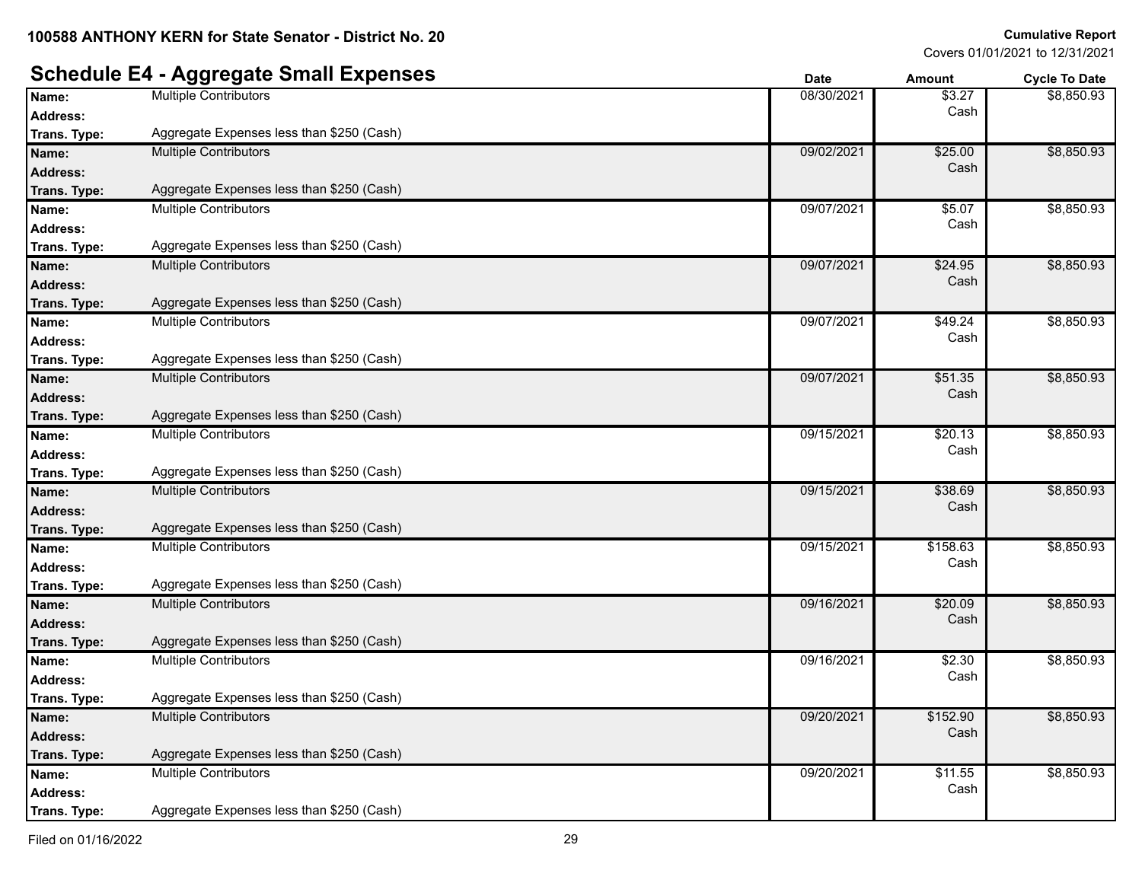#### **Schedule E4 - Aggregate Small Expenses Date Date Date Amount Cycle To Date Name:** Multiple Contributors **18.27 18.27 18.27 18.27 18.27 18.27 18.27 18.27 18.27 18.27 18.27 Address:** Cash \$8,850.93 **Trans. Type :** Aggregate Expenses less than \$250 (Cash) **Name:** Multiple Contributors **69/02/2021 69/02/2021** \$25.00 **Address:** Cash \$8,850.93 **Trans. Type :** Aggregate Expenses less than \$250 (Cash) **Name:** Multiple Contributors 09/07/2021 \$5.07 **Address:** Cash \$8,850.93 **Trans. Type :** Aggregate Expenses less than \$250 (Cash) **Name:** Multiple Contributors **624.95 Multiple Contributors 69/07/2021 <b>624.95 69/07/2021 624.95 Address:** Cash \$8,850.93 **Trans. Type :** Aggregate Expenses less than \$250 (Cash) **Name:** Multiple Contributors 09/07/2021 \$49.24 **Address:** Cash \$8,850.93 **Trans. Type :** Aggregate Expenses less than \$250 (Cash) **Name:** Multiple Contributors **Multiple Contributors Multiple Contributors Multiple Contributors 1990 19907/2021** \$51.35 **Address:** Cash \$8,850.93 **Trans. Type :** Aggregate Expenses less than \$250 (Cash) **Name:** Multiple Contributors **620.13 1986 1998 1998 1998 1998 1998 1998 1998 1999 1998 1999 1999 1999 1999 1999 1999 1999 1999 1999 1999 1999 1999 1999 1999 1999 1999 Address:** Cash \$8,850.93 **Trans. Type :** Aggregate Expenses less than \$250 (Cash) **Name:** Multiple Contributors **1999 1999** Multiple Contributors **1999 1999 1999 1999 1999 1999 1999 1999 1999 1999 1999 1999 1999 1999 1999 1999 1999 1999 1999 1999 1999 1999 1 Address:** Cash \$8,850.93 **Trans. Type :** Aggregate Expenses less than \$250 (Cash) **Name:** Multiple Contributors **1994-1996 1997-1998** Multiple Contributors **1994-1998** Multiple Contributors **1994-1998 Address:** Cash \$8,850.93 **Trans. Type :** Aggregate Expenses less than \$250 (Cash) **Name:** Multiple Contributors **199/16/2021 69/16/2021 \$20.09 Address:** Cash \$8,850.93 **Trans. Type :** Aggregate Expenses less than \$250 (Cash) **Name:** Multiple Contributors \$2.30<br> **Address:** 09/16/2021 \$2.30<br> **Address:** Cash **Address:** Cash \$8,850.93 **Trans. Type :** Aggregate Expenses less than \$250 (Cash) **Name:** Multiple Contributors **199/20/2021** \$152.90 **Address:** Cash \$8,850.93 **Trans. Type :** Aggregate Expenses less than \$250 (Cash) **Name:** Multiple Contributors **199/20/2021** \$11.55 **Address:** Cash \$8,850.93 **Trans. Type :** Aggregate Expenses less than \$250 (Cash)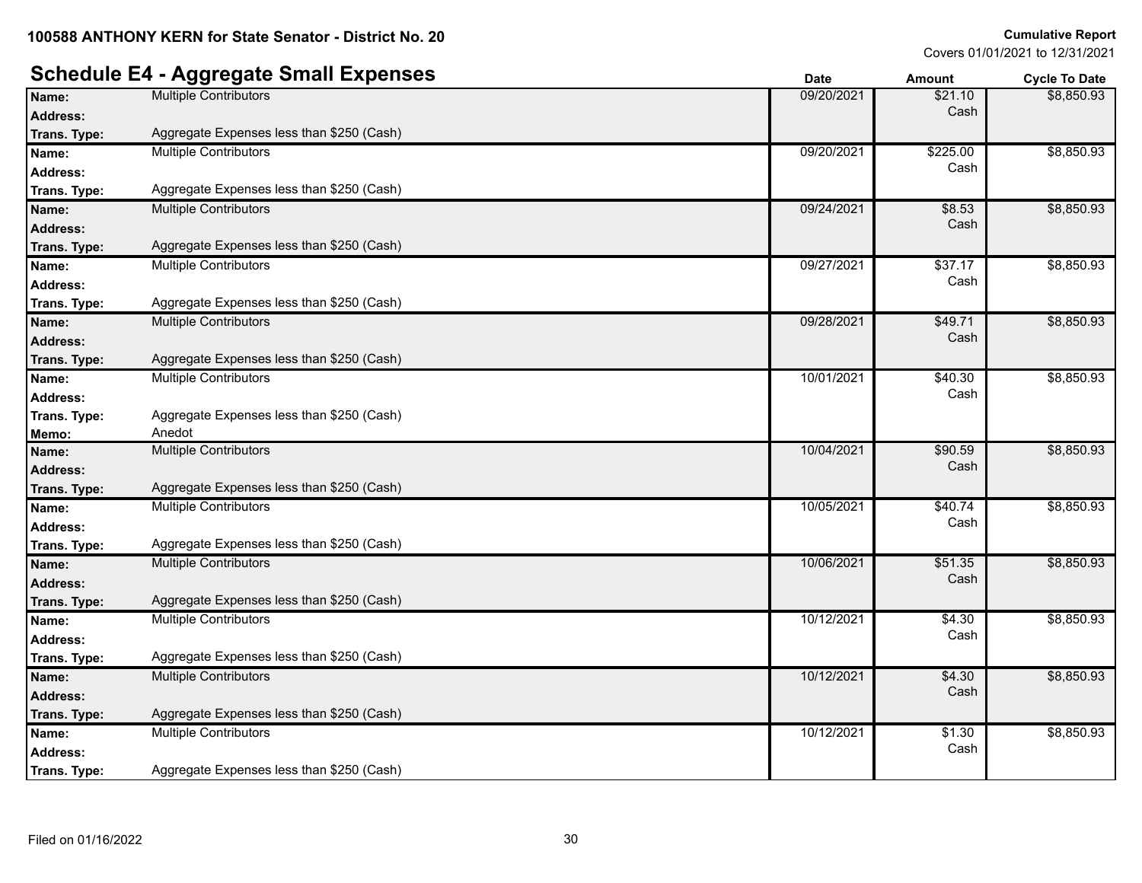### **Schedule E4 - Aggregate Small Expenses Date Date Date Amount Cycle To Date**

|                 | <u>ין – יייני ייט מייט </u>               | puw        | мнучн    | oyuu iy bulu |
|-----------------|-------------------------------------------|------------|----------|--------------|
| Name:           | Multiple Contributors                     | 09/20/2021 | \$21.10  | \$8,850.93   |
| <b>Address:</b> |                                           |            | Cash     |              |
| Trans. Type:    | Aggregate Expenses less than \$250 (Cash) |            |          |              |
| Name:           | <b>Multiple Contributors</b>              | 09/20/2021 | \$225.00 | \$8,850.93   |
| <b>Address:</b> |                                           |            | Cash     |              |
| Trans. Type:    | Aggregate Expenses less than \$250 (Cash) |            |          |              |
| Name:           | <b>Multiple Contributors</b>              | 09/24/2021 | \$8.53   | \$8,850.93   |
| <b>Address:</b> |                                           |            | Cash     |              |
| Trans. Type:    | Aggregate Expenses less than \$250 (Cash) |            |          |              |
| Name:           | <b>Multiple Contributors</b>              | 09/27/2021 | \$37.17  | \$8,850.93   |
| <b>Address:</b> |                                           |            | Cash     |              |
| Trans. Type:    | Aggregate Expenses less than \$250 (Cash) |            |          |              |
| Name:           | <b>Multiple Contributors</b>              | 09/28/2021 | \$49.71  | \$8,850.93   |
| <b>Address:</b> |                                           |            | Cash     |              |
| Trans. Type:    | Aggregate Expenses less than \$250 (Cash) |            |          |              |
| Name:           | Multiple Contributors                     | 10/01/2021 | \$40.30  | \$8,850.93   |
| <b>Address:</b> |                                           |            | Cash     |              |
| Trans. Type:    | Aggregate Expenses less than \$250 (Cash) |            |          |              |
| Memo:           | Anedot                                    |            |          |              |
| Name:           | <b>Multiple Contributors</b>              | 10/04/2021 | \$90.59  | \$8,850.93   |
| <b>Address:</b> |                                           |            | Cash     |              |
| Trans. Type:    | Aggregate Expenses less than \$250 (Cash) |            |          |              |
| Name:           | Multiple Contributors                     | 10/05/2021 | \$40.74  | \$8,850.93   |
| <b>Address:</b> |                                           |            | Cash     |              |
| Trans. Type:    | Aggregate Expenses less than \$250 (Cash) |            |          |              |
| Name:           | <b>Multiple Contributors</b>              | 10/06/2021 | \$51.35  | \$8,850.93   |
| <b>Address:</b> |                                           |            | Cash     |              |
| Trans. Type:    | Aggregate Expenses less than \$250 (Cash) |            |          |              |
| Name:           | Multiple Contributors                     | 10/12/2021 | \$4.30   | \$8,850.93   |
| Address:        |                                           |            | Cash     |              |
| Trans. Type:    | Aggregate Expenses less than \$250 (Cash) |            |          |              |
| Name:           | <b>Multiple Contributors</b>              | 10/12/2021 | \$4.30   | \$8,850.93   |
| <b>Address:</b> |                                           |            | Cash     |              |
| Trans. Type:    | Aggregate Expenses less than \$250 (Cash) |            |          |              |
| Name:           | <b>Multiple Contributors</b>              | 10/12/2021 | \$1.30   | \$8,850.93   |
| <b>Address:</b> |                                           |            | Cash     |              |
| Trans. Type:    | Aggregate Expenses less than \$250 (Cash) |            |          |              |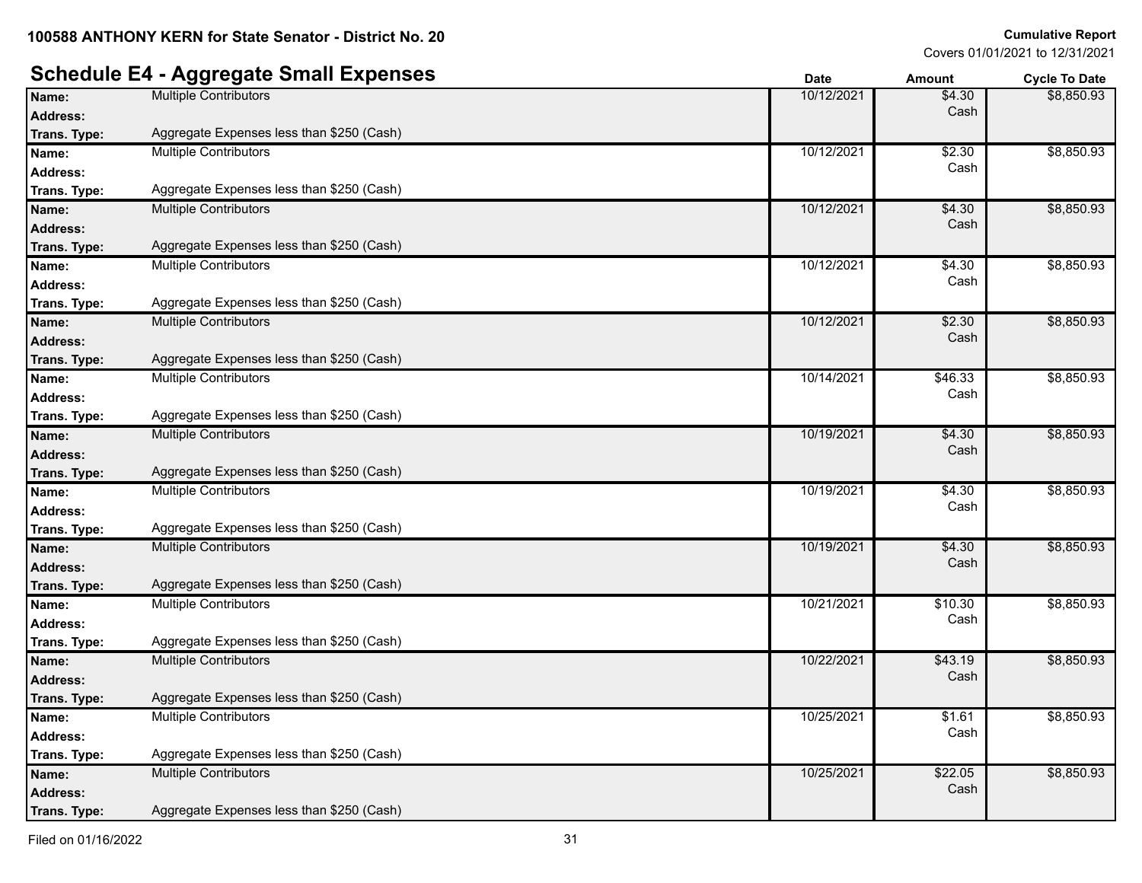### **Schedule E4 - Aggregate Small Expenses Date Date Date Amount Cycle To Date**

|                 | .99.99                                    | υαισ       | anoun          | cycle to pate |
|-----------------|-------------------------------------------|------------|----------------|---------------|
| Name:           | <b>Multiple Contributors</b>              | 10/12/2021 | \$4.30         | \$8,850.93    |
| <b>Address:</b> |                                           |            | Cash           |               |
| Trans. Type:    | Aggregate Expenses less than \$250 (Cash) |            |                |               |
| Name:           | <b>Multiple Contributors</b>              | 10/12/2021 | \$2.30         | \$8,850.93    |
| <b>Address:</b> |                                           |            | Cash           |               |
| Trans. Type:    | Aggregate Expenses less than \$250 (Cash) |            |                |               |
| Name:           | <b>Multiple Contributors</b>              | 10/12/2021 | \$4.30         | \$8,850.93    |
| <b>Address:</b> |                                           |            | Cash           |               |
| Trans. Type:    | Aggregate Expenses less than \$250 (Cash) |            |                |               |
| Name:           | <b>Multiple Contributors</b>              | 10/12/2021 | \$4.30         | \$8,850.93    |
| <b>Address:</b> |                                           |            | Cash           |               |
| Trans. Type:    | Aggregate Expenses less than \$250 (Cash) |            |                |               |
| Name:           | <b>Multiple Contributors</b>              | 10/12/2021 | \$2.30         | \$8,850.93    |
| <b>Address:</b> |                                           |            | Cash           |               |
| Trans. Type:    | Aggregate Expenses less than \$250 (Cash) |            |                |               |
| Name:           | <b>Multiple Contributors</b>              | 10/14/2021 | \$46.33        | \$8,850.93    |
| <b>Address:</b> |                                           |            | Cash           |               |
| Trans. Type:    | Aggregate Expenses less than \$250 (Cash) |            |                |               |
| Name:           | <b>Multiple Contributors</b>              | 10/19/2021 | \$4.30         | \$8,850.93    |
| <b>Address:</b> |                                           |            | Cash           |               |
| Trans. Type:    | Aggregate Expenses less than \$250 (Cash) |            |                |               |
| Name:           | <b>Multiple Contributors</b>              | 10/19/2021 | \$4.30         | \$8,850.93    |
| <b>Address:</b> |                                           |            | Cash           |               |
| Trans. Type:    | Aggregate Expenses less than \$250 (Cash) |            |                |               |
| Name:           | <b>Multiple Contributors</b>              | 10/19/2021 | $\sqrt{$4.30}$ | \$8,850.93    |
| <b>Address:</b> |                                           |            | Cash           |               |
| Trans. Type:    | Aggregate Expenses less than \$250 (Cash) |            |                |               |
| Name:           | Multiple Contributors                     | 10/21/2021 | \$10.30        | \$8,850.93    |
| <b>Address:</b> |                                           |            | Cash           |               |
| Trans. Type:    | Aggregate Expenses less than \$250 (Cash) |            |                |               |
| Name:           | <b>Multiple Contributors</b>              | 10/22/2021 | \$43.19        | \$8,850.93    |
| <b>Address:</b> |                                           |            | Cash           |               |
| Trans. Type:    | Aggregate Expenses less than \$250 (Cash) |            |                |               |
| Name:           | <b>Multiple Contributors</b>              | 10/25/2021 | \$1.61         | \$8,850.93    |
| <b>Address:</b> |                                           |            | Cash           |               |
| Trans. Type:    | Aggregate Expenses less than \$250 (Cash) |            |                |               |
| Name:           | <b>Multiple Contributors</b>              | 10/25/2021 | \$22.05        | \$8,850.93    |
| <b>Address:</b> |                                           |            | Cash           |               |
| Trans. Type:    | Aggregate Expenses less than \$250 (Cash) |            |                |               |
|                 |                                           |            |                |               |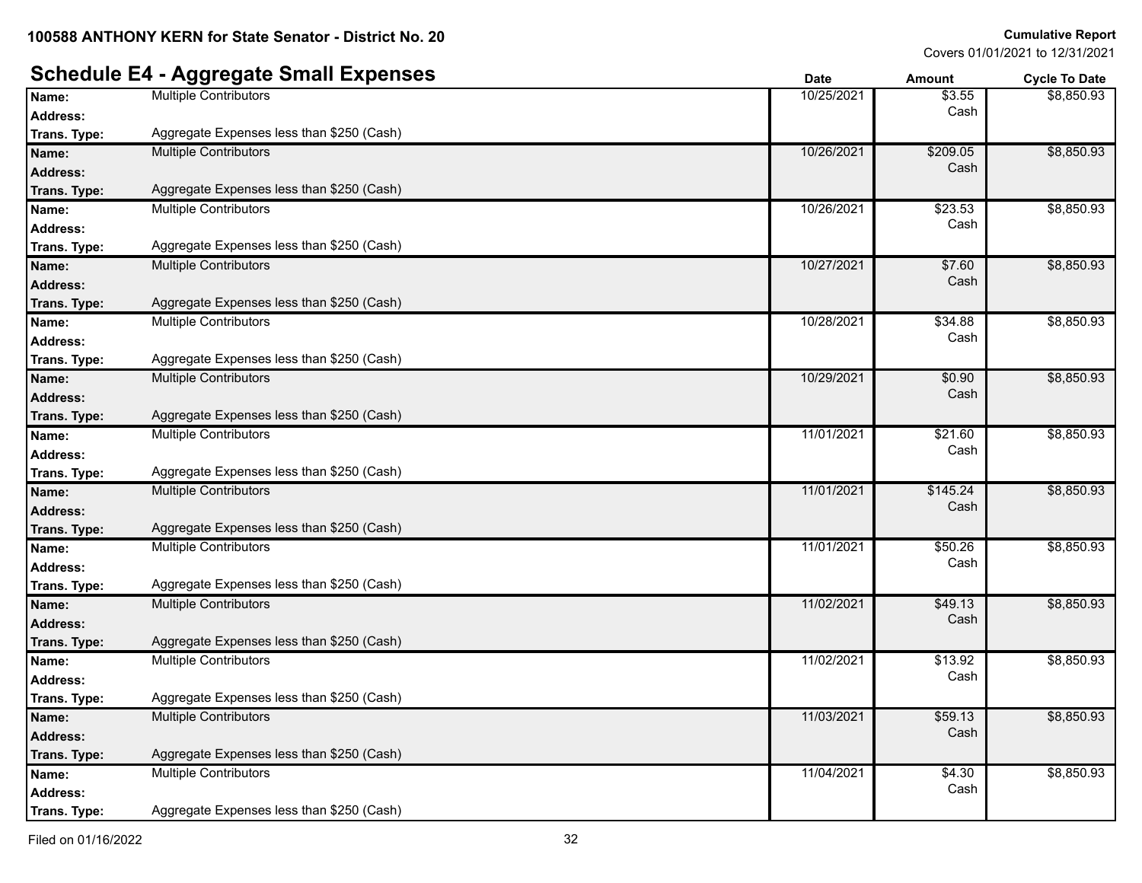**:** Aggregate Expenses less than \$250 (Cash)

\$8,850.93

\$8,850.93

\$8,850.93

\$8,850.93

\$8,850.93

\$8,850.93

\$8,850.93

\$8,850.93

\$8,850.93

\$8,850.93

\$8,850.93

\$8,850.93

\$8,850.93

Covers 01/01/2021 to 12/31/2021

#### **Schedule E4 - Aggregate Small Expenses Date Date Date Amount Cycle To Date Name:** Multiple Contributors **10/25/2021** \$3.55 **Address:** Cash **Trans. Type :** Aggregate Expenses less than \$250 (Cash) **Name:** Multiple Contributors **10/26/2021 5209.05 10/26/2021 \$209.05 Address:** Cash **Trans. Type :** Aggregate Expenses less than \$250 (Cash) **Name:** Multiple Contributors **10/26/2021** \$23.53 **Address:** Cash **Trans. Type :** Aggregate Expenses less than \$250 (Cash) **Name:** Multiple Contributors **10/27/2021** \$7.60 **Address:** Cash **Trans. Type :** Aggregate Expenses less than \$250 (Cash) **Name:** Multiple Contributors **10/28/2021** \$34.88 **Address:** Cash **Trans. Type :** Aggregate Expenses less than \$250 (Cash) **Name:** Multiple Contributors **10/29/2021** \$0.90 **Address:** Cash **Trans. Type :** Aggregate Expenses less than \$250 (Cash) **Name:** Multiple Contributors **11/01/2021 521.60 Address:** Cash **Trans. Type :** Aggregate Expenses less than \$250 (Cash) **Name:** Multiple Contributors **11/01/2021** \$145.24 **Address:** Cash **Trans. Type :** Aggregate Expenses less than \$250 (Cash) **Name:** Multiple Contributors **11/01/2021 550.26 11/01/2021 550.26 Address:** Cash **Trans. Type :** Aggregate Expenses less than \$250 (Cash) **Name:** Multiple Contributors **11/02/2021 \$49.13 Address:** Cash **Trans. Type :** Aggregate Expenses less than \$250 (Cash) **Name:** Multiple Contributors 11/02/2021 \$13.92<br> **Address:** 11/02/2021 \$13.92<br> **Address:** Cash **Address:** Cash **Trans. Type :** Aggregate Expenses less than \$250 (Cash) **Name:** Multiple Contributors **11/03/2021 559.13 Address:** Cash **Trans. Type :** Aggregate Expenses less than \$250 (Cash) **Name:** Multiple Contributors **11/04/2021 54.30 Address:** Cash

**Trans. Type**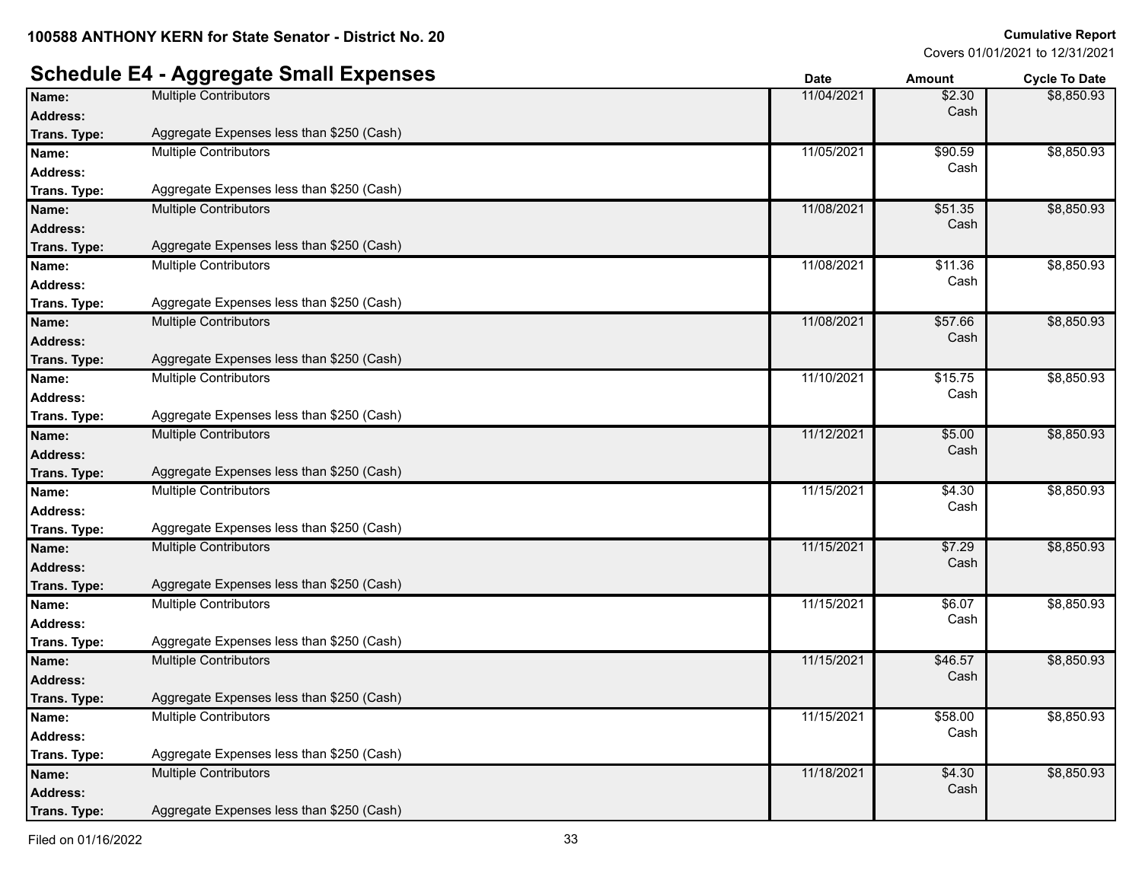### **Schedule E4 - Aggregate Small Expenses**

|                 | ישי ישפי<br>$\sim$ $\sim$ $\equiv$ .      | υαισ       | AIIIVUIIL | <b>OVUE TO DATE</b> |
|-----------------|-------------------------------------------|------------|-----------|---------------------|
| Name:           | <b>Multiple Contributors</b>              | 11/04/2021 | \$2.30    | \$8,850.93          |
| <b>Address:</b> |                                           |            | Cash      |                     |
| Trans. Type:    | Aggregate Expenses less than \$250 (Cash) |            |           |                     |
| Name:           | <b>Multiple Contributors</b>              | 11/05/2021 | \$90.59   | \$8,850.93          |
| <b>Address:</b> |                                           |            | Cash      |                     |
| Trans. Type:    | Aggregate Expenses less than \$250 (Cash) |            |           |                     |
| Name:           | <b>Multiple Contributors</b>              | 11/08/2021 | \$51.35   | \$8,850.93          |
| <b>Address:</b> |                                           |            | Cash      |                     |
| Trans. Type:    | Aggregate Expenses less than \$250 (Cash) |            |           |                     |
| Name:           | <b>Multiple Contributors</b>              | 11/08/2021 | \$11.36   | \$8,850.93          |
| Address:        |                                           |            | Cash      |                     |
| Trans. Type:    | Aggregate Expenses less than \$250 (Cash) |            |           |                     |
| Name:           | <b>Multiple Contributors</b>              | 11/08/2021 | \$57.66   | \$8,850.93          |
| <b>Address:</b> |                                           |            | Cash      |                     |
| Trans. Type:    | Aggregate Expenses less than \$250 (Cash) |            |           |                     |
| Name:           | <b>Multiple Contributors</b>              | 11/10/2021 | \$15.75   | \$8,850.93          |
| <b>Address:</b> |                                           |            | Cash      |                     |
| Trans. Type:    | Aggregate Expenses less than \$250 (Cash) |            |           |                     |
| Name:           | <b>Multiple Contributors</b>              | 11/12/2021 | \$5.00    | \$8,850.93          |
| <b>Address:</b> |                                           |            | Cash      |                     |
| Trans. Type:    | Aggregate Expenses less than \$250 (Cash) |            |           |                     |
| Name:           | <b>Multiple Contributors</b>              | 11/15/2021 | \$4.30    | \$8,850.93          |
| <b>Address:</b> |                                           |            | Cash      |                     |
| Trans. Type:    | Aggregate Expenses less than \$250 (Cash) |            |           |                     |
| Name:           | <b>Multiple Contributors</b>              | 11/15/2021 | \$7.29    | \$8,850.93          |
| <b>Address:</b> |                                           |            | Cash      |                     |
| Trans. Type:    | Aggregate Expenses less than \$250 (Cash) |            |           |                     |
| Name:           | <b>Multiple Contributors</b>              | 11/15/2021 | \$6.07    | \$8,850.93          |
| <b>Address:</b> |                                           |            | Cash      |                     |
| Trans. Type:    | Aggregate Expenses less than \$250 (Cash) |            |           |                     |
| Name:           | <b>Multiple Contributors</b>              | 11/15/2021 | \$46.57   | \$8,850.93          |
| <b>Address:</b> |                                           |            | Cash      |                     |
| Trans. Type:    | Aggregate Expenses less than \$250 (Cash) |            |           |                     |
| Name:           | <b>Multiple Contributors</b>              | 11/15/2021 | \$58.00   | \$8,850.93          |
| <b>Address:</b> |                                           |            | Cash      |                     |
| Trans. Type:    | Aggregate Expenses less than \$250 (Cash) |            |           |                     |
| Name:           | <b>Multiple Contributors</b>              | 11/18/2021 | \$4.30    | \$8,850.93          |
| <b>Address:</b> |                                           |            | Cash      |                     |
| Trans. Type:    | Aggregate Expenses less than \$250 (Cash) |            |           |                     |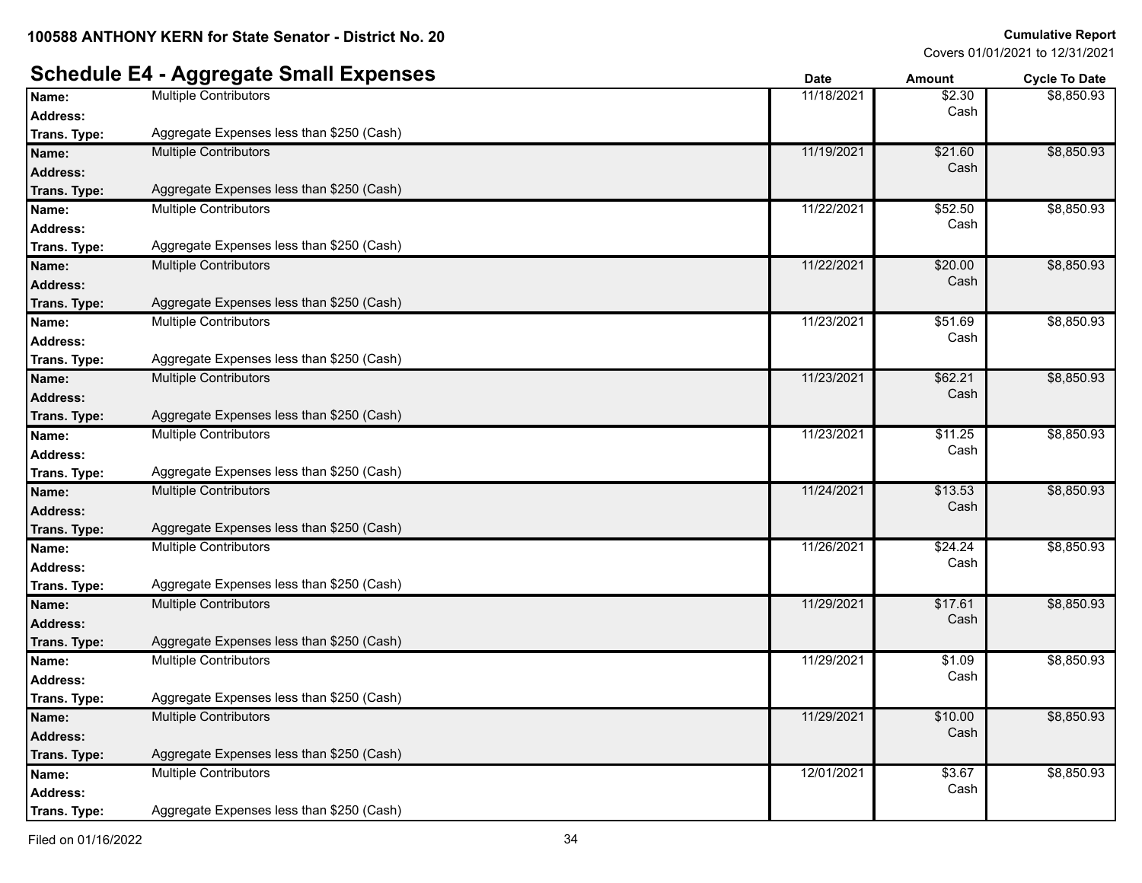## **Schedule E4 - Aggregate Small Expenses Date Date Date Amount Cycle To Date Trans. Type :** Aggregate Expenses less than \$250 (Cash) **Trans. Type :** Aggregate Expenses less than \$250 (Cash) **Trans. Type :** Aggregate Expenses less than \$250 (Cash) **Trans. Type :** Aggregate Expenses less than \$250 (Cash) **Trans. Type :** Aggregate Expenses less than \$250 (Cash)

|                 | JJ J                                      | ่          | <i>r</i> unvunt | oyono to pulo |
|-----------------|-------------------------------------------|------------|-----------------|---------------|
| Name:           | <b>Multiple Contributors</b>              | 11/18/2021 | \$2.30          | \$8,850.93    |
| Address:        |                                           |            | Cash            |               |
| Trans. Type:    | Aggregate Expenses less than \$250 (Cash) |            |                 |               |
| Name:           | <b>Multiple Contributors</b>              | 11/19/2021 | \$21.60         | \$8,850.93    |
| <b>Address:</b> |                                           |            | Cash            |               |
| Trans. Type:    | Aggregate Expenses less than \$250 (Cash) |            |                 |               |
| Name:           | Multiple Contributors                     | 11/22/2021 | \$52.50         | \$8,850.93    |
| <b>Address:</b> |                                           |            | Cash            |               |
| Trans. Type:    | Aggregate Expenses less than \$250 (Cash) |            |                 |               |
| Name:           | <b>Multiple Contributors</b>              | 11/22/2021 | \$20.00         | \$8,850.93    |
| <b>Address:</b> |                                           |            | Cash            |               |
| Trans. Type:    | Aggregate Expenses less than \$250 (Cash) |            |                 |               |
| Name:           | <b>Multiple Contributors</b>              | 11/23/2021 | \$51.69         | \$8,850.93    |
| <b>Address:</b> |                                           |            | Cash            |               |
| Trans. Type:    | Aggregate Expenses less than \$250 (Cash) |            |                 |               |
| Name:           | <b>Multiple Contributors</b>              | 11/23/2021 | \$62.21         | \$8,850.93    |
| <b>Address:</b> |                                           |            | Cash            |               |
| Trans. Type:    | Aggregate Expenses less than \$250 (Cash) |            |                 |               |
| Name:           | Multiple Contributors                     | 11/23/2021 | \$11.25         | \$8,850.93    |
| Address:        |                                           |            | Cash            |               |
| Trans. Type:    | Aggregate Expenses less than \$250 (Cash) |            |                 |               |
| Name:           | <b>Multiple Contributors</b>              | 11/24/2021 | \$13.53         | \$8,850.93    |
| <b>Address:</b> |                                           |            | Cash            |               |
| Trans. Type:    | Aggregate Expenses less than \$250 (Cash) |            |                 |               |
| Name:           | <b>Multiple Contributors</b>              | 11/26/2021 | \$24.24         | \$8,850.93    |
| <b>Address:</b> |                                           |            | Cash            |               |
| Trans. Type:    | Aggregate Expenses less than \$250 (Cash) |            |                 |               |
| Name:           | <b>Multiple Contributors</b>              | 11/29/2021 | \$17.61         | \$8,850.93    |
| <b>Address:</b> |                                           |            | Cash            |               |
| Trans. Type:    | Aggregate Expenses less than \$250 (Cash) |            |                 |               |
| Name:           | <b>Multiple Contributors</b>              | 11/29/2021 | \$1.09          | \$8,850.93    |
| Address:        |                                           |            | Cash            |               |
| Trans. Type:    | Aggregate Expenses less than \$250 (Cash) |            |                 |               |
| Name:           | <b>Multiple Contributors</b>              | 11/29/2021 | \$10.00         | \$8,850.93    |
| <b>Address:</b> |                                           |            | Cash            |               |
| Trans. Type:    | Aggregate Expenses less than \$250 (Cash) |            |                 |               |
| Name:           | <b>Multiple Contributors</b>              | 12/01/2021 | \$3.67          | \$8,850.93    |
| Address:        |                                           |            | Cash            |               |
| Trans. Type:    | Aggregate Expenses less than \$250 (Cash) |            |                 |               |
|                 |                                           |            |                 |               |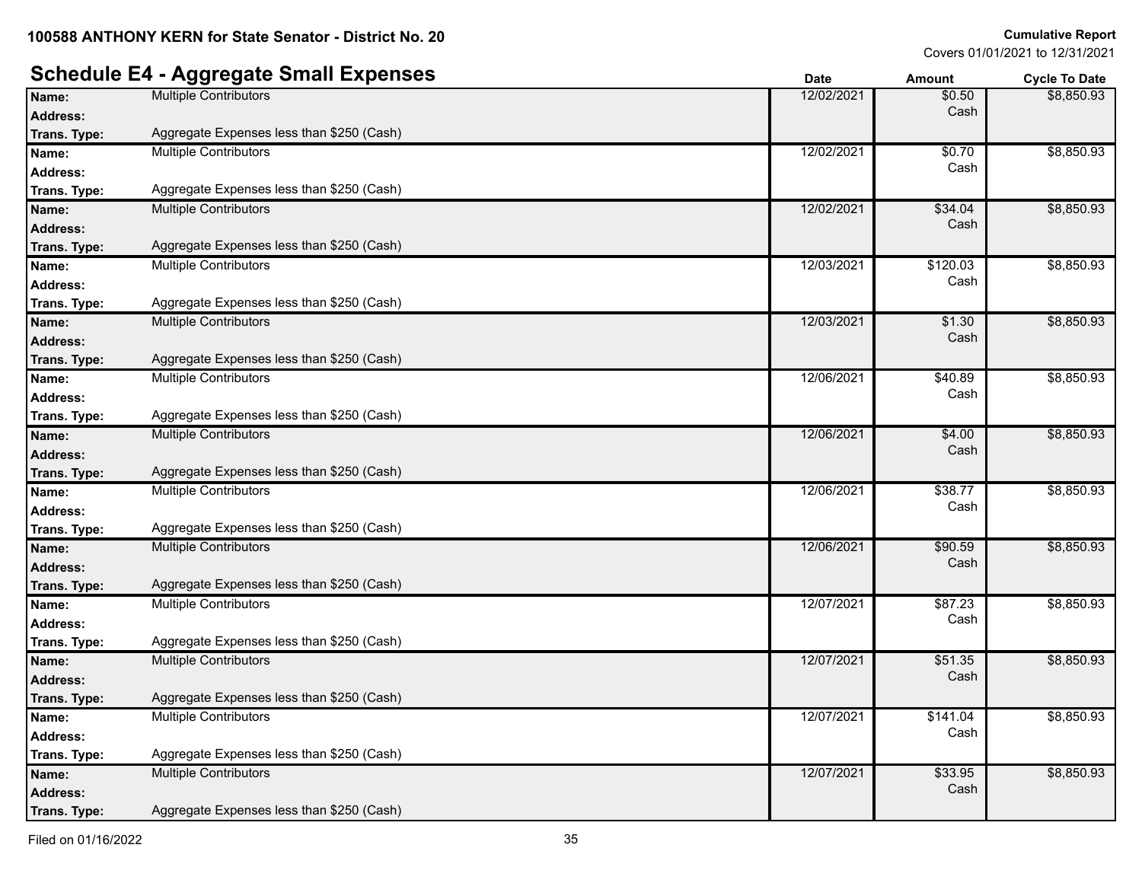|                 | <b>Schedule E4 - Aggregate Small Expenses</b> | <b>Date</b> | <b>Amount</b>   | <b>Cycle To Date</b> |
|-----------------|-----------------------------------------------|-------------|-----------------|----------------------|
| Name:           | <b>Multiple Contributors</b>                  | 12/02/2021  | \$0.50          | \$8,850.93           |
| <b>Address:</b> |                                               |             | Cash            |                      |
| Trans. Type:    | Aggregate Expenses less than \$250 (Cash)     |             |                 |                      |
| Name:           | <b>Multiple Contributors</b>                  | 12/02/2021  | \$0.70          | \$8,850.93           |
| <b>Address:</b> |                                               |             | Cash            |                      |
| Trans. Type:    | Aggregate Expenses less than \$250 (Cash)     |             |                 |                      |
| Name:           | <b>Multiple Contributors</b>                  | 12/02/2021  | \$34.04         | \$8,850.93           |
| <b>Address:</b> |                                               |             | Cash            |                      |
| Trans. Type:    | Aggregate Expenses less than \$250 (Cash)     |             |                 |                      |
| Name:           | <b>Multiple Contributors</b>                  | 12/03/2021  | \$120.03        | \$8,850.93           |
| <b>Address:</b> |                                               |             | Cash            |                      |
| Trans. Type:    | Aggregate Expenses less than \$250 (Cash)     |             |                 |                      |
| Name:           | <b>Multiple Contributors</b>                  | 12/03/2021  | \$1.30          | \$8,850.93           |
| <b>Address:</b> |                                               |             | Cash            |                      |
| Trans. Type:    | Aggregate Expenses less than \$250 (Cash)     |             |                 |                      |
| Name:           | <b>Multiple Contributors</b>                  | 12/06/2021  | \$40.89         | \$8,850.93           |
| <b>Address:</b> |                                               |             | Cash            |                      |
| Trans. Type:    | Aggregate Expenses less than \$250 (Cash)     |             |                 |                      |
| Name:           | <b>Multiple Contributors</b>                  | 12/06/2021  | \$4.00          | \$8,850.93           |
| <b>Address:</b> |                                               |             | Cash            |                      |
| Trans. Type:    | Aggregate Expenses less than \$250 (Cash)     |             |                 |                      |
| Name:           | <b>Multiple Contributors</b>                  | 12/06/2021  | \$38.77         | \$8,850.93           |
| <b>Address:</b> |                                               |             | Cash            |                      |
| Trans. Type:    | Aggregate Expenses less than \$250 (Cash)     |             |                 |                      |
| Name:           | <b>Multiple Contributors</b>                  | 12/06/2021  | \$90.59         | \$8,850.93           |
| <b>Address:</b> |                                               |             | Cash            |                      |
| Trans. Type:    | Aggregate Expenses less than \$250 (Cash)     |             |                 |                      |
| Name:           | <b>Multiple Contributors</b>                  | 12/07/2021  | $\sqrt{$87.23}$ | \$8,850.93           |
| <b>Address:</b> |                                               |             | Cash            |                      |
| Trans. Type:    | Aggregate Expenses less than \$250 (Cash)     |             |                 |                      |
| Name:           | <b>Multiple Contributors</b>                  | 12/07/2021  | \$51.35         | \$8,850.93           |
| <b>Address:</b> |                                               |             | Cash            |                      |
| Trans. Type:    | Aggregate Expenses less than \$250 (Cash)     |             |                 |                      |
| Name:           | <b>Multiple Contributors</b>                  | 12/07/2021  | \$141.04        | \$8,850.93           |
| <b>Address:</b> |                                               |             | Cash            |                      |
| Trans. Type:    | Aggregate Expenses less than \$250 (Cash)     |             |                 |                      |
| Name:           | <b>Multiple Contributors</b>                  | 12/07/2021  | \$33.95         | \$8,850.93           |
| <b>Address:</b> |                                               |             | Cash            |                      |
| Trans. Type:    | Aggregate Expenses less than \$250 (Cash)     |             |                 |                      |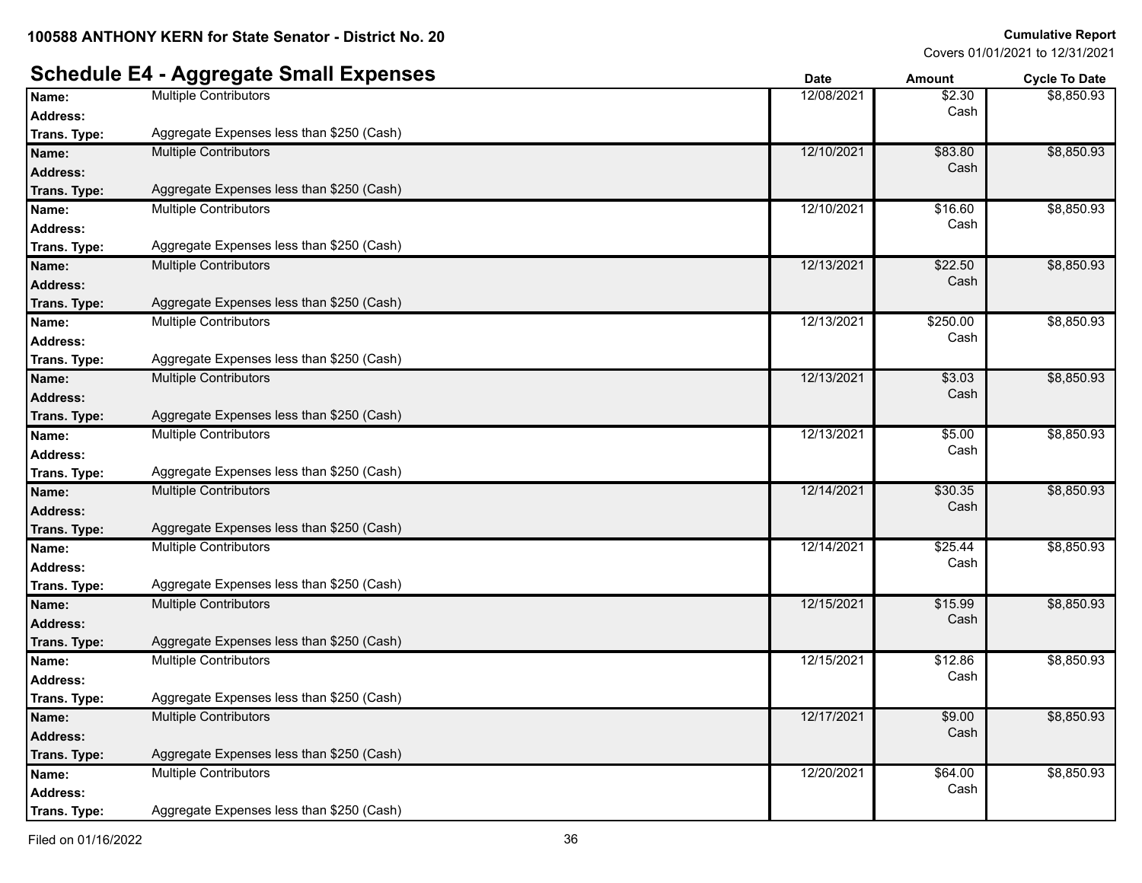**:** Aggregate Expenses less than \$250 (Cash)

\$8,850.93

\$8,850.93

\$8,850.93

\$8,850.93

\$8,850.93

\$8,850.93

\$8,850.93

\$8,850.93

\$8,850.93

\$8,850.93

\$8,850.93

\$8,850.93

\$8,850.93

Covers 01/01/2021 to 12/31/2021

#### **Schedule E4 - Aggregate Small Expenses Date Date Date Amount Cycle To Date Name:** Multiple Contributors **12/08/2021** \$2.30 **Address:** Cash **Trans. Type :** Aggregate Expenses less than \$250 (Cash) **Name:** Multiple Contributors **12/10/2021 583.80 Address:** Cash **Trans. Type :** Aggregate Expenses less than \$250 (Cash) **Name:** Multiple Contributors **12/10/2021** \$16.60 **Address:** Cash **Trans. Type :** Aggregate Expenses less than \$250 (Cash) **Name:** Multiple Contributors **12/13/2021 622.50 Address:** Cash **Trans. Type :** Aggregate Expenses less than \$250 (Cash) **Name:** Multiple Contributors **12/13/2021 5250.00 12/13/2021 5250.00 Address:** Cash **Trans. Type :** Aggregate Expenses less than \$250 (Cash) **Name:** Multiple Contributors **12/13/2021 53.03 Address:** Cash **Trans. Type :** Aggregate Expenses less than \$250 (Cash) **Name:** Multiple Contributors **12/13/2021 55.00 Address:** Cash **Trans. Type :** Aggregate Expenses less than \$250 (Cash) **Name:** Multiple Contributors **12/14/2021 \$30.35 Address:** Cash **Trans. Type :** Aggregate Expenses less than \$250 (Cash) **Name:** Multiple Contributors **12/14/2021 625.44 Address:** Cash **Trans. Type :** Aggregate Expenses less than \$250 (Cash) **Name:** Multiple Contributors **12/15/2021** \$15.99 **Address:** Cash **Trans. Type :** Aggregate Expenses less than \$250 (Cash) **Name:** Multiple Contributors **12/15/2021** \$12.86<br> **Address:** 12/15/2021 \$12.86 **Address:** Cash **Trans. Type :** Aggregate Expenses less than \$250 (Cash) **Name:** Multiple Contributors **12/17/2021** \$9.00 **Address:** Cash **Trans. Type :** Aggregate Expenses less than \$250 (Cash) **Name:** Multiple Contributors **12/20/2021** \$64.00 **Address:** Cash

**Trans. Type**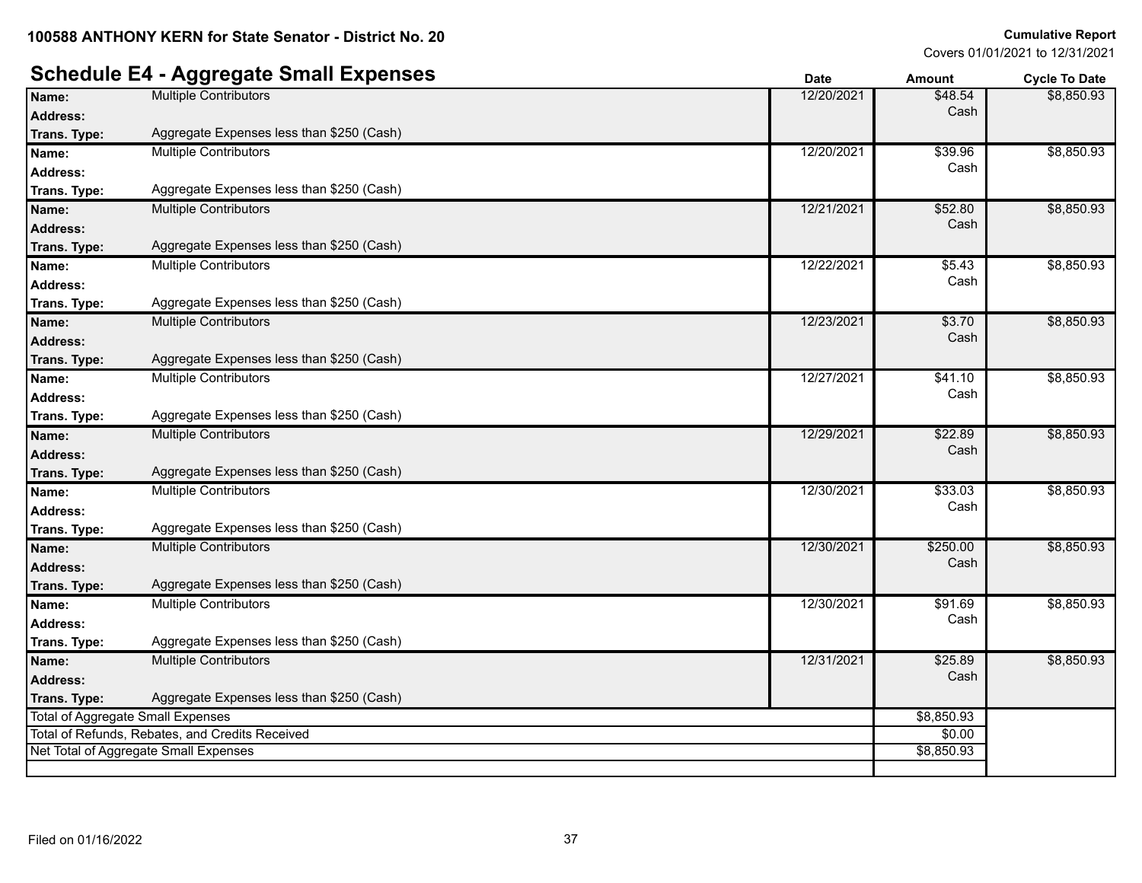# **Schedule E4 - Aggregate Small Expenses Date Date Date Amount Cycle To Date**

|                 | י ישטיים יוואיינט פאיינט י                      | υαισ       | Allivulit  | <b>OYGIG TO DATE</b> |
|-----------------|-------------------------------------------------|------------|------------|----------------------|
| Name:           | <b>Multiple Contributors</b>                    | 12/20/2021 | \$48.54    | \$8,850.93           |
| Address:        |                                                 |            | Cash       |                      |
| Trans. Type:    | Aggregate Expenses less than \$250 (Cash)       |            |            |                      |
| Name:           | <b>Multiple Contributors</b>                    | 12/20/2021 | \$39.96    | \$8,850.93           |
| Address:        |                                                 |            | Cash       |                      |
| Trans. Type:    | Aggregate Expenses less than \$250 (Cash)       |            |            |                      |
| Name:           | <b>Multiple Contributors</b>                    | 12/21/2021 | \$52.80    | \$8,850.93           |
| <b>Address:</b> |                                                 |            | Cash       |                      |
| Trans. Type:    | Aggregate Expenses less than \$250 (Cash)       |            |            |                      |
| Name:           | <b>Multiple Contributors</b>                    | 12/22/2021 | \$5.43     | \$8,850.93           |
| <b>Address:</b> |                                                 |            | Cash       |                      |
| Trans. Type:    | Aggregate Expenses less than \$250 (Cash)       |            |            |                      |
| Name:           | <b>Multiple Contributors</b>                    | 12/23/2021 | \$3.70     | \$8,850.93           |
| Address:        |                                                 |            | Cash       |                      |
| Trans. Type:    | Aggregate Expenses less than \$250 (Cash)       |            |            |                      |
| Name:           | <b>Multiple Contributors</b>                    | 12/27/2021 | \$41.10    | \$8,850.93           |
| <b>Address:</b> |                                                 |            | Cash       |                      |
| Trans. Type:    | Aggregate Expenses less than \$250 (Cash)       |            |            |                      |
| Name:           | <b>Multiple Contributors</b>                    | 12/29/2021 | \$22.89    | \$8,850.93           |
| Address:        |                                                 |            | Cash       |                      |
| Trans. Type:    | Aggregate Expenses less than \$250 (Cash)       |            |            |                      |
| Name:           | <b>Multiple Contributors</b>                    | 12/30/2021 | \$33.03    | \$8,850.93           |
| Address:        |                                                 |            | Cash       |                      |
| Trans. Type:    | Aggregate Expenses less than \$250 (Cash)       |            |            |                      |
| Name:           | <b>Multiple Contributors</b>                    | 12/30/2021 | \$250.00   | \$8,850.93           |
| Address:        |                                                 |            | Cash       |                      |
| Trans. Type:    | Aggregate Expenses less than \$250 (Cash)       |            |            |                      |
| Name:           | <b>Multiple Contributors</b>                    | 12/30/2021 | \$91.69    | \$8,850.93           |
| <b>Address:</b> |                                                 |            | Cash       |                      |
| Trans. Type:    | Aggregate Expenses less than \$250 (Cash)       |            |            |                      |
| Name:           | <b>Multiple Contributors</b>                    | 12/31/2021 | \$25.89    | \$8,850.93           |
| <b>Address:</b> |                                                 |            | Cash       |                      |
| Trans. Type:    | Aggregate Expenses less than \$250 (Cash)       |            |            |                      |
|                 | <b>Total of Aggregate Small Expenses</b>        |            | \$8,850.93 |                      |
|                 | Total of Refunds, Rebates, and Credits Received |            | \$0.00     |                      |
|                 | Net Total of Aggregate Small Expenses           |            | \$8,850.93 |                      |
|                 |                                                 |            |            |                      |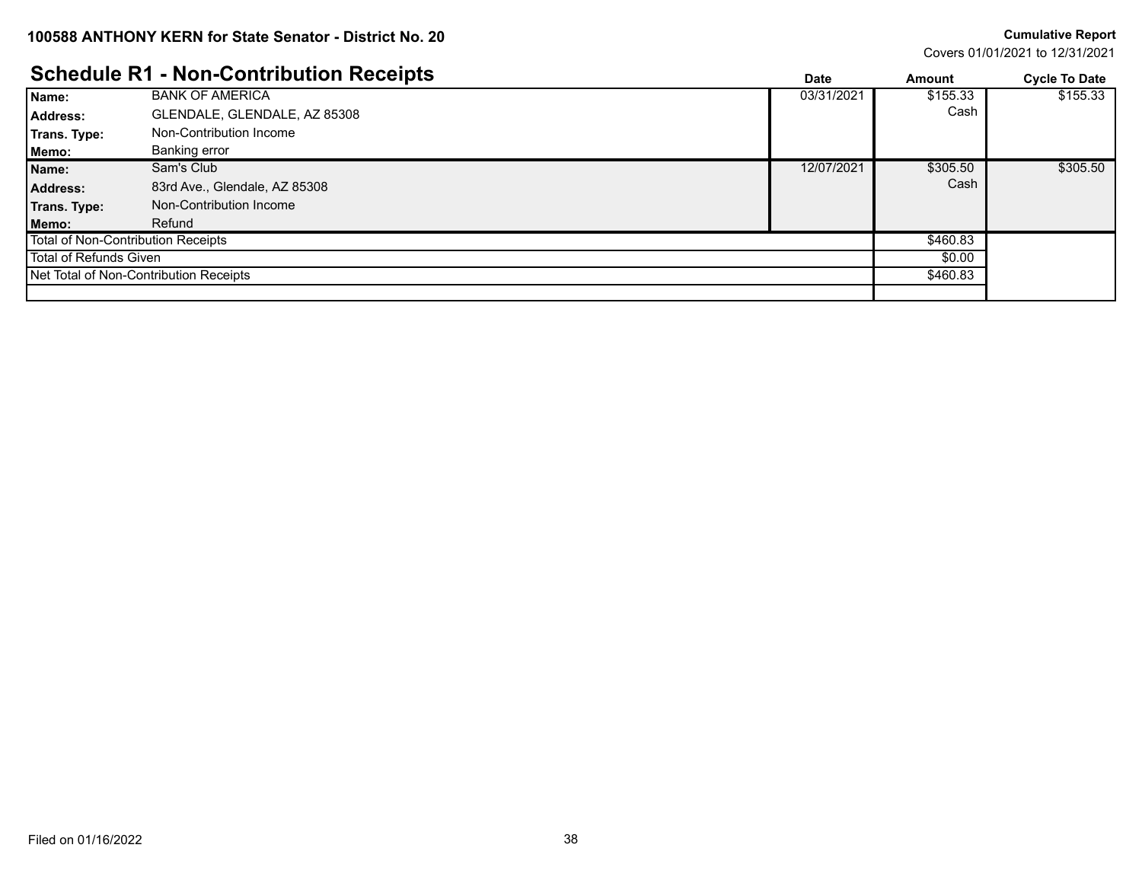Covers 01/01/2021 to 12/31/2021

### **Schedule R1 - Non-Contribution Receipts Date Amount Cycle To Date**

|                        | Schedule R1 - Non-Contribution Receipts | <b>Date</b> | Amount   | <b>Cycle To Date</b> |
|------------------------|-----------------------------------------|-------------|----------|----------------------|
| Name:                  | <b>BANK OF AMERICA</b>                  | 03/31/2021  | \$155.33 | \$155.33             |
| <b>Address:</b>        | GLENDALE, GLENDALE, AZ 85308            |             | Cash     |                      |
| Trans. Type:           | Non-Contribution Income                 |             |          |                      |
| Memo:                  | Banking error                           |             |          |                      |
| Name:                  | Sam's Club                              | 12/07/2021  | \$305.50 | \$305.50             |
| <b>Address:</b>        | 83rd Ave., Glendale, AZ 85308           |             | Cash     |                      |
| Trans. Type:           | Non-Contribution Income                 |             |          |                      |
| Memo:                  | Refund                                  |             |          |                      |
|                        | Total of Non-Contribution Receipts      |             | \$460.83 |                      |
| Total of Refunds Given |                                         |             | \$0.00   |                      |
|                        | Net Total of Non-Contribution Receipts  |             | \$460.83 |                      |
|                        |                                         |             |          |                      |